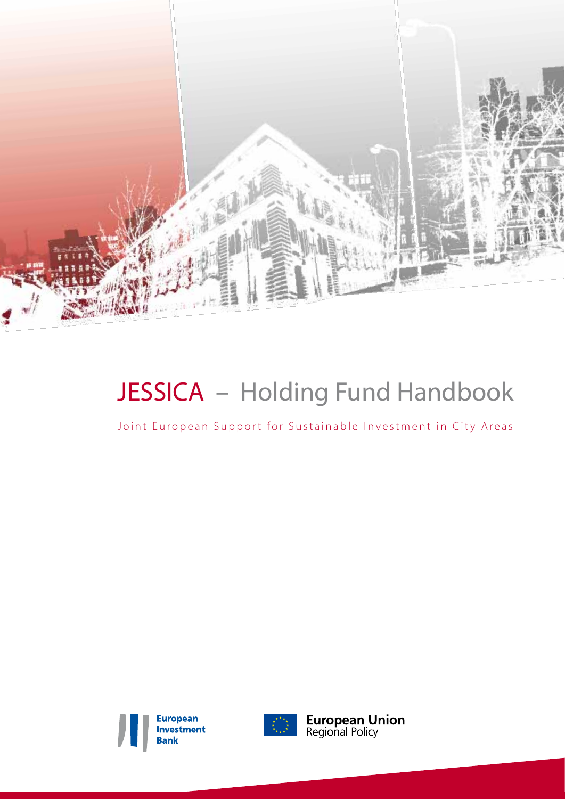

# JESSICA – Holding Fund Handbook

Joint European Support for Sustainable Investment in City Areas





**European Union**<br>Regional Policy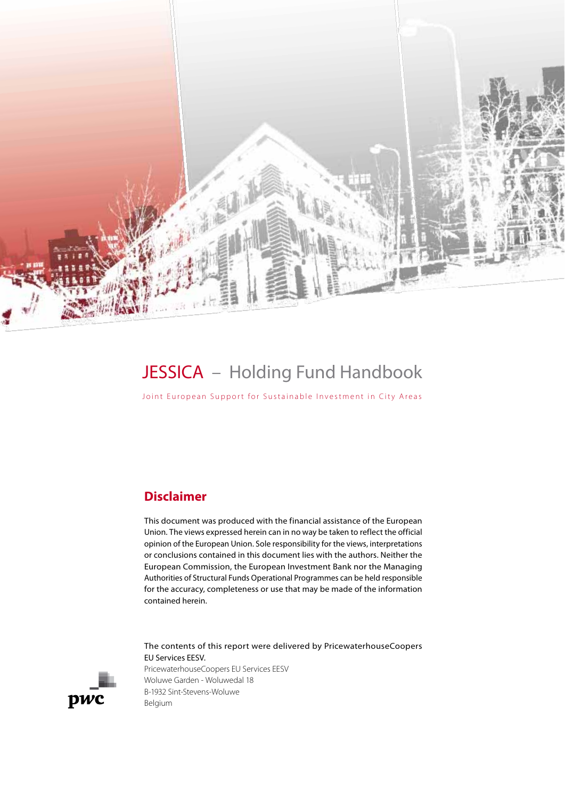

## JESSICA - Holding Fund Handbook

Joint European Support for Sustainable Investment in City Areas

### **Disclaimer**

Belgium

This document was produced with the financial assistance of the European Union. The views expressed herein can in no way be taken to reflect the official opinion of the European Union. Sole responsibility for the views, interpretations or conclusions contained in this document lies with the authors. Neither the European Commission, the European Investment Bank nor the Managing Authorities of Structural Funds Operational Programmes can be held responsible for the accuracy, completeness or use that may be made of the information contained herein.

pwc

The contents of this report were delivered by PricewaterhouseCoopers EU Services EESV. PricewaterhouseCoopers EU Services EESV Woluwe Garden - Woluwedal 18 B-1932 Sint-Stevens-Woluwe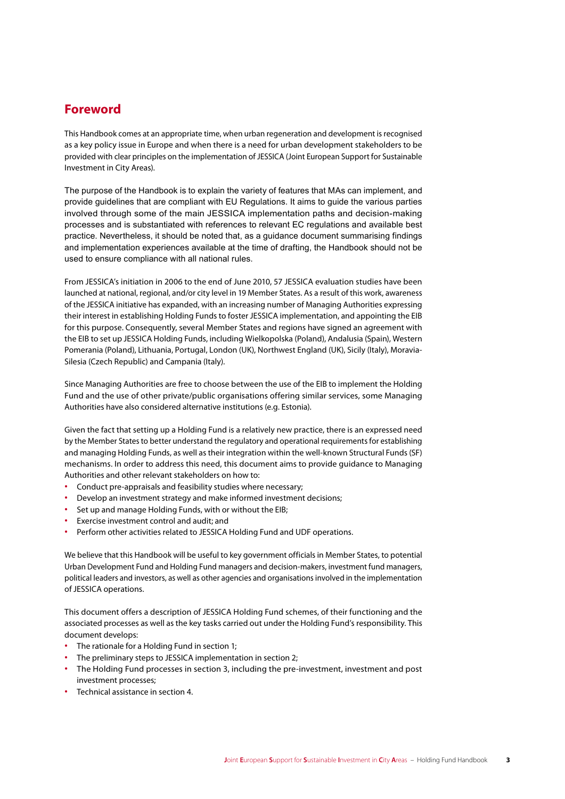### **Foreword**

This Handbook comes at an appropriate time, when urban regeneration and development is recognised as a key policy issue in Europe and when there is a need for urban development stakeholders to be provided with clear principles on the implementation of JESSICA (Joint European Support for Sustainable Investment in City Areas).

The purpose of the Handbook is to explain the variety of features that MAs can implement, and provide guidelines that are compliant with EU Regulations. It aims to guide the various parties involved through some of the main JESSICA implementation paths and decision-making processes and is substantiated with references to relevant EC regulations and available best practice. Nevertheless, it should be noted that, as a guidance document summarising findings and implementation experiences available at the time of drafting, the Handbook should not be used to ensure compliance with all national rules.

From JESSICA's initiation in 2006 to the end of June 2010, 57 JESSICA evaluation studies have been launched at national, regional, and/or city level in 19 Member States. As a result of this work, awareness of the JESSICA initiative has expanded, with an increasing number of Managing Authorities expressing their interest in establishing Holding Funds to foster JESSICA implementation, and appointing the EIB for this purpose. Consequently, several Member States and regions have signed an agreement with the EIB to set up JESSICA Holding Funds, including Wielkopolska (Poland), Andalusia (Spain), Western Pomerania (Poland), Lithuania, Portugal, London (UK), Northwest England (UK), Sicily (Italy), Moravia-Silesia (Czech Republic) and Campania (Italy).

Since Managing Authorities are free to choose between the use of the EIB to implement the Holding Fund and the use of other private/public organisations offering similar services, some Managing Authorities have also considered alternative institutions (e.g. Estonia).

Given the fact that setting up a Holding Fund is a relatively new practice, there is an expressed need by the Member States to better understand the regulatory and operational requirements for establishing and managing Holding Funds, as well as their integration within the well-known Structural Funds (SF) mechanisms. In order to address this need, this document aims to provide guidance to Managing Authorities and other relevant stakeholders on how to:

- **∙** Conduct pre-appraisals and feasibility studies where necessary;
- **∙** Develop an investment strategy and make informed investment decisions;
- **∙** Set up and manage Holding Funds, with or without the EIB;
- **∙** Exercise investment control and audit; and
- **∙** Perform other activities related to JESSICA Holding Fund and UDF operations.

We believe that this Handbook will be useful to key government officials in Member States, to potential Urban Development Fund and Holding Fund managers and decision-makers, investment fund managers, political leaders and investors, as well as other agencies and organisations involved in the implementation of JESSICA operations.

This document offers a description of JESSICA Holding Fund schemes, of their functioning and the associated processes as well as the key tasks carried out under the Holding Fund's responsibility. This document develops:

- **∙** The rationale for a Holding Fund in section 1;
- **∙** The preliminary steps to JESSICA implementation in section 2;
- **∙** The Holding Fund processes in section 3, including the pre-investment, investment and post investment processes;
- **∙** Technical assistance in section 4.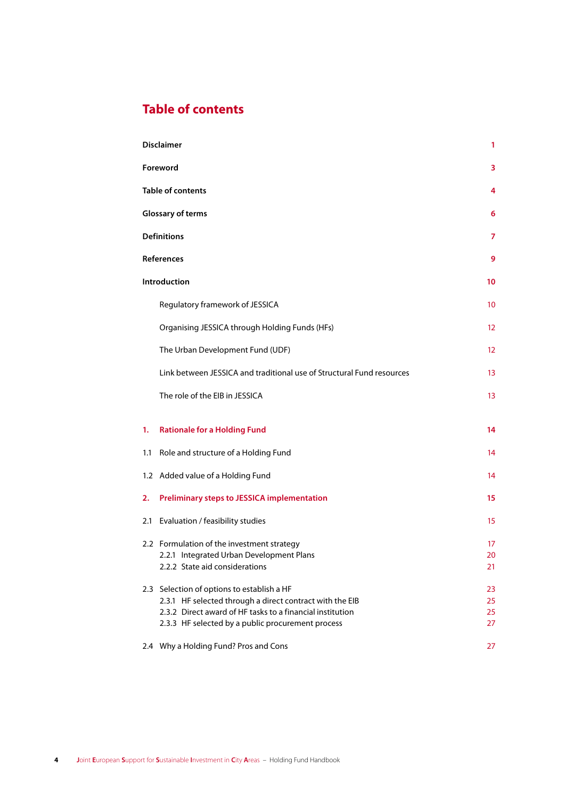### **Table of contents**

|     | <b>Disclaimer</b>                                                                                                                                                                                                        | 1                    |
|-----|--------------------------------------------------------------------------------------------------------------------------------------------------------------------------------------------------------------------------|----------------------|
|     | Foreword                                                                                                                                                                                                                 | 3                    |
|     | <b>Table of contents</b>                                                                                                                                                                                                 | 4                    |
|     | <b>Glossary of terms</b>                                                                                                                                                                                                 | 6                    |
|     | <b>Definitions</b>                                                                                                                                                                                                       | 7                    |
|     | <b>References</b>                                                                                                                                                                                                        | 9                    |
|     | <b>Introduction</b>                                                                                                                                                                                                      | 10                   |
|     | Regulatory framework of JESSICA                                                                                                                                                                                          | 10                   |
|     | Organising JESSICA through Holding Funds (HFs)                                                                                                                                                                           | $12 \overline{ }$    |
|     | The Urban Development Fund (UDF)                                                                                                                                                                                         | $12 \overline{ }$    |
|     | Link between JESSICA and traditional use of Structural Fund resources                                                                                                                                                    | 13                   |
|     | The role of the EIB in JESSICA                                                                                                                                                                                           | 13                   |
| 1.  | <b>Rationale for a Holding Fund</b>                                                                                                                                                                                      | 14                   |
| 1.1 | Role and structure of a Holding Fund                                                                                                                                                                                     | 14                   |
|     | 1.2 Added value of a Holding Fund                                                                                                                                                                                        | 14                   |
| 2.  | <b>Preliminary steps to JESSICA implementation</b>                                                                                                                                                                       | 15                   |
| 2.1 | Evaluation / feasibility studies                                                                                                                                                                                         | 15                   |
|     | 2.2 Formulation of the investment strategy<br>2.2.1 Integrated Urban Development Plans<br>2.2.2 State aid considerations                                                                                                 | 17<br>20<br>21       |
|     | 2.3 Selection of options to establish a HF<br>2.3.1 HF selected through a direct contract with the EIB<br>2.3.2 Direct award of HF tasks to a financial institution<br>2.3.3 HF selected by a public procurement process | 23<br>25<br>25<br>27 |
|     | 2.4 Why a Holding Fund? Pros and Cons                                                                                                                                                                                    | 27                   |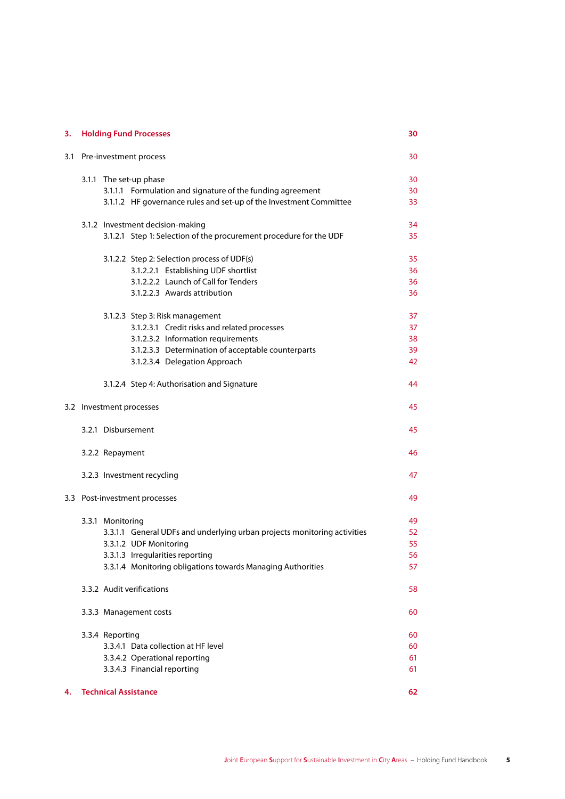| з.  | <b>Holding Fund Processes</b>    |                            |                                                                          | 30  |
|-----|----------------------------------|----------------------------|--------------------------------------------------------------------------|-----|
| 3.1 |                                  |                            | Pre-investment process                                                   | 30  |
|     |                                  |                            | 3.1.1 The set-up phase                                                   | 30  |
|     |                                  |                            | 3.1.1.1 Formulation and signature of the funding agreement               | 30  |
|     |                                  |                            | 3.1.1.2 HF governance rules and set-up of the Investment Committee       | 33  |
|     | 3.1.2 Investment decision-making |                            | 34                                                                       |     |
|     |                                  |                            | 3.1.2.1 Step 1: Selection of the procurement procedure for the UDF       | 35  |
|     |                                  |                            | 3.1.2.2 Step 2: Selection process of UDF(s)                              | 35  |
|     |                                  |                            | 3.1.2.2.1 Establishing UDF shortlist                                     | 36  |
|     |                                  |                            | 3.1.2.2.2 Launch of Call for Tenders                                     | 36  |
|     |                                  |                            | 3.1.2.2.3 Awards attribution                                             | 36  |
|     |                                  |                            | 3.1.2.3 Step 3: Risk management                                          | 37  |
|     |                                  |                            | 3.1.2.3.1 Credit risks and related processes                             | 37  |
|     |                                  |                            | 3.1.2.3.2 Information requirements                                       | 38  |
|     |                                  |                            | 3.1.2.3.3 Determination of acceptable counterparts                       | 39  |
|     |                                  |                            | 3.1.2.3.4 Delegation Approach                                            | 42  |
|     |                                  |                            |                                                                          |     |
|     |                                  |                            | 3.1.2.4 Step 4: Authorisation and Signature                              | 44  |
|     | 3.2 Investment processes         |                            | 45                                                                       |     |
|     |                                  | 3.2.1 Disbursement         |                                                                          | 45  |
|     |                                  | 3.2.2 Repayment            |                                                                          | 46  |
|     |                                  | 3.2.3 Investment recycling |                                                                          |     |
|     |                                  |                            |                                                                          |     |
|     |                                  |                            | 3.3 Post-investment processes                                            | 49  |
|     |                                  | 3.3.1 Monitoring           |                                                                          | 49  |
|     |                                  |                            | 3.3.1.1 General UDFs and underlying urban projects monitoring activities | 52. |
|     |                                  |                            | 3.3.1.2 UDF Monitoring                                                   | 55  |
|     |                                  |                            | 3.3.1.3 Irregularities reporting                                         | 56  |
|     |                                  |                            | 3.3.1.4 Monitoring obligations towards Managing Authorities              | 57  |
|     |                                  |                            | 3.3.2 Audit verifications                                                | 58  |
|     | 3.3.3 Management costs           |                            |                                                                          | 60  |
|     |                                  | 3.3.4 Reporting            |                                                                          | 60  |
|     |                                  |                            | 3.3.4.1 Data collection at HF level                                      | 60  |
|     |                                  |                            | 3.3.4.2 Operational reporting                                            | 61  |
|     |                                  |                            | 3.3.4.3 Financial reporting                                              | 61  |
| 4.  | <b>Technical Assistance</b>      |                            | 62                                                                       |     |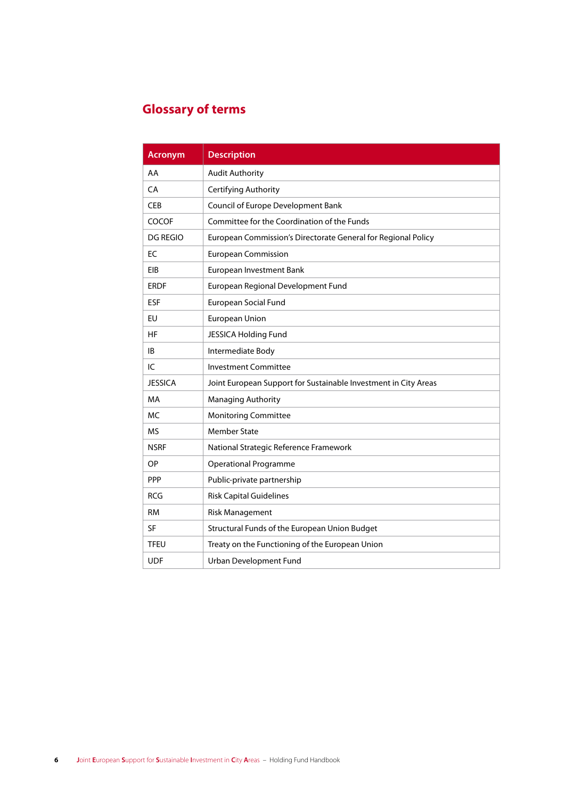## **Glossary of terms**

| <b>Acronym</b>  | <b>Description</b>                                              |
|-----------------|-----------------------------------------------------------------|
| AA              | <b>Audit Authority</b>                                          |
| CA              | Certifying Authority                                            |
| <b>CEB</b>      | Council of Europe Development Bank                              |
| <b>COCOF</b>    | Committee for the Coordination of the Funds                     |
| <b>DG REGIO</b> | European Commission's Directorate General for Regional Policy   |
| EC              | <b>European Commission</b>                                      |
| EIB             | European Investment Bank                                        |
| <b>ERDF</b>     | European Regional Development Fund                              |
| <b>ESF</b>      | <b>European Social Fund</b>                                     |
| EU              | <b>European Union</b>                                           |
| HF              | JESSICA Holding Fund                                            |
| IB              | Intermediate Body                                               |
| IC              | <b>Investment Committee</b>                                     |
| <b>JESSICA</b>  | Joint European Support for Sustainable Investment in City Areas |
| МA              | Managing Authority                                              |
| МC              | <b>Monitoring Committee</b>                                     |
| <b>MS</b>       | <b>Member State</b>                                             |
| <b>NSRF</b>     | National Strategic Reference Framework                          |
| ОP              | <b>Operational Programme</b>                                    |
| PPP             | Public-private partnership                                      |
| <b>RCG</b>      | <b>Risk Capital Guidelines</b>                                  |
| <b>RM</b>       | <b>Risk Management</b>                                          |
| <b>SF</b>       | Structural Funds of the European Union Budget                   |
| <b>TFEU</b>     | Treaty on the Functioning of the European Union                 |
| <b>UDF</b>      | Urban Development Fund                                          |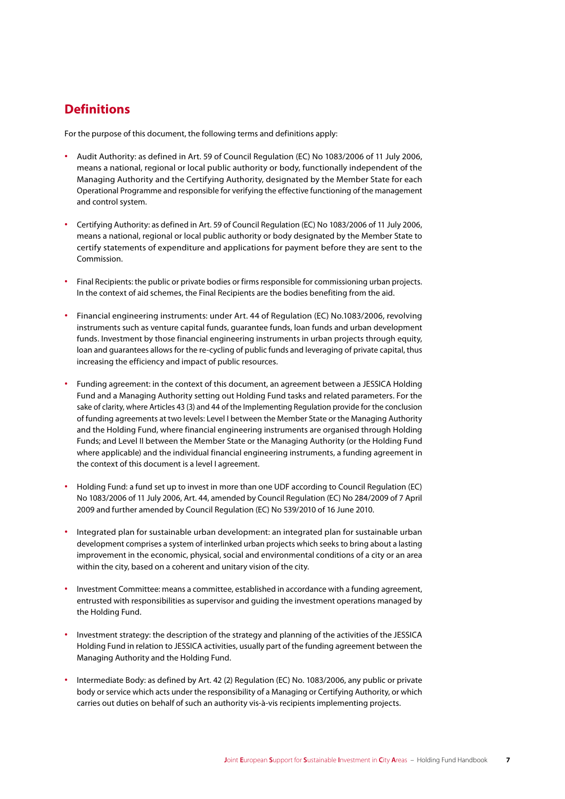### **Definitions**

For the purpose of this document, the following terms and definitions apply:

- **∙** Audit Authority: as defined in Art. 59 of Council Regulation (EC) No 1083/2006 of 11 July 2006, means a national, regional or local public authority or body, functionally independent of the Managing Authority and the Certifying Authority, designated by the Member State for each Operational Programme and responsible for verifying the effective functioning of the management and control system.
- **∙** Certifying Authority: as defined in Art. 59 of Council Regulation (EC) No 1083/2006 of 11 July 2006, means a national, regional or local public authority or body designated by the Member State to certify statements of expenditure and applications for payment before they are sent to the Commission.
- **∙** Final Recipients: the public or private bodies or firms responsible for commissioning urban projects. In the context of aid schemes, the Final Recipients are the bodies benefiting from the aid.
- **∙** Financial engineering instruments: under Art. 44 of Regulation (EC) No.1083/2006, revolving instruments such as venture capital funds, guarantee funds, loan funds and urban development funds. Investment by those financial engineering instruments in urban projects through equity, loan and guarantees allows for the re-cycling of public funds and leveraging of private capital, thus increasing the efficiency and impact of public resources.
- **∙** Funding agreement: in the context of this document, an agreement between a JESSICA Holding Fund and a Managing Authority setting out Holding Fund tasks and related parameters. For the sake of clarity, where Articles 43 (3) and 44 of the Implementing Regulation provide for the conclusion of funding agreements at two levels: Level I between the Member State or the Managing Authority and the Holding Fund, where financial engineering instruments are organised through Holding Funds; and Level II between the Member State or the Managing Authority (or the Holding Fund where applicable) and the individual financial engineering instruments, a funding agreement in the context of this document is a level I agreement.
- **∙** Holding Fund: a fund set up to invest in more than one UDF according to Council Regulation (EC) No 1083/2006 of 11 July 2006, Art. 44, amended by Council Regulation (EC) No 284/2009 of 7 April 2009 and further amended by Council Regulation (EC) No 539/2010 of 16 June 2010.
- **∙** Integrated plan for sustainable urban development: an integrated plan for sustainable urban development comprises a system of interlinked urban projects which seeks to bring about a lasting improvement in the economic, physical, social and environmental conditions of a city or an area within the city, based on a coherent and unitary vision of the city.
- **∙** Investment Committee: means a committee, established in accordance with a funding agreement, entrusted with responsibilities as supervisor and guiding the investment operations managed by the Holding Fund.
- **∙** Investment strategy: the description of the strategy and planning of the activities of the JESSICA Holding Fund in relation to JESSICA activities, usually part of the funding agreement between the Managing Authority and the Holding Fund.
- **∙** Intermediate Body: as defined by Art. 42 (2) Regulation (EC) No. 1083/2006, any public or private body or service which acts under the responsibility of a Managing or Certifying Authority, or which carries out duties on behalf of such an authority vis-à-vis recipients implementing projects.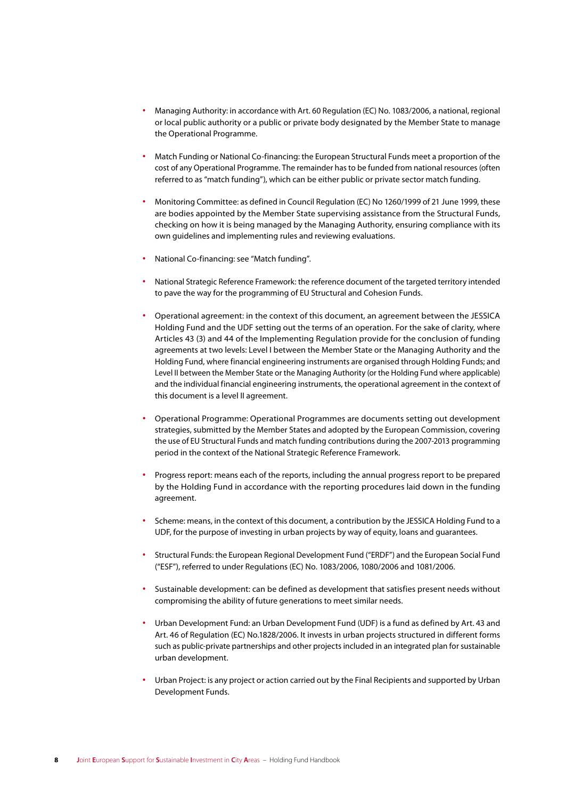- **∙** Managing Authority: in accordance with Art. 60 Regulation (EC) No. 1083/2006, a national, regional or local public authority or a public or private body designated by the Member State to manage the Operational Programme.
- **∙** Match Funding or National Co-financing: the European Structural Funds meet a proportion of the cost of any Operational Programme. The remainder has to be funded from national resources (often referred to as "match funding"), which can be either public or private sector match funding.
- **∙** Monitoring Committee: as defined in Council Regulation (EC) No 1260/1999 of 21 June 1999, these are bodies appointed by the Member State supervising assistance from the Structural Funds, checking on how it is being managed by the Managing Authority, ensuring compliance with its own guidelines and implementing rules and reviewing evaluations.
- **∙** National Co-financing: see "Match funding".
- **∙** National Strategic Reference Framework: the reference document of the targeted territory intended to pave the way for the programming of EU Structural and Cohesion Funds.
- **∙** Operational agreement: in the context of this document, an agreement between the JESSICA Holding Fund and the UDF setting out the terms of an operation. For the sake of clarity, where Articles 43 (3) and 44 of the Implementing Regulation provide for the conclusion of funding agreements at two levels: Level I between the Member State or the Managing Authority and the Holding Fund, where financial engineering instruments are organised through Holding Funds; and Level II between the Member State or the Managing Authority (or the Holding Fund where applicable) and the individual financial engineering instruments, the operational agreement in the context of this document is a level II agreement.
- **∙** Operational Programme: Operational Programmes are documents setting out development strategies, submitted by the Member States and adopted by the European Commission, covering the use of EU Structural Funds and match funding contributions during the 2007-2013 programming period in the context of the National Strategic Reference Framework.
- **∙** Progress report: means each of the reports, including the annual progress report to be prepared by the Holding Fund in accordance with the reporting procedures laid down in the funding agreement.
- **∙** Scheme: means, in the context of this document, a contribution by the JESSICA Holding Fund to a UDF, for the purpose of investing in urban projects by way of equity, loans and guarantees.
- **∙** Structural Funds: the European Regional Development Fund ("ERDF") and the European Social Fund ("ESF"), referred to under Regulations (EC) No. 1083/2006, 1080/2006 and 1081/2006.
- **∙** Sustainable development: can be defined as development that satisfies present needs without compromising the ability of future generations to meet similar needs.
- **∙** Urban Development Fund: an Urban Development Fund (UDF) is a fund as defined by Art. 43 and Art. 46 of Regulation (EC) No.1828/2006. It invests in urban projects structured in different forms such as public-private partnerships and other projects included in an integrated plan for sustainable urban development.
- **∙** Urban Project: is any project or action carried out by the Final Recipients and supported by Urban Development Funds.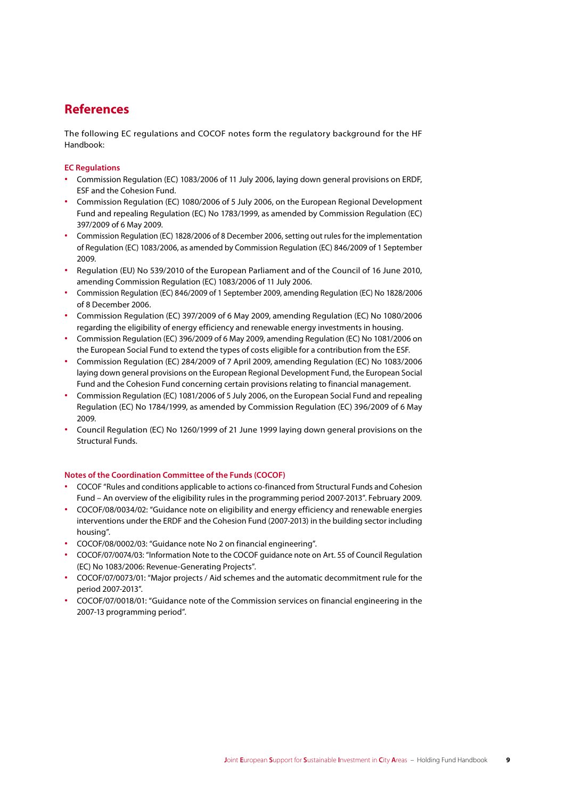### **References**

The following EC regulations and COCOF notes form the regulatory background for the HF Handbook:

#### **EC Regulations**

- **∙** Commission Regulation (EC) 1083/2006 of 11 July 2006, laying down general provisions on ERDF, ESF and the Cohesion Fund.
- **∙** Commission Regulation (EC) 1080/2006 of 5 July 2006, on the European Regional Development Fund and repealing Regulation (EC) No 1783/1999, as amended by Commission Regulation (EC) 397/2009 of 6 May 2009.
- **∙** Commission Regulation (EC) 1828/2006 of 8 December 2006, setting out rules for the implementation of Regulation (EC) 1083/2006, as amended by Commission Regulation (EC) 846/2009 of 1 September 2009.
- **∙** Regulation (EU) No 539/2010 of the European Parliament and of the Council of 16 June 2010, amending Commission Regulation (EC) 1083/2006 of 11 July 2006.
- **∙** Commission Regulation (EC) 846/2009 of 1 September 2009, amending Regulation (EC) No 1828/2006 of 8 December 2006.
- **∙** Commission Regulation (EC) 397/2009 of 6 May 2009, amending Regulation (EC) No 1080/2006 regarding the eligibility of energy efficiency and renewable energy investments in housing.
- **∙** Commission Regulation (EC) 396/2009 of 6 May 2009, amending Regulation (EC) No 1081/2006 on the European Social Fund to extend the types of costs eligible for a contribution from the ESF.
- **∙** Commission Regulation (EC) 284/2009 of 7 April 2009, amending Regulation (EC) No 1083/2006 laying down general provisions on the European Regional Development Fund, the European Social Fund and the Cohesion Fund concerning certain provisions relating to financial management.
- **∙** Commission Regulation (EC) 1081/2006 of 5 July 2006, on the European Social Fund and repealing Regulation (EC) No 1784/1999, as amended by Commission Regulation (EC) 396/2009 of 6 May 2009.
- **∙** Council Regulation (EC) No 1260/1999 of 21 June 1999 laying down general provisions on the Structural Funds.

#### **Notes of the Coordination Committee of the Funds (COCOF)**

- **∙** COCOF "Rules and conditions applicable to actions co-financed from Structural Funds and Cohesion Fund – An overview of the eligibility rules in the programming period 2007-2013". February 2009.
- **∙** COCOF/08/0034/02: "Guidance note on eligibility and energy efficiency and renewable energies interventions under the ERDF and the Cohesion Fund (2007-2013) in the building sector including housing".
- **∙** COCOF/08/0002/03: "Guidance note No 2 on financial engineering".
- **∙** COCOF/07/0074/03: "Information Note to the COCOF guidance note on Art. 55 of Council Regulation (EC) No 1083/2006: Revenue-Generating Projects".
- **∙** COCOF/07/0073/01: "Major projects / Aid schemes and the automatic decommitment rule for the period 2007-2013".
- **∙** COCOF/07/0018/01: "Guidance note of the Commission services on financial engineering in the 2007-13 programming period".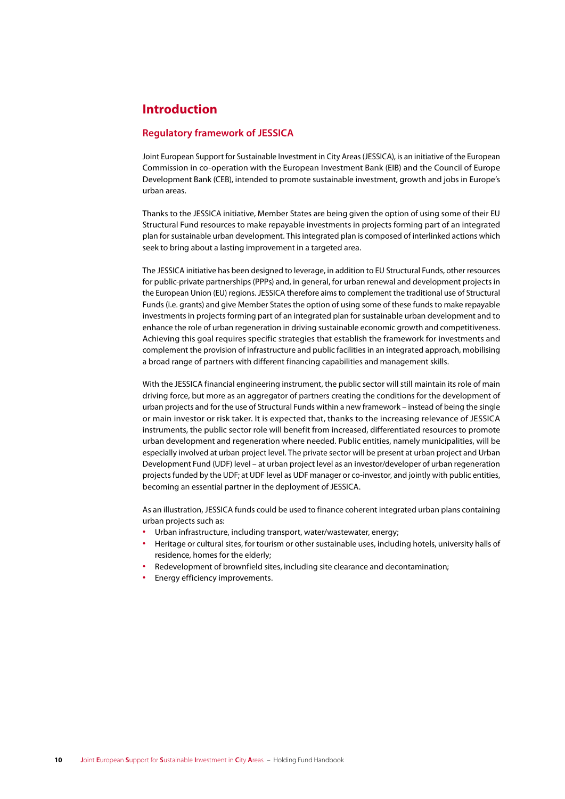### **Introduction**

#### **Regulatory framework of JESSICA**

Joint European Support for Sustainable Investment in City Areas (JESSICA), is an initiative of the European Commission in co-operation with the European Investment Bank (EIB) and the Council of Europe Development Bank (CEB), intended to promote sustainable investment, growth and jobs in Europe's urban areas.

Thanks to the JESSICA initiative, Member States are being given the option of using some of their EU Structural Fund resources to make repayable investments in projects forming part of an integrated plan for sustainable urban development. This integrated plan is composed of interlinked actions which seek to bring about a lasting improvement in a targeted area.

The JESSICA initiative has been designed to leverage, in addition to EU Structural Funds, other resources for public-private partnerships (PPPs) and, in general, for urban renewal and development projects in the European Union (EU) regions. JESSICA therefore aims to complement the traditional use of Structural Funds (i.e. grants) and give Member States the option of using some of these funds to make repayable investments in projects forming part of an integrated plan for sustainable urban development and to enhance the role of urban regeneration in driving sustainable economic growth and competitiveness. Achieving this goal requires specific strategies that establish the framework for investments and complement the provision of infrastructure and public facilities in an integrated approach, mobilising a broad range of partners with different financing capabilities and management skills.

With the JESSICA financial engineering instrument, the public sector will still maintain its role of main driving force, but more as an aggregator of partners creating the conditions for the development of urban projects and for the use of Structural Funds within a new framework – instead of being the single or main investor or risk taker. It is expected that, thanks to the increasing relevance of JESSICA instruments, the public sector role will benefit from increased, differentiated resources to promote urban development and regeneration where needed. Public entities, namely municipalities, will be especially involved at urban project level. The private sector will be present at urban project and Urban Development Fund (UDF) level – at urban project level as an investor/developer of urban regeneration projects funded by the UDF; at UDF level as UDF manager or co-investor, and jointly with public entities, becoming an essential partner in the deployment of JESSICA.

As an illustration, JESSICA funds could be used to finance coherent integrated urban plans containing urban projects such as:

- **∙** Urban infrastructure, including transport, water/wastewater, energy;
- **∙** Heritage or cultural sites, for tourism or other sustainable uses, including hotels, university halls of residence, homes for the elderly;
- **∙** Redevelopment of brownfield sites, including site clearance and decontamination;
- **∙** Energy efficiency improvements.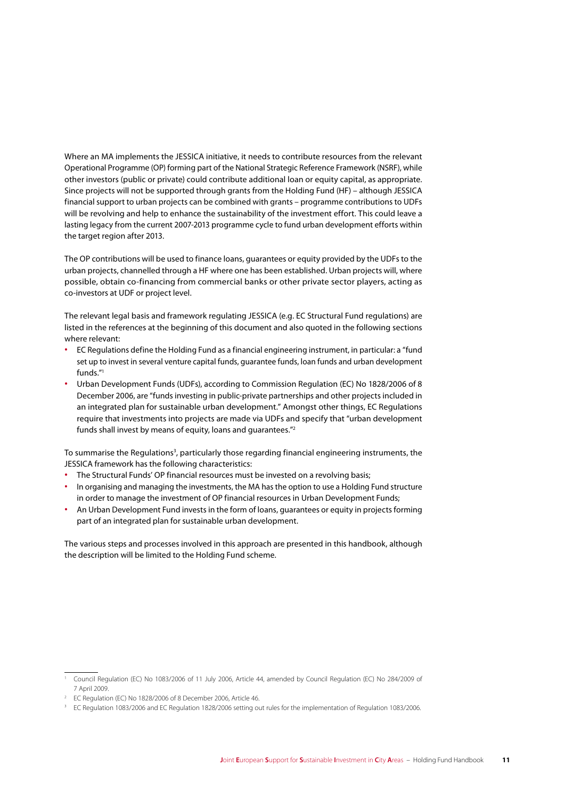Where an MA implements the JESSICA initiative, it needs to contribute resources from the relevant Operational Programme (OP) forming part of the National Strategic Reference Framework (NSRF), while other investors (public or private) could contribute additional loan or equity capital, as appropriate. Since projects will not be supported through grants from the Holding Fund (HF) – although JESSICA financial support to urban projects can be combined with grants – programme contributions to UDFs will be revolving and help to enhance the sustainability of the investment effort. This could leave a lasting legacy from the current 2007-2013 programme cycle to fund urban development efforts within the target region after 2013.

The OP contributions will be used to finance loans, guarantees or equity provided by the UDFs to the urban projects, channelled through a HF where one has been established. Urban projects will, where possible, obtain co-financing from commercial banks or other private sector players, acting as co-investors at UDF or project level.

The relevant legal basis and framework regulating JESSICA (e.g. EC Structural Fund regulations) are listed in the references at the beginning of this document and also quoted in the following sections where relevant:

- **∙** EC Regulations define the Holding Fund as a financial engineering instrument, in particular: a "fund set up to invest in several venture capital funds, guarantee funds, loan funds and urban development funds."1
- **∙** Urban Development Funds (UDFs), according to Commission Regulation (EC) No 1828/2006 of 8 December 2006, are "funds investing in public-private partnerships and other projects included in an integrated plan for sustainable urban development." Amongst other things, EC Regulations require that investments into projects are made via UDFs and specify that "urban development funds shall invest by means of equity, loans and guarantees."2

To summarise the Regulations<sup>3</sup>, particularly those regarding financial engineering instruments, the JESSICA framework has the following characteristics:

- **∙** The Structural Funds' OP financial resources must be invested on a revolving basis;
- **∙** In organising and managing the investments, the MA has the option to use a Holding Fund structure in order to manage the investment of OP financial resources in Urban Development Funds;
- **∙** An Urban Development Fund invests in the form of loans, guarantees or equity in projects forming part of an integrated plan for sustainable urban development.

The various steps and processes involved in this approach are presented in this handbook, although the description will be limited to the Holding Fund scheme.

<sup>1</sup> Council Regulation (EC) No 1083/2006 of 11 July 2006, Article 44, amended by Council Regulation (EC) No 284/2009 of 7 April 2009.

EC Regulation (EC) No 1828/2006 of 8 December 2006, Article 46.

<sup>3</sup> EC Regulation 1083/2006 and EC Regulation 1828/2006 setting out rules for the implementation of Regulation 1083/2006.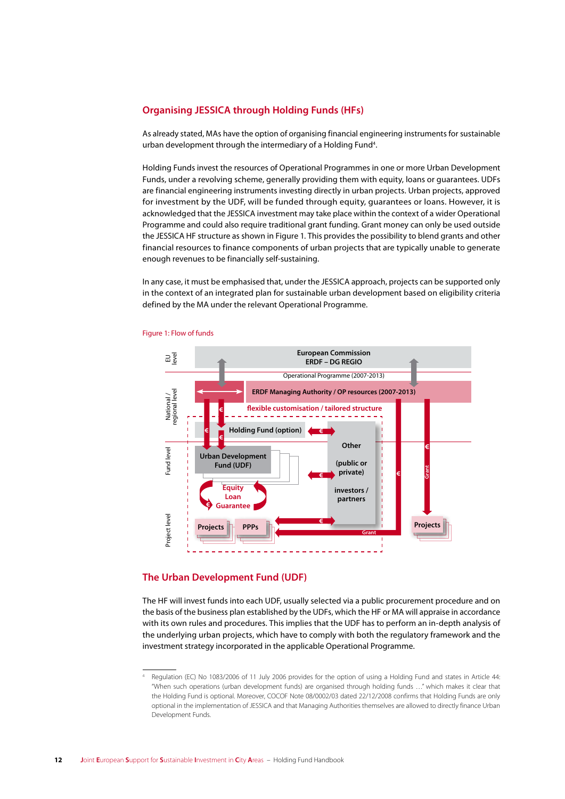#### **Organising JESSICA through Holding Funds (HFs)**

As already stated, MAs have the option of organising financial engineering instruments for sustainable urban development through the intermediary of a Holding Fund<sup>4</sup>.

Holding Funds invest the resources of Operational Programmes in one or more Urban Development Funds, under a revolving scheme, generally providing them with equity, loans or guarantees. UDFs are financial engineering instruments investing directly in urban projects. Urban projects, approved for investment by the UDF, will be funded through equity, guarantees or loans. However, it is acknowledged that the JESSICA investment may take place within the context of a wider Operational Programme and could also require traditional grant funding. Grant money can only be used outside the JESSICA HF structure as shown in Figure 1. This provides the possibility to blend grants and other financial resources to finance components of urban projects that are typically unable to generate enough revenues to be financially self-sustaining.

In any case, it must be emphasised that, under the JESSICA approach, projects can be supported only in the context of an integrated plan for sustainable urban development based on eligibility criteria defined by the MA under the relevant Operational Programme.



#### Figure 1: Flow of funds

#### **The Urban Development Fund (UDF)**

The HF will invest funds into each UDF, usually selected via a public procurement procedure and on the basis of the business plan established by the UDFs, which the HF or MA will appraise in accordance with its own rules and procedures. This implies that the UDF has to perform an in-depth analysis of the underlying urban projects, which have to comply with both the regulatory framework and the investment strategy incorporated in the applicable Operational Programme.

<sup>4</sup> Regulation (EC) No 1083/2006 of 11 July 2006 provides for the option of using a Holding Fund and states in Article 44: "When such operations (urban development funds) are organised through holding funds …" which makes it clear that the Holding Fund is optional. Moreover, COCOF Note 08/0002/03 dated 22/12/2008 confirms that Holding Funds are only optional in the implementation of JESSICA and that Managing Authorities themselves are allowed to directly finance Urban Development Funds.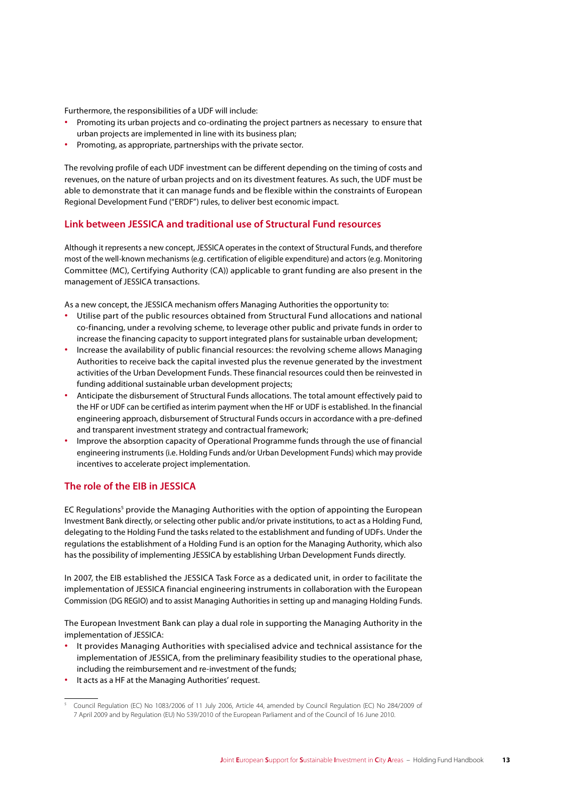Furthermore, the responsibilities of a UDF will include:

- **∙** Promoting its urban projects and co-ordinating the project partners as necessary to ensure that urban projects are implemented in line with its business plan;
- **∙** Promoting, as appropriate, partnerships with the private sector.

The revolving profile of each UDF investment can be different depending on the timing of costs and revenues, on the nature of urban projects and on its divestment features. As such, the UDF must be able to demonstrate that it can manage funds and be flexible within the constraints of European Regional Development Fund ("ERDF") rules, to deliver best economic impact.

#### **Link between JESSICA and traditional use of Structural Fund resources**

Although it represents a new concept, JESSICA operates in the context of Structural Funds, and therefore most of the well-known mechanisms (e.g. certification of eligible expenditure) and actors (e.g. Monitoring Committee (MC), Certifying Authority (CA)) applicable to grant funding are also present in the management of JESSICA transactions.

As a new concept, the JESSICA mechanism offers Managing Authorities the opportunity to:

- **∙** Utilise part of the public resources obtained from Structural Fund allocations and national co-financing, under a revolving scheme, to leverage other public and private funds in order to increase the financing capacity to support integrated plans for sustainable urban development;
- **∙** Increase the availability of public financial resources: the revolving scheme allows Managing Authorities to receive back the capital invested plus the revenue generated by the investment activities of the Urban Development Funds. These financial resources could then be reinvested in funding additional sustainable urban development projects;
- **∙** Anticipate the disbursement of Structural Funds allocations. The total amount effectively paid to the HF or UDF can be certified as interim payment when the HF or UDF is established. In the financial engineering approach, disbursement of Structural Funds occurs in accordance with a pre-defined and transparent investment strategy and contractual framework;
- **∙** Improve the absorption capacity of Operational Programme funds through the use of financial engineering instruments (i.e. Holding Funds and/or Urban Development Funds) which may provide incentives to accelerate project implementation.

### **The role of the EIB in JESSICA**

EC Regulations<sup>5</sup> provide the Managing Authorities with the option of appointing the European Investment Bank directly, or selecting other public and/or private institutions, to act as a Holding Fund, delegating to the Holding Fund the tasks related to the establishment and funding of UDFs. Under the regulations the establishment of a Holding Fund is an option for the Managing Authority, which also has the possibility of implementing JESSICA by establishing Urban Development Funds directly.

In 2007, the EIB established the JESSICA Task Force as a dedicated unit, in order to facilitate the implementation of JESSICA financial engineering instruments in collaboration with the European Commission (DG REGIO) and to assist Managing Authorities in setting up and managing Holding Funds.

The European Investment Bank can play a dual role in supporting the Managing Authority in the implementation of JESSICA:

- **∙** It provides Managing Authorities with specialised advice and technical assistance for the implementation of JESSICA, from the preliminary feasibility studies to the operational phase, including the reimbursement and re-investment of the funds;
- **∙** It acts as a HF at the Managing Authorities' request.

<sup>5</sup> Council Regulation (EC) No 1083/2006 of 11 July 2006, Article 44, amended by Council Regulation (EC) No 284/2009 of 7 April 2009 and by Regulation (EU) No 539/2010 of the European Parliament and of the Council of 16 June 2010.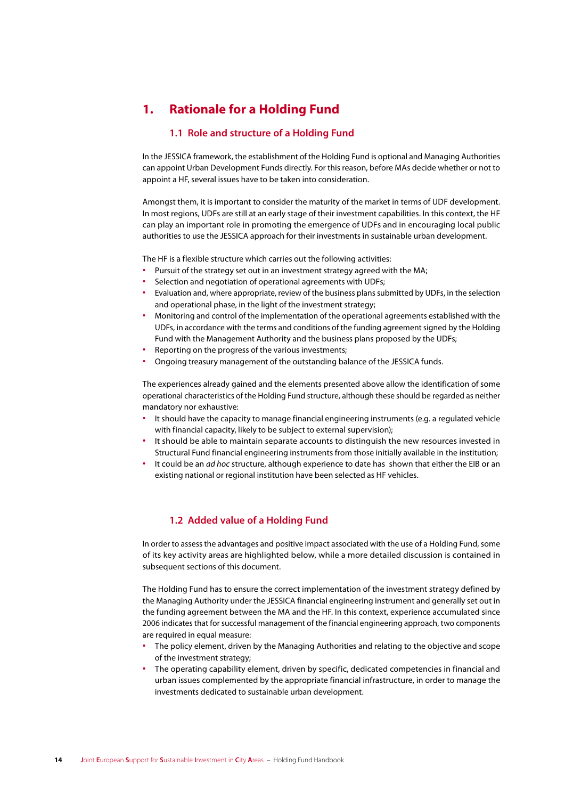### **1. Rationale for a Holding Fund**

#### **1.1 Role and structure of a Holding Fund**

In the JESSICA framework, the establishment of the Holding Fund is optional and Managing Authorities can appoint Urban Development Funds directly. For this reason, before MAs decide whether or not to appoint a HF, several issues have to be taken into consideration.

Amongst them, it is important to consider the maturity of the market in terms of UDF development. In most regions, UDFs are still at an early stage of their investment capabilities. In this context, the HF can play an important role in promoting the emergence of UDFs and in encouraging local public authorities to use the JESSICA approach for their investments in sustainable urban development.

The HF is a flexible structure which carries out the following activities:

- **∙** Pursuit of the strategy set out in an investment strategy agreed with the MA;
- **∙** Selection and negotiation of operational agreements with UDFs;
- **∙** Evaluation and, where appropriate, review of the business plans submitted by UDFs, in the selection and operational phase, in the light of the investment strategy;
- **∙** Monitoring and control of the implementation of the operational agreements established with the UDFs, in accordance with the terms and conditions of the funding agreement signed by the Holding Fund with the Management Authority and the business plans proposed by the UDFs;
- **∙** Reporting on the progress of the various investments;
- **∙** Ongoing treasury management of the outstanding balance of the JESSICA funds.

The experiences already gained and the elements presented above allow the identification of some operational characteristics of the Holding Fund structure, although these should be regarded as neither mandatory nor exhaustive:

- **∙** It should have the capacity to manage financial engineering instruments (e.g. a regulated vehicle with financial capacity, likely to be subject to external supervision);
- **∙** It should be able to maintain separate accounts to distinguish the new resources invested in Structural Fund financial engineering instruments from those initially available in the institution;
- **∙** It could be an *ad hoc* structure, although experience to date has shown that either the EIB or an existing national or regional institution have been selected as HF vehicles.

#### **1.2 Added value of a Holding Fund**

In order to assess the advantages and positive impact associated with the use of a Holding Fund, some of its key activity areas are highlighted below, while a more detailed discussion is contained in subsequent sections of this document.

The Holding Fund has to ensure the correct implementation of the investment strategy defined by the Managing Authority under the JESSICA financial engineering instrument and generally set out in the funding agreement between the MA and the HF. In this context, experience accumulated since 2006 indicates that for successful management of the financial engineering approach, two components are required in equal measure:

- **∙** The policy element, driven by the Managing Authorities and relating to the objective and scope of the investment strategy;
- **∙** The operating capability element, driven by specific, dedicated competencies in financial and urban issues complemented by the appropriate financial infrastructure, in order to manage the investments dedicated to sustainable urban development.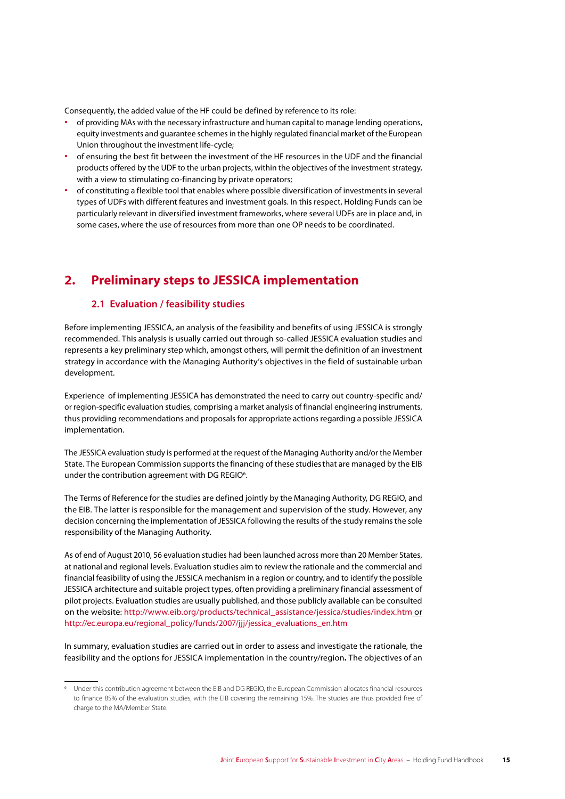Consequently, the added value of the HF could be defined by reference to its role:

- **∙** of providing MAs with the necessary infrastructure and human capital to manage lending operations, equity investments and guarantee schemes in the highly regulated financial market of the European Union throughout the investment life-cycle;
- **∙** of ensuring the best fit between the investment of the HF resources in the UDF and the financial products offered by the UDF to the urban projects, within the objectives of the investment strategy, with a view to stimulating co-financing by private operators;
- **∙** of constituting a flexible tool that enables where possible diversification of investments in several types of UDFs with different features and investment goals. In this respect, Holding Funds can be particularly relevant in diversified investment frameworks, where several UDFs are in place and, in some cases, where the use of resources from more than one OP needs to be coordinated.

### **2. Preliminary steps to JESSICA implementation**

#### **2.1 Evaluation / feasibility studies**

Before implementing JESSICA, an analysis of the feasibility and benefits of using JESSICA is strongly recommended. This analysis is usually carried out through so-called JESSICA evaluation studies and represents a key preliminary step which, amongst others, will permit the definition of an investment strategy in accordance with the Managing Authority's objectives in the field of sustainable urban development.

Experience of implementing JESSICA has demonstrated the need to carry out country-specific and/ or region-specific evaluation studies, comprising a market analysis of financial engineering instruments, thus providing recommendations and proposals for appropriate actions regarding a possible JESSICA implementation.

The JESSICA evaluation study is performed at the request of the Managing Authority and/or the Member State. The European Commission supports the financing of these studiesthat are managed by the EIB under the contribution agreement with DG REGIO<sup>6</sup>.

The Terms of Reference for the studies are defined jointly by the Managing Authority, DG REGIO, and the EIB. The latter is responsible for the management and supervision of the study. However, any decision concerning the implementation of JESSICA following the results of the study remains the sole responsibility of the Managing Authority.

As of end of August 2010, 56 evaluation studies had been launched across more than 20 Member States, at national and regional levels. Evaluation studies aim to review the rationale and the commercial and financial feasibility of using the JESSICA mechanism in a region or country, and to identify the possible JESSICA architecture and suitable project types, often providing a preliminary financial assessment of pilot projects. Evaluation studies are usually published, and those publicly available can be consulted on the website: http://www.eib.org/products/technical\_assistance/jessica/studies/index.htm or http://ec.europa.eu/regional\_policy/funds/2007/jjj/jessica\_evaluations\_en.htm

In summary, evaluation studies are carried out in order to assess and investigate the rationale, the feasibility and the options for JESSICA implementation in the country/region**.** The objectives of an

<sup>6</sup> Under this contribution agreement between the EIB and DG REGIO, the European Commission allocates financial resources to finance 85% of the evaluation studies, with the EIB covering the remaining 15%. The studies are thus provided free of charge to the MA/Member State.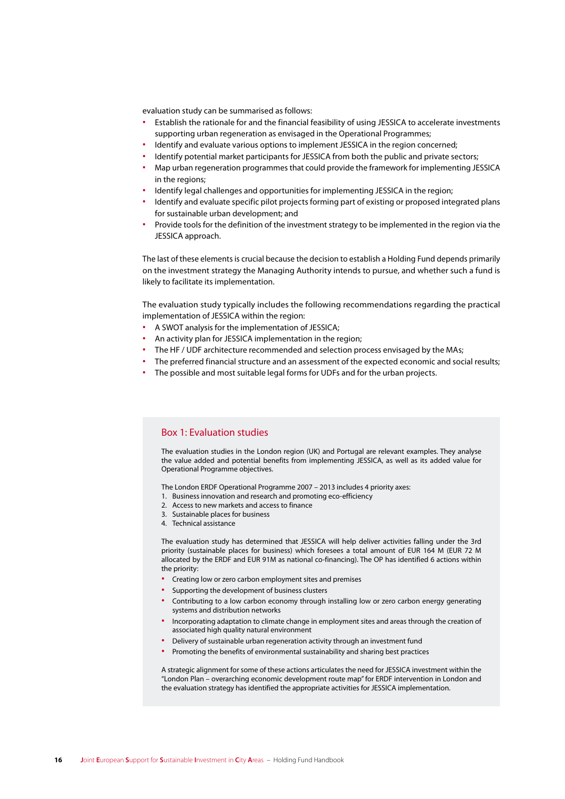evaluation study can be summarised as follows:

- **∙** Establish the rationale for and the financial feasibility of using JESSICA to accelerate investments supporting urban regeneration as envisaged in the Operational Programmes;
- **∙** Identify and evaluate various options to implement JESSICA in the region concerned;
- **∙** Identify potential market participants for JESSICA from both the public and private sectors;
- **∙** Map urban regeneration programmes that could provide the framework for implementing JESSICA in the regions;
- **∙** Identify legal challenges and opportunities for implementing JESSICA in the region;
- **∙** Identify and evaluate specific pilot projects forming part of existing or proposed integrated plans for sustainable urban development; and
- **∙** Provide tools for the definition of the investment strategy to be implemented in the region via the JESSICA approach.

The last of these elements is crucial because the decision to establish a Holding Fund depends primarily on the investment strategy the Managing Authority intends to pursue, and whether such a fund is likely to facilitate its implementation.

The evaluation study typically includes the following recommendations regarding the practical implementation of JESSICA within the region:

- **∙** A SWOT analysis for the implementation of JESSICA;
- **∙** An activity plan for JESSICA implementation in the region;
- **∙** The HF / UDF architecture recommended and selection process envisaged by the MAs;
- **∙** The preferred financial structure and an assessment of the expected economic and social results;
- **∙** The possible and most suitable legal forms for UDFs and for the urban projects.

#### Box 1: Evaluation studies

The evaluation studies in the London region (UK) and Portugal are relevant examples. They analyse the value added and potential benefits from implementing JESSICA, as well as its added value for Operational Programme objectives.

The London ERDF Operational Programme 2007 – 2013 includes 4 priority axes:

- 1. Business innovation and research and promoting eco-efficiency
- 2. Access to new markets and access to finance
- 3. Sustainable places for business
- 4. Technical assistance

The evaluation study has determined that JESSICA will help deliver activities falling under the 3rd priority (sustainable places for business) which foresees a total amount of EUR 164 M (EUR 72 M allocated by the ERDF and EUR 91M as national co-financing). The OP has identified 6 actions within the priority:

- **∙** Creating low or zero carbon employment sites and premises
- **∙** Supporting the development of business clusters
- **∙** Contributing to a low carbon economy through installing low or zero carbon energy generating systems and distribution networks
- **∙** Incorporating adaptation to climate change in employment sites and areas through the creation of associated high quality natural environment
- **∙** Delivery of sustainable urban regeneration activity through an investment fund
- **∙** Promoting the benefits of environmental sustainability and sharing best practices

A strategic alignment for some of these actions articulates the need for JESSICA investment within the "London Plan – overarching economic development route map" for ERDF intervention in London and the evaluation strategy has identified the appropriate activities for JESSICA implementation.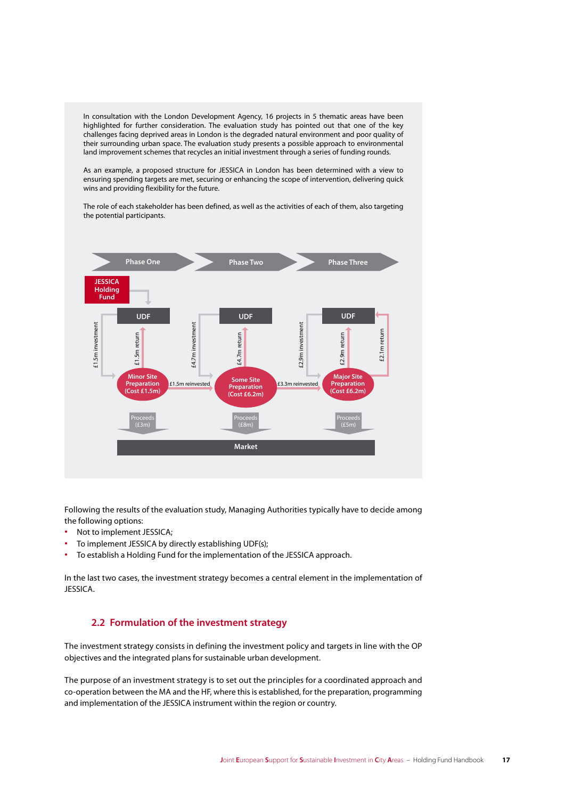In consultation with the London Development Agency, 16 projects in 5 thematic areas have been highlighted for further consideration. The evaluation study has pointed out that one of the key challenges facing deprived areas in London is the degraded natural environment and poor quality of their surrounding urban space. The evaluation study presents a possible approach to environmental land improvement schemes that recycles an initial investment through a series of funding rounds.

As an example, a proposed structure for JESSICA in London has been determined with a view to ensuring spending targets are met, securing or enhancing the scope of intervention, delivering quick wins and providing flexibility for the future.

The role of each stakeholder has been defined, as well as the activities of each of them, also targeting the potential participants.



Following the results of the evaluation study, Managing Authorities typically have to decide among the following options:

- **∙** Not to implement JESSICA;
- **∙** To implement JESSICA by directly establishing UDF(s);
- **∙** To establish a Holding Fund for the implementation of the JESSICA approach.

In the last two cases, the investment strategy becomes a central element in the implementation of JESSICA.

#### **2.2 Formulation of the investment strategy**

The investment strategy consists in defining the investment policy and targets in line with the OP objectives and the integrated plans for sustainable urban development.

The purpose of an investment strategy is to set out the principles for a coordinated approach and co-operation between the MA and the HF, where this is established, for the preparation, programming and implementation of the JESSICA instrument within the region or country.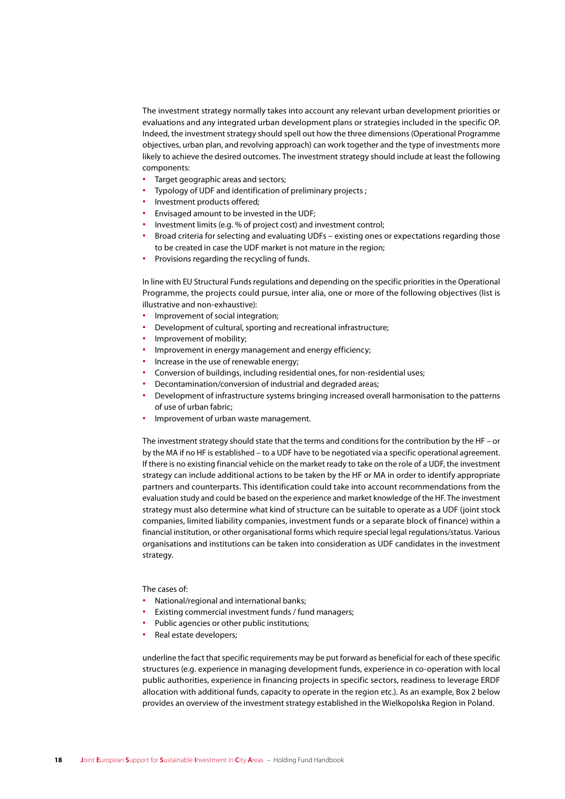The investment strategy normally takes into account any relevant urban development priorities or evaluations and any integrated urban development plans or strategies included in the specific OP. Indeed, the investment strategy should spell out how the three dimensions (Operational Programme objectives, urban plan, and revolving approach) can work together and the type of investments more likely to achieve the desired outcomes. The investment strategy should include at least the following components:

- **∙** Target geographic areas and sectors;
- **∙** Typology of UDF and identification of preliminary projects ;
- **∙** Investment products offered;
- **∙** Envisaged amount to be invested in the UDF;
- **∙** Investment limits (e.g. % of project cost) and investment control;
- **∙** Broad criteria for selecting and evaluating UDFs existing ones or expectations regarding those to be created in case the UDF market is not mature in the region;
- **∙** Provisions regarding the recycling of funds.

In line with EU Structural Funds regulations and depending on the specific priorities in the Operational Programme, the projects could pursue, inter alia, one or more of the following objectives (list is illustrative and non-exhaustive):

- **∙** Improvement of social integration;
- **∙** Development of cultural, sporting and recreational infrastructure;
- **∙** Improvement of mobility;
- **∙** Improvement in energy management and energy efficiency;
- **∙** Increase in the use of renewable energy;
- **∙** Conversion of buildings, including residential ones, for non-residential uses;
- **∙** Decontamination/conversion of industrial and degraded areas;
- **∙** Development of infrastructure systems bringing increased overall harmonisation to the patterns of use of urban fabric;
- **∙** Improvement of urban waste management.

The investment strategy should state that the terms and conditions for the contribution by the HF – or by the MA if no HF is established – to a UDF have to be negotiated via a specific operational agreement. If there is no existing financial vehicle on the market ready to take on the role of a UDF, the investment strategy can include additional actions to be taken by the HF or MA in order to identify appropriate partners and counterparts. This identification could take into account recommendations from the evaluation study and could be based on the experience and market knowledge of the HF. The investment strategy must also determine what kind of structure can be suitable to operate as a UDF (joint stock companies, limited liability companies, investment funds or a separate block of finance) within a financial institution, or other organisational forms which require special legal regulations/status. Various organisations and institutions can be taken into consideration as UDF candidates in the investment strategy.

#### The cases of:

- **∙** National/regional and international banks;
- **∙** Existing commercial investment funds / fund managers;
- **∙** Public agencies or other public institutions;
- **∙** Real estate developers;

underline the fact that specific requirements may be put forward as beneficial for each of these specific structures (e.g. experience in managing development funds, experience in co-operation with local public authorities, experience in financing projects in specific sectors, readiness to leverage ERDF allocation with additional funds, capacity to operate in the region etc.). As an example, Box 2 below provides an overview of the investment strategy established in the Wielkopolska Region in Poland.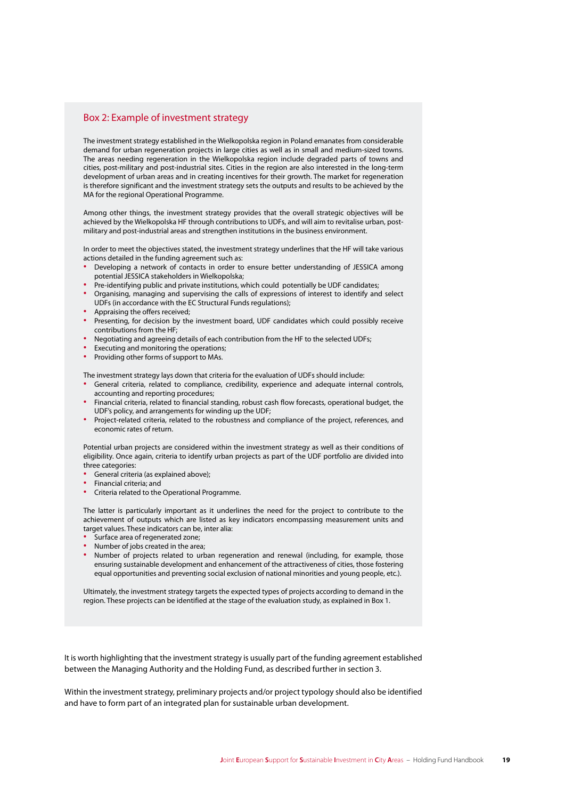#### Box 2: Example of investment strategy

The investment strategy established in the Wielkopolska region in Poland emanates from considerable demand for urban regeneration projects in large cities as well as in small and medium-sized towns. The areas needing regeneration in the Wielkopolska region include degraded parts of towns and cities, post-military and post-industrial sites. Cities in the region are also interested in the long-term development of urban areas and in creating incentives for their growth. The market for regeneration is therefore significant and the investment strategy sets the outputs and results to be achieved by the MA for the regional Operational Programme.

Among other things, the investment strategy provides that the overall strategic objectives will be achieved by the Wielkopolska HF through contributions to UDFs, and will aim to revitalise urban, postmilitary and post-industrial areas and strengthen institutions in the business environment.

In order to meet the objectives stated, the investment strategy underlines that the HF will take various actions detailed in the funding agreement such as:

- **∙** Developing a network of contacts in order to ensure better understanding of JESSICA among potential JESSICA stakeholders in Wielkopolska;
- **∙** Pre-identifying public and private institutions, which could potentially be UDF candidates;
- **∙** Organising, managing and supervising the calls of expressions of interest to identify and select UDFs (in accordance with the EC Structural Funds regulations);
- **∙** Appraising the offers received;
- **∙** Presenting, for decision by the investment board, UDF candidates which could possibly receive contributions from the HF;
- **∙** Negotiating and agreeing details of each contribution from the HF to the selected UDFs;
- **∙** Executing and monitoring the operations;
- **∙** Providing other forms of support to MAs.

The investment strategy lays down that criteria for the evaluation of UDFs should include:

- General criteria, related to compliance, credibility, experience and adequate internal controls, accounting and reporting procedures;
- **∙** Financial criteria, related to financial standing, robust cash flow forecasts, operational budget, the UDF's policy, and arrangements for winding up the UDF;
- **∙** Project-related criteria, related to the robustness and compliance of the project, references, and economic rates of return.

Potential urban projects are considered within the investment strategy as well as their conditions of eligibility. Once again, criteria to identify urban projects as part of the UDF portfolio are divided into three categories:

- **∙** General criteria (as explained above);
- **∙** Financial criteria; and
- **∙** Criteria related to the Operational Programme.

The latter is particularly important as it underlines the need for the project to contribute to the achievement of outputs which are listed as key indicators encompassing measurement units and target values. These indicators can be, inter alia:

- **∙** Surface area of regenerated zone;
- **∙** Number of jobs created in the area;
- Number of projects related to urban regeneration and renewal (including, for example, those ensuring sustainable development and enhancement of the attractiveness of cities, those fostering equal opportunities and preventing social exclusion of national minorities and young people, etc.).

Ultimately, the investment strategy targets the expected types of projects according to demand in the region. These projects can be identified at the stage of the evaluation study, as explained in Box 1.

It is worth highlighting that the investment strategy is usually part of the funding agreement established between the Managing Authority and the Holding Fund, as described further in section 3.

Within the investment strategy, preliminary projects and/or project typology should also be identified and have to form part of an integrated plan for sustainable urban development.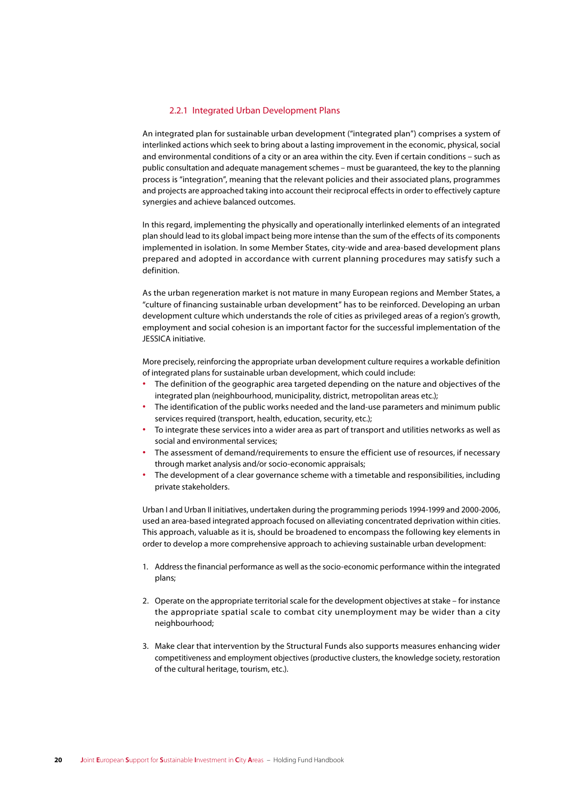#### 2.2.1 Integrated Urban Development Plans

An integrated plan for sustainable urban development ("integrated plan") comprises a system of interlinked actions which seek to bring about a lasting improvement in the economic, physical, social and environmental conditions of a city or an area within the city. Even if certain conditions – such as public consultation and adequate management schemes – must be guaranteed, the key to the planning process is "integration", meaning that the relevant policies and their associated plans, programmes and projects are approached taking into account their reciprocal effects in order to effectively capture synergies and achieve balanced outcomes.

In this regard, implementing the physically and operationally interlinked elements of an integrated plan should lead to its global impact being more intense than the sum of the effects of its components implemented in isolation. In some Member States, city-wide and area-based development plans prepared and adopted in accordance with current planning procedures may satisfy such a definition.

As the urban regeneration market is not mature in many European regions and Member States, a "culture of financing sustainable urban development" has to be reinforced. Developing an urban development culture which understands the role of cities as privileged areas of a region's growth, employment and social cohesion is an important factor for the successful implementation of the JESSICA initiative.

More precisely, reinforcing the appropriate urban development culture requires a workable definition of integrated plans for sustainable urban development, which could include:

- **∙** The definition of the geographic area targeted depending on the nature and objectives of the integrated plan (neighbourhood, municipality, district, metropolitan areas etc.);
- **∙** The identification of the public works needed and the land-use parameters and minimum public services required (transport, health, education, security, etc.);
- **∙** To integrate these services into a wider area as part of transport and utilities networks as well as social and environmental services;
- The assessment of demand/requirements to ensure the efficient use of resources, if necessary through market analysis and/or socio-economic appraisals;
- **∙** The development of a clear governance scheme with a timetable and responsibilities, including private stakeholders.

Urban I and Urban II initiatives, undertaken during the programming periods 1994-1999 and 2000-2006, used an area-based integrated approach focused on alleviating concentrated deprivation within cities. This approach, valuable as it is, should be broadened to encompass the following key elements in order to develop a more comprehensive approach to achieving sustainable urban development:

- 1. Address the financial performance as well as the socio-economic performance within the integrated plans;
- 2. Operate on the appropriate territorial scale for the development objectives at stake for instance the appropriate spatial scale to combat city unemployment may be wider than a city neighbourhood:
- 3. Make clear that intervention by the Structural Funds also supports measures enhancing wider competitiveness and employment objectives (productive clusters, the knowledge society, restoration of the cultural heritage, tourism, etc.).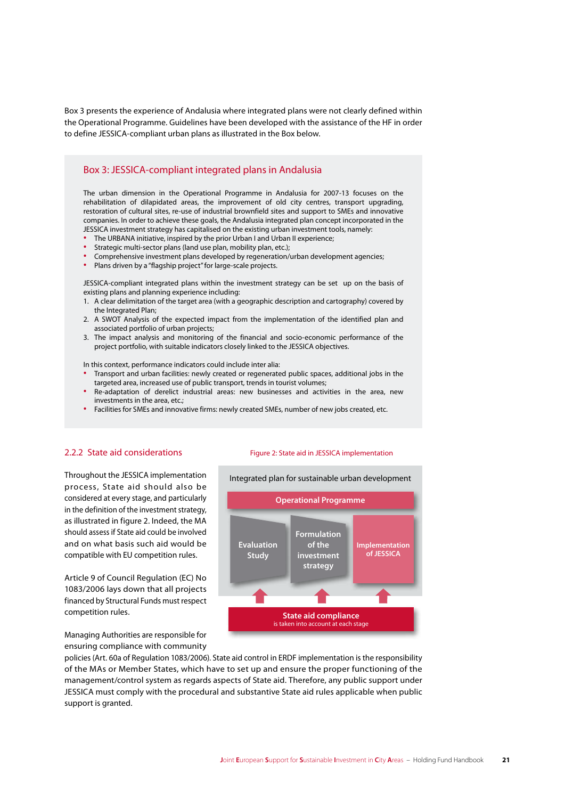Box 3 presents the experience of Andalusia where integrated plans were not clearly defined within the Operational Programme. Guidelines have been developed with the assistance of the HF in order to define JESSICA-compliant urban plans as illustrated in the Box below.

#### Box 3: JESSICA-compliant integrated plans in Andalusia

The urban dimension in the Operational Programme in Andalusia for 2007-13 focuses on the rehabilitation of dilapidated areas, the improvement of old city centres, transport upgrading, restoration of cultural sites, re-use of industrial brownfield sites and support to SMEs and innovative companies. In order to achieve these goals, the Andalusia integrated plan concept incorporated in the JESSICA investment strategy has capitalised on the existing urban investment tools, namely:

- **∙** The URBANA initiative, inspired by the prior Urban I and Urban II experience;
- **∙** Strategic multi-sector plans (land use plan, mobility plan, etc.);
- **∙** Comprehensive investment plans developed by regeneration/urban development agencies;
- **∙** Plans driven by a "flagship project" for large-scale projects.

JESSICA-compliant integrated plans within the investment strategy can be set up on the basis of existing plans and planning experience including:

- 1. A clear delimitation of the target area (with a geographic description and cartography) covered by the Integrated Plan;
- 2. A SWOT Analysis of the expected impact from the implementation of the identified plan and associated portfolio of urban projects;
- 3. The impact analysis and monitoring of the financial and socio-economic performance of the project portfolio, with suitable indicators closely linked to the JESSICA objectives.

In this context, performance indicators could include inter alia:

- **∙** Transport and urban facilities: newly created or regenerated public spaces, additional jobs in the targeted area, increased use of public transport, trends in tourist volumes;
- **∙** Re-adaptation of derelict industrial areas: new businesses and activities in the area, new investments in the area, etc.;
- **∙** Facilities for SMEs and innovative firms: newly created SMEs, number of new jobs created, etc.

#### 2.2.2 State aid considerations Figure 2: State aid in JESSICA implementation

Throughout the JESSICA implementation process, State aid should also be considered at every stage, and particularly in the definition of the investment strategy, as illustrated in figure 2. Indeed, the MA should assess if State aid could be involved and on what basis such aid would be compatible with EU competition rules.

Article 9 of Council Regulation (EC) No 1083/2006 lays down that all projects financed by Structural Funds must respect competition rules.

Managing Authorities are responsible for ensuring compliance with community



policies (Art. 60a of Regulation 1083/2006). State aid control in ERDF implementation is the responsibility of the MAs or Member States, which have to set up and ensure the proper functioning of the management/control system as regards aspects of State aid. Therefore, any public support under JESSICA must comply with the procedural and substantive State aid rules applicable when public support is granted.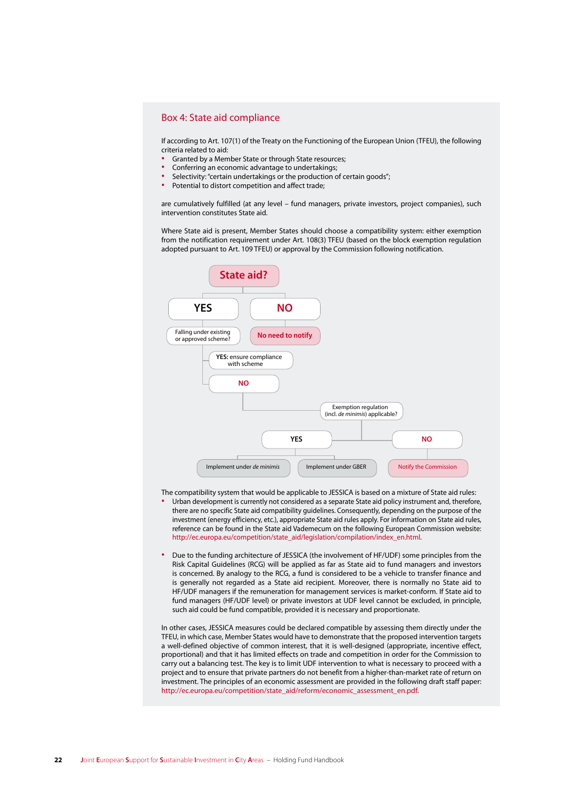#### Box 4: State aid compliance

If according to Art. 107(1) of the Treaty on the Functioning of the European Union (TFEU), the following criteria related to aid:

- **∙** Granted by a Member State or through State resources;
- **∙** Conferring an economic advantage to undertakings;
- **∙** Selectivity: "certain undertakings or the production of certain goods";
- **∙** Potential to distort competition and affect trade;

are cumulatively fulfilled (at any level – fund managers, private investors, project companies), such intervention constitutes State aid.

Where State aid is present, Member States should choose a compatibility system: either exemption from the notification requirement under Art. 108(3) TFEU (based on the block exemption regulation adopted pursuant to Art. 109 TFEU) or approval by the Commission following notification.



The compatibility system that would be applicable to JESSICA is based on a mixture of State aid rules:

- **∙** Urban development is currently not considered as a separate State aid policy instrument and, therefore, there are no specific State aid compatibility guidelines. Consequently, depending on the purpose of the investment (energy efficiency, etc.), appropriate State aid rules apply. For information on State aid rules, reference can be found in the State aid Vademecum on the following European Commission website: http://ec.europa.eu/competition/state\_aid/legislation/compilation/index\_en.html.
- **∙** Due to the funding architecture of JESSICA (the involvement of HF/UDF) some principles from the Risk Capital Guidelines (RCG) will be applied as far as State aid to fund managers and investors is concerned. By analogy to the RCG, a fund is considered to be a vehicle to transfer finance and is generally not regarded as a State aid recipient. Moreover, there is normally no State aid to HF/UDF managers if the remuneration for management services is market-conform. If State aid to fund managers (HF/UDF level) or private investors at UDF level cannot be excluded, in principle, such aid could be fund compatible, provided it is necessary and proportionate.

In other cases, JESSICA measures could be declared compatible by assessing them directly under the TFEU, in which case, Member States would have to demonstrate that the proposed intervention targets a well-defined objective of common interest, that it is well-designed (appropriate, incentive effect, proportional) and that it has limited effects on trade and competition in order for the Commission to carry out a balancing test. The key is to limit UDF intervention to what is necessary to proceed with a project and to ensure that private partners do not benefit from a higher-than-market rate of return on investment. The principles of an economic assessment are provided in the following draft staff paper: http://ec.europa.eu/competition/state\_aid/reform/economic\_assessment\_en.pdf.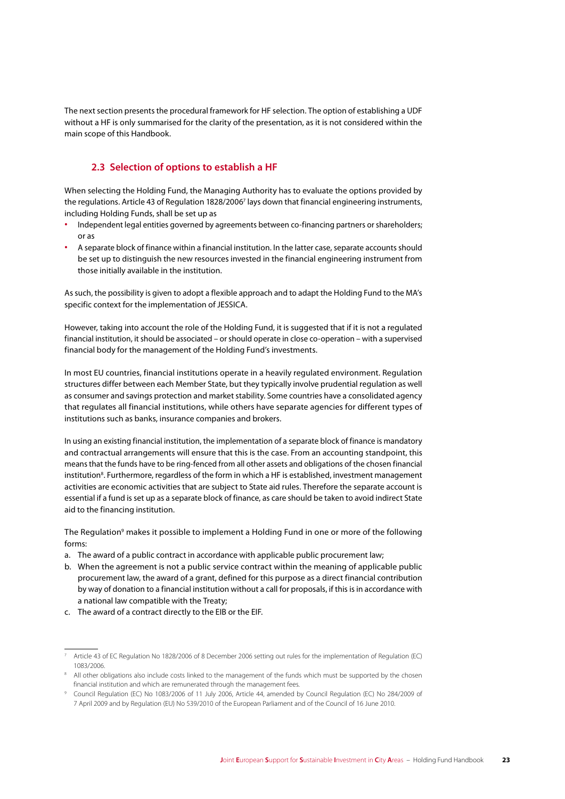The next section presents the procedural framework for HF selection. The option of establishing a UDF without a HF is only summarised for the clarity of the presentation, as it is not considered within the main scope of this Handbook.

#### **2.3 Selection of options to establish a HF**

When selecting the Holding Fund, the Managing Authority has to evaluate the options provided by the regulations. Article 43 of Regulation 1828/2006<sup>7</sup> lays down that financial engineering instruments, including Holding Funds, shall be set up as

- **∙** Independent legal entities governed by agreements between co-financing partners or shareholders; or as
- **∙** A separate block of finance within a financial institution. In the latter case, separate accounts should be set up to distinguish the new resources invested in the financial engineering instrument from those initially available in the institution.

As such, the possibility is given to adopt a flexible approach and to adapt the Holding Fund to the MA's specific context for the implementation of JESSICA.

However, taking into account the role of the Holding Fund, it is suggested that if it is not a regulated financial institution, it should be associated – or should operate in close co-operation – with a supervised financial body for the management of the Holding Fund's investments.

In most EU countries, financial institutions operate in a heavily regulated environment. Regulation structures differ between each Member State, but they typically involve prudential regulation as well as consumer and savings protection and market stability. Some countries have a consolidated agency that regulates all financial institutions, while others have separate agencies for different types of institutions such as banks, insurance companies and brokers.

In using an existing financial institution, the implementation of a separate block of finance is mandatory and contractual arrangements will ensure that this is the case. From an accounting standpoint, this means that the funds have to be ring-fenced from all other assets and obligations of the chosen financial institution<sup>8</sup>. Furthermore, regardless of the form in which a HF is established, investment management activities are economic activities that are subject to State aid rules. Therefore the separate account is essential if a fund is set up as a separate block of finance, as care should be taken to avoid indirect State aid to the financing institution.

The Regulation<sup>9</sup> makes it possible to implement a Holding Fund in one or more of the following forms:

- a. The award of a public contract in accordance with applicable public procurement law;
- b. When the agreement is not a public service contract within the meaning of applicable public procurement law, the award of a grant, defined for this purpose as a direct financial contribution by way of donation to a financial institution without a call for proposals, if this is in accordance with a national law compatible with the Treaty;
- c. The award of a contract directly to the EIB or the EIF.

<sup>7</sup> Article 43 of EC Regulation No 1828/2006 of 8 December 2006 setting out rules for the implementation of Regulation (EC) 1083/2006.

All other obligations also include costs linked to the management of the funds which must be supported by the chosen financial institution and which are remunerated through the management fees.

<sup>9</sup> Council Regulation (EC) No 1083/2006 of 11 July 2006, Article 44, amended by Council Regulation (EC) No 284/2009 of 7 April 2009 and by Regulation (EU) No 539/2010 of the European Parliament and of the Council of 16 June 2010.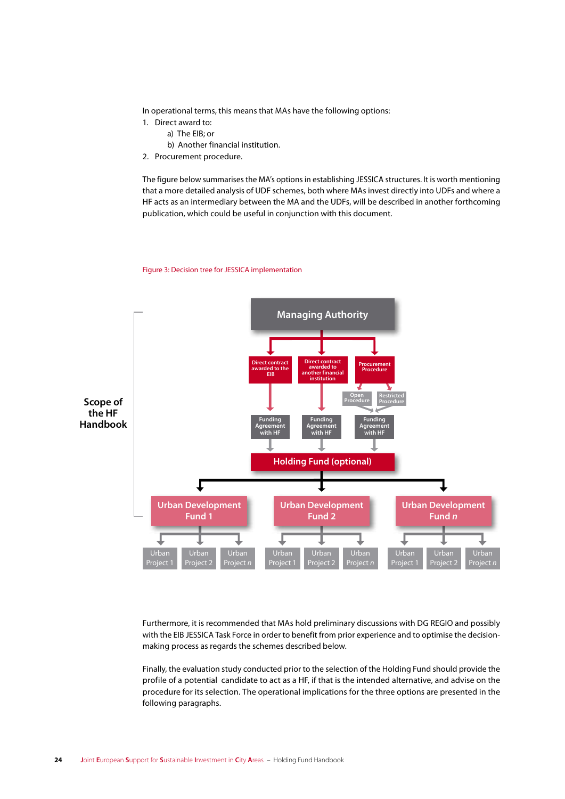In operational terms, this means that MAs have the following options:

- 1. Direct award to:
	- a) The EIB; or
	- b) Another financial institution.
- 2. Procurement procedure.

The figure below summarises the MA's options in establishing JESSICA structures. It is worth mentioning that a more detailed analysis of UDF schemes, both where MAs invest directly into UDFs and where a HF acts as an intermediary between the MA and the UDFs, will be described in another forthcoming publication, which could be useful in conjunction with this document.

#### Figure 3: Decision tree for JESSICA implementation



Furthermore, it is recommended that MAs hold preliminary discussions with DG REGIO and possibly with the EIB JESSICA Task Force in order to benefit from prior experience and to optimise the decisionmaking process as regards the schemes described below.

Finally, the evaluation study conducted prior to the selection of the Holding Fund should provide the profile of a potential candidate to act as a HF, if that is the intended alternative, and advise on the procedure for its selection. The operational implications for the three options are presented in the following paragraphs.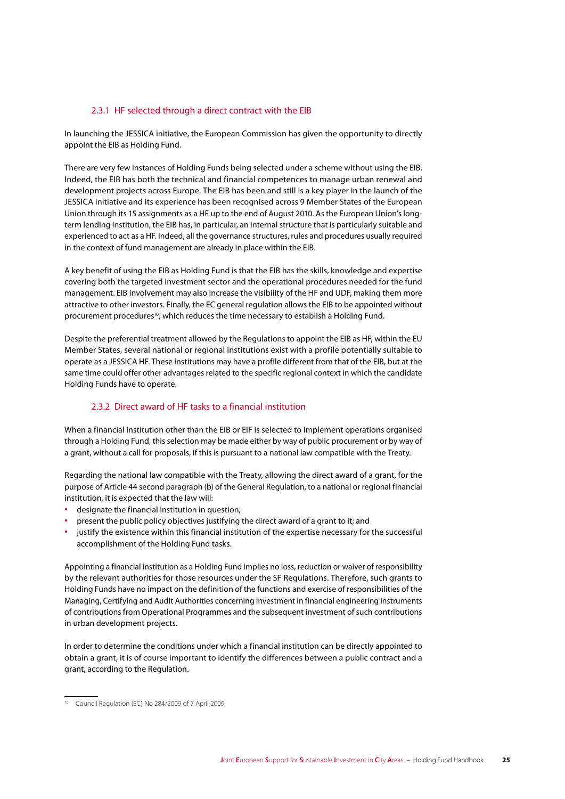#### 2.3.1 HF selected through a direct contract with the EIB

In launching the JESSICA initiative, the European Commission has given the opportunity to directly appoint the EIB as Holding Fund.

There are very few instances of Holding Funds being selected under a scheme without using the EIB. Indeed, the EIB has both the technical and financial competences to manage urban renewal and development projects across Europe. The EIB has been and still is a key player in the launch of the JESSICA initiative and its experience has been recognised across 9 Member States of the European Union through its 15 assignments as a HF up to the end of August 2010. As the European Union's longterm lending institution, the EIB has, in particular, an internal structure that is particularly suitable and experienced to act as a HF. Indeed, all the governance structures, rules and procedures usually required in the context of fund management are already in place within the EIB.

A key benefit of using the EIB as Holding Fund is that the EIB has the skills, knowledge and expertise covering both the targeted investment sector and the operational procedures needed for the fund management. EIB involvement may also increase the visibility of the HF and UDF, making them more attractive to other investors. Finally, the EC general regulation allows the EIB to be appointed without procurement procedures<sup>10</sup>, which reduces the time necessary to establish a Holding Fund.

Despite the preferential treatment allowed by the Regulations to appoint the EIB as HF, within the EU Member States, several national or regional institutions exist with a profile potentially suitable to operate as a JESSICA HF. These institutions may have a profile different from that of the EIB, but at the same time could offer other advantages related to the specific regional context in which the candidate Holding Funds have to operate.

#### 2.3.2 Direct award of HF tasks to a financial institution

When a financial institution other than the EIB or EIF is selected to implement operations organised through a Holding Fund, this selection may be made either by way of public procurement or by way of a grant, without a call for proposals, if this is pursuant to a national law compatible with the Treaty.

Regarding the national law compatible with the Treaty, allowing the direct award of a grant, for the purpose of Article 44 second paragraph (b) of the General Regulation, to a national or regional financial institution, it is expected that the law will:

- **∙** designate the financial institution in question;
- **∙** present the public policy objectives justifying the direct award of a grant to it; and
- **∙** justify the existence within this financial institution of the expertise necessary for the successful accomplishment of the Holding Fund tasks.

Appointing a financial institution as a Holding Fund implies no loss, reduction or waiver of responsibility by the relevant authorities for those resources under the SF Regulations. Therefore, such grants to Holding Funds have no impact on the definition of the functions and exercise of responsibilities of the Managing, Certifying and Audit Authorities concerning investment in financial engineering instruments of contributions from Operational Programmes and the subsequent investment of such contributions in urban development projects.

In order to determine the conditions under which a financial institution can be directly appointed to obtain a grant, it is of course important to identify the differences between a public contract and a grant, according to the Regulation.

<sup>10</sup> Council Regulation (EC) No 284/2009 of 7 April 2009.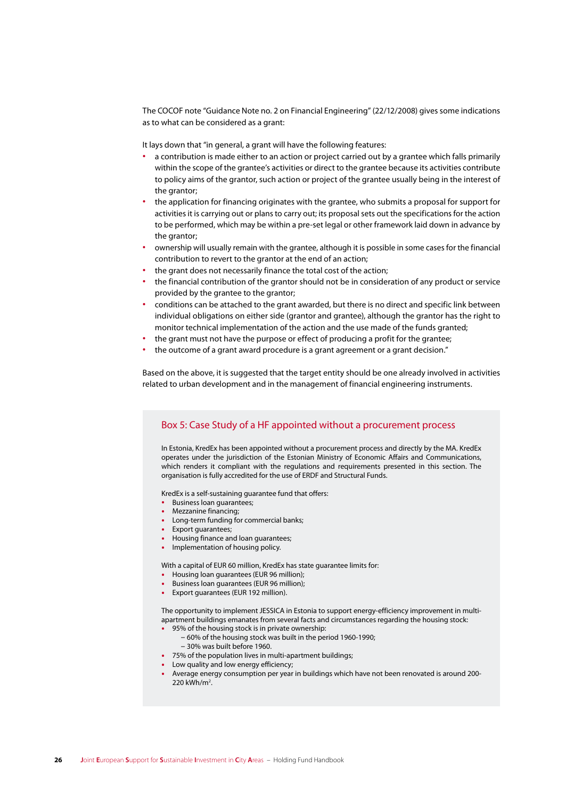The COCOF note "Guidance Note no. 2 on Financial Engineering" (22/12/2008) gives some indications as to what can be considered as a grant:

It lays down that "in general, a grant will have the following features:

- **∙** a contribution is made either to an action or project carried out by a grantee which falls primarily within the scope of the grantee's activities or direct to the grantee because its activities contribute to policy aims of the grantor, such action or project of the grantee usually being in the interest of the grantor;
- **∙** the application for financing originates with the grantee, who submits a proposal for support for activities it is carrying out or plans to carry out; its proposal sets out the specifications for the action to be performed, which may be within a pre-set legal or other framework laid down in advance by the grantor;
- **∙** ownership will usually remain with the grantee, although it is possible in some cases for the financial contribution to revert to the grantor at the end of an action;
- **∙** the grant does not necessarily finance the total cost of the action;
- **∙** the financial contribution of the grantor should not be in consideration of any product or service provided by the grantee to the grantor;
- **∙** conditions can be attached to the grant awarded, but there is no direct and specific link between individual obligations on either side (grantor and grantee), although the grantor has the right to monitor technical implementation of the action and the use made of the funds granted;
- **∙** the grant must not have the purpose or effect of producing a profit for the grantee;
- **∙** the outcome of a grant award procedure is a grant agreement or a grant decision."

Based on the above, it is suggested that the target entity should be one already involved in activities related to urban development and in the management of financial engineering instruments.

#### Box 5: Case Study of a HF appointed without a procurement process

In Estonia, KredEx has been appointed without a procurement process and directly by the MA. KredEx operates under the jurisdiction of the Estonian Ministry of Economic Affairs and Communications, which renders it compliant with the regulations and requirements presented in this section. The organisation is fully accredited for the use of ERDF and Structural Funds.

KredEx is a self-sustaining guarantee fund that offers:

- **∙** Business loan guarantees;
- **∙** Mezzanine financing;
- **∙** Long-term funding for commercial banks;
- **∙** Export guarantees;
- **∙** Housing finance and loan guarantees;

**∙** Implementation of housing policy.

With a capital of EUR 60 million, KredEx has state guarantee limits for:

- **∙** Housing loan guarantees (EUR 96 million);
- **∙** Business loan guarantees (EUR 96 million);
- **∙** Export guarantees (EUR 192 million).

The opportunity to implement JESSICA in Estonia to support energy-efficiency improvement in multiapartment buildings emanates from several facts and circumstances regarding the housing stock:

- **∙** 95% of the housing stock is in private ownership:
	- 60% of the housing stock was built in the period 1960-1990;
	- 30% was built before 1960.
- **∙** 75% of the population lives in multi-apartment buildings;
- **∙** Low quality and low energy efficiency;
- **∙** Average energy consumption per year in buildings which have not been renovated is around 200- 220 kWh/m2 .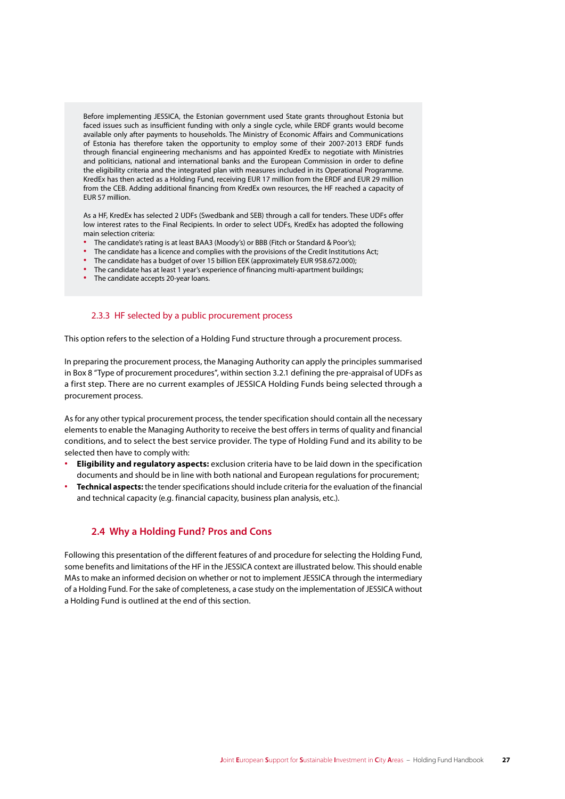Before implementing JESSICA, the Estonian government used State grants throughout Estonia but faced issues such as insufficient funding with only a single cycle, while ERDF grants would become available only after payments to households. The Ministry of Economic Affairs and Communications of Estonia has therefore taken the opportunity to employ some of their 2007-2013 ERDF funds through financial engineering mechanisms and has appointed KredEx to negotiate with Ministries and politicians, national and international banks and the European Commission in order to define the eligibility criteria and the integrated plan with measures included in its Operational Programme. KredEx has then acted as a Holding Fund, receiving EUR 17 million from the ERDF and EUR 29 million from the CEB. Adding additional financing from KredEx own resources, the HF reached a capacity of EUR 57 million.

As a HF, KredEx has selected 2 UDFs (Swedbank and SEB) through a call for tenders. These UDFs offer low interest rates to the Final Recipients. In order to select UDFs, KredEx has adopted the following main selection criteria:

- **∙** The candidate's rating is at least BAA3 (Moody's) or BBB (Fitch or Standard & Poor's);
- **∙** The candidate has a licence and complies with the provisions of the Credit Institutions Act;
- **∙** The candidate has a budget of over 15 billion EEK (approximately EUR 958.672.000);
- **∙** The candidate has at least 1 year's experience of financing multi-apartment buildings;
- **∙** The candidate accepts 20-year loans.

#### 2.3.3 HF selected by a public procurement process

This option refers to the selection of a Holding Fund structure through a procurement process.

In preparing the procurement process, the Managing Authority can apply the principles summarised in Box 8 "Type of procurement procedures", within section 3.2.1 defining the pre-appraisal of UDFs as a first step. There are no current examples of JESSICA Holding Funds being selected through a procurement process.

As for any other typical procurement process, the tender specification should contain all the necessary elements to enable the Managing Authority to receive the best offers in terms of quality and financial conditions, and to select the best service provider. The type of Holding Fund and its ability to be selected then have to comply with:

- **∙ Eligibility and regulatory aspects:** exclusion criteria have to be laid down in the specification documents and should be in line with both national and European regulations for procurement;
- **∙ Technical aspects:** the tender specifications should include criteria for the evaluation of the financial and technical capacity (e.g. financial capacity, business plan analysis, etc.).

#### **2.4 Why a Holding Fund? Pros and Cons**

Following this presentation of the different features of and procedure for selecting the Holding Fund, some benefits and limitations of the HF in the JESSICA context are illustrated below. This should enable MAs to make an informed decision on whether or not to implement JESSICA through the intermediary of a Holding Fund. For the sake of completeness, a case study on the implementation of JESSICA without a Holding Fund is outlined at the end of this section.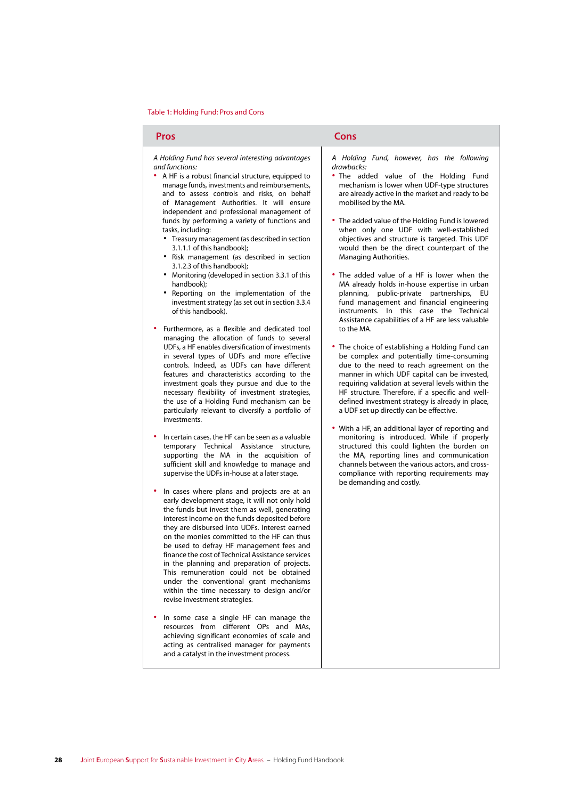#### Table 1: Holding Fund: Pros and Cons

*A Holding Fund has several interesting advantages and functions:* 

- **∙** A HF is a robust financial structure, equipped to manage funds, investments and reimbursements, and to assess controls and risks, on behalf of Management Authorities. It will ensure independent and professional management of funds by performing a variety of functions and tasks, including:
	- **∙** Treasury management (as described in section 3.1.1.1 of this handbook);
	- **∙** Risk management (as described in section 3.1.2.3 of this handbook);
	- **∙** Monitoring (developed in section 3.3.1 of this handbook);
	- **∙** Reporting on the implementation of the investment strategy (as set out in section 3.3.4 of this handbook).
- **∙** Furthermore, as a flexible and dedicated tool managing the allocation of funds to several UDFs, a HF enables diversification of investments in several types of UDFs and more effective controls. Indeed, as UDFs can have different features and characteristics according to the investment goals they pursue and due to the necessary flexibility of investment strategies, the use of a Holding Fund mechanism can be particularly relevant to diversify a portfolio of investments.
- **∙** In certain cases, the HF can be seen as a valuable temporary Technical Assistance structure, supporting the MA in the acquisition of sufficient skill and knowledge to manage and supervise the UDFs in-house at a later stage.
- **∙** In cases where plans and projects are at an early development stage, it will not only hold the funds but invest them as well, generating interest income on the funds deposited before they are disbursed into UDFs. Interest earned on the monies committed to the HF can thus be used to defray HF management fees and finance the cost of Technical Assistance services in the planning and preparation of projects. This remuneration could not be obtained under the conventional grant mechanisms within the time necessary to design and/or revise investment strategies.
- **∙** In some case a single HF can manage the resources from different OPs and MAs, achieving significant economies of scale and acting as centralised manager for payments and a catalyst in the investment process.

#### **Pros Cons**

*A Holding Fund, however, has the following drawbacks:*

- **∙** The added value of the Holding Fund mechanism is lower when UDF-type structures are already active in the market and ready to be mobilised by the MA.
- **∙** The added value of the Holding Fund is lowered when only one UDF with well-established objectives and structure is targeted. This UDF would then be the direct counterpart of the Managing Authorities.
- **∙** The added value of a HF is lower when the MA already holds in-house expertise in urban planning, public-private partnerships, EU fund management and financial engineering instruments. In this case the Technical Assistance capabilities of a HF are less valuable to the MA.
- **∙** The choice of establishing a Holding Fund can be complex and potentially time-consuming due to the need to reach agreement on the manner in which UDF capital can be invested, requiring validation at several levels within the HF structure. Therefore, if a specific and welldefined investment strategy is already in place, a UDF set up directly can be effective.
- **∙** With a HF, an additional layer of reporting and monitoring is introduced. While if properly structured this could lighten the burden on the MA, reporting lines and communication channels between the various actors, and crosscompliance with reporting requirements may be demanding and costly.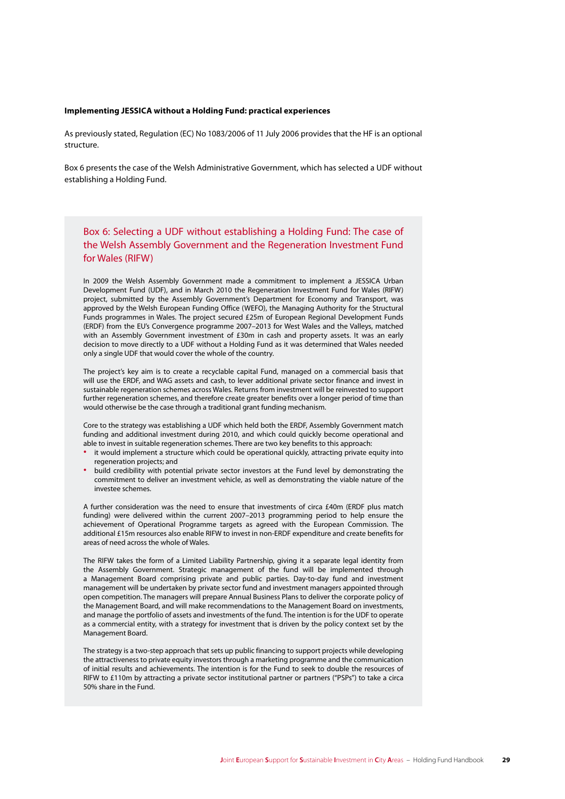#### **Implementing JESSICA without a Holding Fund: practical experiences**

As previously stated, Regulation (EC) No 1083/2006 of 11 July 2006 provides that the HF is an optional structure.

Box 6 presents the case of the Welsh Administrative Government, which has selected a UDF without establishing a Holding Fund.

### Box 6: Selecting a UDF without establishing a Holding Fund: The case of the Welsh Assembly Government and the Regeneration Investment Fund for Wales (RIFW)

In 2009 the Welsh Assembly Government made a commitment to implement a JESSICA Urban Development Fund (UDF), and in March 2010 the Regeneration Investment Fund for Wales (RIFW) project, submitted by the Assembly Government's Department for Economy and Transport, was approved by the Welsh European Funding Office (WEFO), the Managing Authority for the Structural Funds programmes in Wales. The project secured £25m of European Regional Development Funds (ERDF) from the EU's Convergence programme 2007–2013 for West Wales and the Valleys, matched with an Assembly Government investment of £30m in cash and property assets. It was an early decision to move directly to a UDF without a Holding Fund as it was determined that Wales needed only a single UDF that would cover the whole of the country.

The project's key aim is to create a recyclable capital Fund, managed on a commercial basis that will use the ERDF, and WAG assets and cash, to lever additional private sector finance and invest in sustainable regeneration schemes across Wales. Returns from investment will be reinvested to support further regeneration schemes, and therefore create greater benefits over a longer period of time than would otherwise be the case through a traditional grant funding mechanism.

Core to the strategy was establishing a UDF which held both the ERDF, Assembly Government match funding and additional investment during 2010, and which could quickly become operational and able to invest in suitable regeneration schemes. There are two key benefits to this approach:

- **∙** it would implement a structure which could be operational quickly, attracting private equity into regeneration projects; and
- **∙** build credibility with potential private sector investors at the Fund level by demonstrating the commitment to deliver an investment vehicle, as well as demonstrating the viable nature of the investee schemes.

A further consideration was the need to ensure that investments of circa £40m (ERDF plus match funding) were delivered within the current 2007–2013 programming period to help ensure the achievement of Operational Programme targets as agreed with the European Commission. The additional £15m resources also enable RIFW to invest in non-ERDF expenditure and create benefits for areas of need across the whole of Wales.

The RIFW takes the form of a Limited Liability Partnership, giving it a separate legal identity from the Assembly Government. Strategic management of the fund will be implemented through a Management Board comprising private and public parties. Day-to-day fund and investment management will be undertaken by private sector fund and investment managers appointed through open competition. The managers will prepare Annual Business Plans to deliver the corporate policy of the Management Board, and will make recommendations to the Management Board on investments, and manage the portfolio of assets and investments of the fund. The intention is for the UDF to operate as a commercial entity, with a strategy for investment that is driven by the policy context set by the Management Board.

The strategy is a two-step approach that sets up public financing to support projects while developing the attractiveness to private equity investors through a marketing programme and the communication of initial results and achievements. The intention is for the Fund to seek to double the resources of RIFW to £110m by attracting a private sector institutional partner or partners ("PSPs") to take a circa 50% share in the Fund.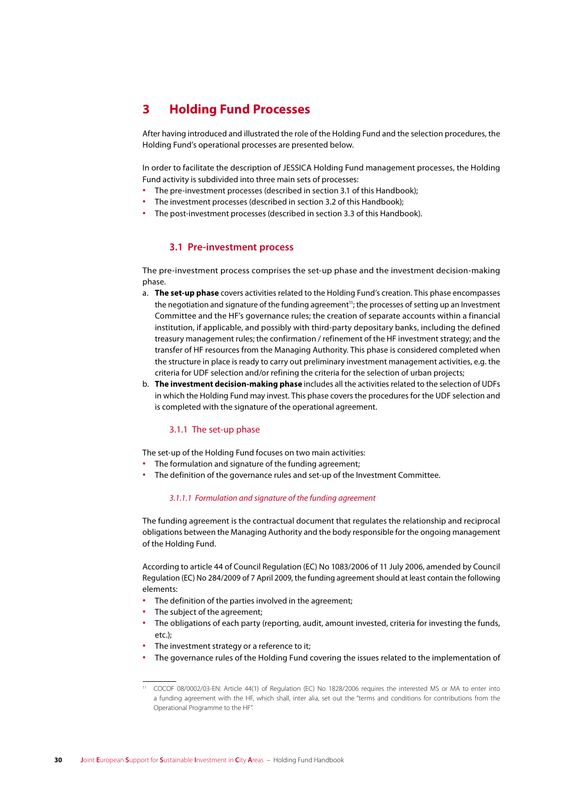### **3 Holding Fund Processes**

After having introduced and illustrated the role of the Holding Fund and the selection procedures, the Holding Fund's operational processes are presented below.

In order to facilitate the description of JESSICA Holding Fund management processes, the Holding Fund activity is subdivided into three main sets of processes:

- **∙** The pre-investment processes (described in section 3.1 of this Handbook);
- **∙** The investment processes (described in section 3.2 of this Handbook);
- **∙** The post-investment processes (described in section 3.3 of this Handbook).

#### **3.1 Pre-investment process**

The pre-investment process comprises the set-up phase and the investment decision-making phase.

- a. **The set-up phase** covers activities related to the Holding Fund's creation. This phase encompasses the negotiation and signature of the funding agreement<sup>11</sup>; the processes of setting up an Investment Committee and the HF's governance rules; the creation of separate accounts within a financial institution, if applicable, and possibly with third-party depositary banks, including the defined treasury management rules; the confirmation / refinement of the HF investment strategy; and the transfer of HF resources from the Managing Authority. This phase is considered completed when the structure in place is ready to carry out preliminary investment management activities, e.g. the criteria for UDF selection and/or refining the criteria for the selection of urban projects;
- b. **The investment decision-making phase** includes all the activities related to the selection of UDFs in which the Holding Fund may invest. This phase covers the procedures for the UDF selection and is completed with the signature of the operational agreement.

#### 3.1.1 The set-up phase

The set-up of the Holding Fund focuses on two main activities:

- **∙** The formulation and signature of the funding agreement;
- **∙** The definition of the governance rules and set-up of the Investment Committee.

#### *3.1.1.1 Formulation and signature of the funding agreement*

The funding agreement is the contractual document that regulates the relationship and reciprocal obligations between the Managing Authority and the body responsible for the ongoing management of the Holding Fund.

According to article 44 of Council Regulation (EC) No 1083/2006 of 11 July 2006, amended by Council Regulation (EC) No 284/2009 of 7 April 2009, the funding agreement should at least contain the following elements:

- **∙** The definition of the parties involved in the agreement;
- **∙** The subject of the agreement;
- **∙** The obligations of each party (reporting, audit, amount invested, criteria for investing the funds, etc.);
- **∙** The investment strategy or a reference to it;
- **∙** The governance rules of the Holding Fund covering the issues related to the implementation of

<sup>11</sup> COCOF 08/0002/03-EN: Article 44(1) of Regulation (EC) No 1828/2006 requires the interested MS or MA to enter into a funding agreement with the HF, which shall, inter alia, set out the "terms and conditions for contributions from the Operational Programme to the HF".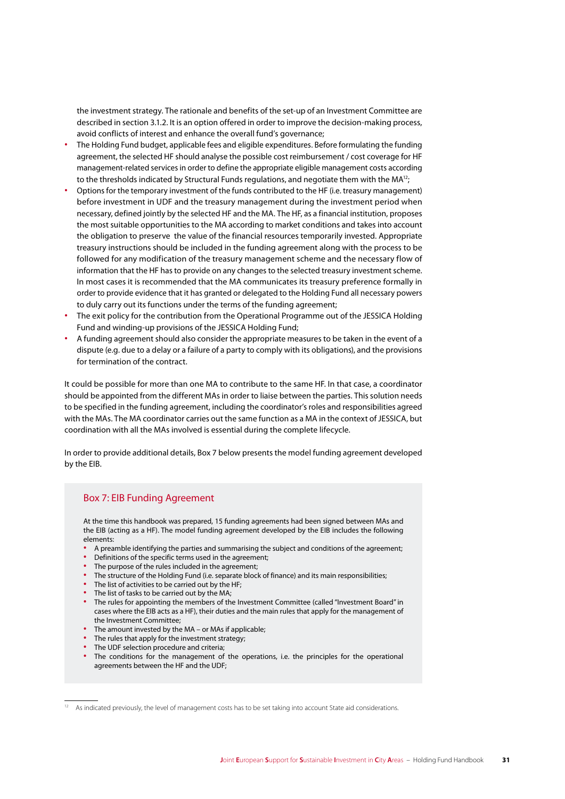the investment strategy. The rationale and benefits of the set-up of an Investment Committee are described in section 3.1.2. It is an option offered in order to improve the decision-making process, avoid conflicts of interest and enhance the overall fund's governance;

- **∙** The Holding Fund budget, applicable fees and eligible expenditures. Before formulating the funding agreement, the selected HF should analyse the possible cost reimbursement / cost coverage for HF management-related services in order to define the appropriate eligible management costs according to the thresholds indicated by Structural Funds regulations, and negotiate them with the MA $^{12}$ ;
- **∙** Options for the temporary investment of the funds contributed to the HF (i.e. treasury management) before investment in UDF and the treasury management during the investment period when necessary, defined jointly by the selected HF and the MA. The HF, as a financial institution, proposes the most suitable opportunities to the MA according to market conditions and takes into account the obligation to preserve the value of the financial resources temporarily invested. Appropriate treasury instructions should be included in the funding agreement along with the process to be followed for any modification of the treasury management scheme and the necessary flow of information that the HF has to provide on any changes to the selected treasury investment scheme. In most cases it is recommended that the MA communicates its treasury preference formally in order to provide evidence that it has granted or delegated to the Holding Fund all necessary powers to duly carry out its functions under the terms of the funding agreement;
- The exit policy for the contribution from the Operational Programme out of the JESSICA Holding Fund and winding-up provisions of the JESSICA Holding Fund;
- **∙** A funding agreement should also consider the appropriate measures to be taken in the event of a dispute (e.g. due to a delay or a failure of a party to comply with its obligations), and the provisions for termination of the contract.

It could be possible for more than one MA to contribute to the same HF. In that case, a coordinator should be appointed from the different MAs in order to liaise between the parties. This solution needs to be specified in the funding agreement, including the coordinator's roles and responsibilities agreed with the MAs. The MA coordinator carries out the same function as a MA in the context of JESSICA, but coordination with all the MAs involved is essential during the complete lifecycle.

In order to provide additional details, Box 7 below presents the model funding agreement developed by the EIB.

#### Box 7: EIB Funding Agreement

At the time this handbook was prepared, 15 funding agreements had been signed between MAs and the EIB (acting as a HF). The model funding agreement developed by the EIB includes the following elements:

- **∙** A preamble identifying the parties and summarising the subject and conditions of the agreement;
- **∙** Definitions of the specific terms used in the agreement;
- **∙** The purpose of the rules included in the agreement;
- The structure of the Holding Fund (i.e. separate block of finance) and its main responsibilities;
- **∙** The list of activities to be carried out by the HF;
- **∙** The list of tasks to be carried out by the MA;
- **∙** The rules for appointing the members of the Investment Committee (called "Investment Board" in cases where the EIB acts as a HF), their duties and the main rules that apply for the management of the Investment Committee;
- **∙** The amount invested by the MA or MAs if applicable;
- **∙** The rules that apply for the investment strategy;
- **∙** The UDF selection procedure and criteria;
- **∙** The conditions for the management of the operations, i.e. the principles for the operational agreements between the HF and the UDF;

As indicated previously, the level of management costs has to be set taking into account State aid considerations.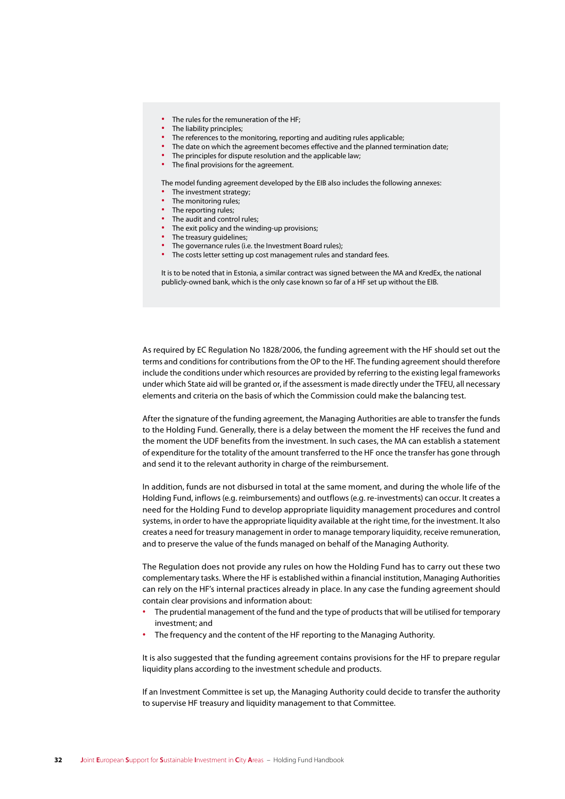- **∙** The rules for the remuneration of the HF;
- **∙** The liability principles;
- **∙** The references to the monitoring, reporting and auditing rules applicable;
- **∙** The date on which the agreement becomes effective and the planned termination date;
- **∙** The principles for dispute resolution and the applicable law;
- **∙** The final provisions for the agreement.

The model funding agreement developed by the EIB also includes the following annexes:

- **∙** The investment strategy;
- **∙** The monitoring rules;
- **∙** The reporting rules;
- **∙** The audit and control rules;
- **∙** The exit policy and the winding-up provisions;
- **∙** The treasury guidelines;
- **∙** The governance rules (i.e. the Investment Board rules);
- **∙** The costs letter setting up cost management rules and standard fees.

It is to be noted that in Estonia, a similar contract was signed between the MA and KredEx, the national publicly-owned bank, which is the only case known so far of a HF set up without the EIB.

As required by EC Regulation No 1828/2006, the funding agreement with the HF should set out the terms and conditions for contributions from the OP to the HF. The funding agreement should therefore include the conditions under which resources are provided by referring to the existing legal frameworks under which State aid will be granted or, if the assessment is made directly under the TFEU, all necessary elements and criteria on the basis of which the Commission could make the balancing test.

After the signature of the funding agreement, the Managing Authorities are able to transfer the funds to the Holding Fund. Generally, there is a delay between the moment the HF receives the fund and the moment the UDF benefits from the investment. In such cases, the MA can establish a statement of expenditure for the totality of the amount transferred to the HF once the transfer has gone through and send it to the relevant authority in charge of the reimbursement.

In addition, funds are not disbursed in total at the same moment, and during the whole life of the Holding Fund, inflows (e.g. reimbursements) and outflows (e.g. re-investments) can occur. It creates a need for the Holding Fund to develop appropriate liquidity management procedures and control systems, in order to have the appropriate liquidity available at the right time, for the investment. It also creates a need for treasury management in order to manage temporary liquidity, receive remuneration, and to preserve the value of the funds managed on behalf of the Managing Authority.

The Regulation does not provide any rules on how the Holding Fund has to carry out these two complementary tasks. Where the HF is established within a financial institution, Managing Authorities can rely on the HF's internal practices already in place. In any case the funding agreement should contain clear provisions and information about:

- **∙** The prudential management of the fund and the type of products that will be utilised for temporary investment; and
- **∙** The frequency and the content of the HF reporting to the Managing Authority.

It is also suggested that the funding agreement contains provisions for the HF to prepare regular liquidity plans according to the investment schedule and products.

If an Investment Committee is set up, the Managing Authority could decide to transfer the authority to supervise HF treasury and liquidity management to that Committee.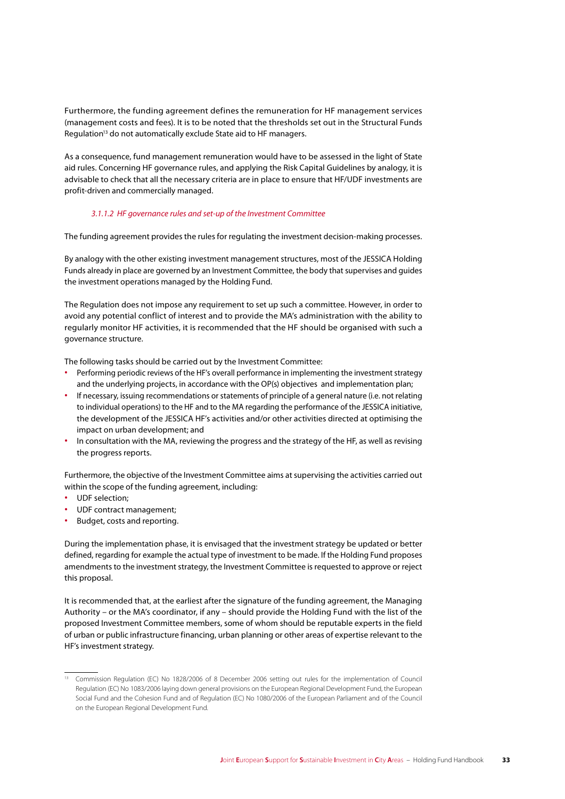Furthermore, the funding agreement defines the remuneration for HF management services (management costs and fees). It is to be noted that the thresholds set out in the Structural Funds Regulation<sup>13</sup> do not automatically exclude State aid to HF managers.

As a consequence, fund management remuneration would have to be assessed in the light of State aid rules. Concerning HF governance rules, and applying the Risk Capital Guidelines by analogy, it is advisable to check that all the necessary criteria are in place to ensure that HF/UDF investments are profit-driven and commercially managed.

#### *3.1.1.2 HF governance rules and set-up of the Investment Committee*

The funding agreement provides the rules for regulating the investment decision-making processes.

By analogy with the other existing investment management structures, most of the JESSICA Holding Funds already in place are governed by an Investment Committee, the body that supervises and guides the investment operations managed by the Holding Fund.

The Regulation does not impose any requirement to set up such a committee. However, in order to avoid any potential conflict of interest and to provide the MA's administration with the ability to regularly monitor HF activities, it is recommended that the HF should be organised with such a governance structure.

The following tasks should be carried out by the Investment Committee:

- **∙** Performing periodic reviews of the HF's overall performance in implementing the investment strategy and the underlying projects, in accordance with the OP(s) objectives and implementation plan;
- **∙** If necessary, issuing recommendations or statements of principle of a general nature (i.e. not relating to individual operations) to the HF and to the MA regarding the performance of the JESSICA initiative, the development of the JESSICA HF's activities and/or other activities directed at optimising the impact on urban development; and
- **∙** In consultation with the MA, reviewing the progress and the strategy of the HF, as well as revising the progress reports.

Furthermore, the objective of the Investment Committee aims at supervising the activities carried out within the scope of the funding agreement, including:

- **∙** UDF selection;
- **∙** UDF contract management;
- **∙** Budget, costs and reporting.

During the implementation phase, it is envisaged that the investment strategy be updated or better defined, regarding for example the actual type of investment to be made. If the Holding Fund proposes amendments to the investment strategy, the Investment Committee is requested to approve or reject this proposal.

It is recommended that, at the earliest after the signature of the funding agreement, the Managing Authority – or the MA's coordinator, if any – should provide the Holding Fund with the list of the proposed Investment Committee members, some of whom should be reputable experts in the field of urban or public infrastructure financing, urban planning or other areas of expertise relevant to the HF's investment strategy.

<sup>13</sup> Commission Regulation (EC) No 1828/2006 of 8 December 2006 setting out rules for the implementation of Council Regulation (EC) No 1083/2006 laying down general provisions on the European Regional Development Fund, the European Social Fund and the Cohesion Fund and of Regulation (EC) No 1080/2006 of the European Parliament and of the Council on the European Regional Development Fund.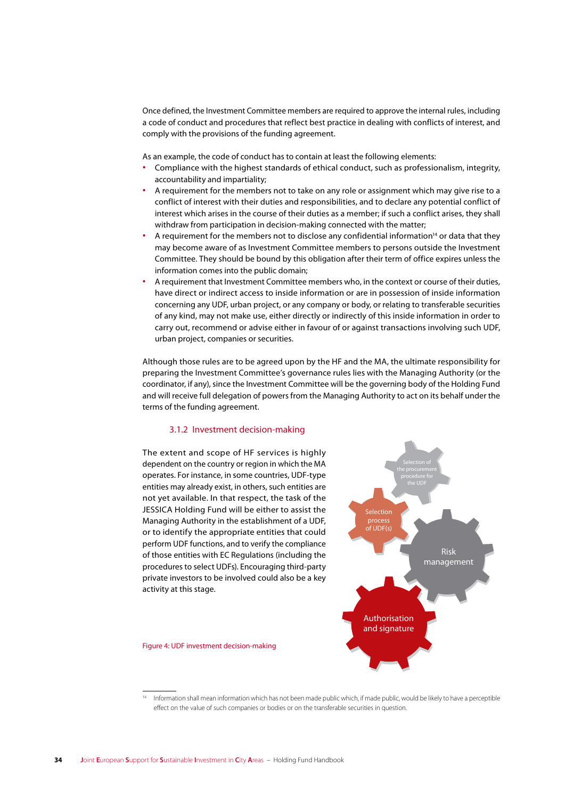Once defined, the Investment Committee members are required to approve the internal rules, including a code of conduct and procedures that reflect best practice in dealing with conflicts of interest, and comply with the provisions of the funding agreement.

As an example, the code of conduct has to contain at least the following elements:

- **∙** Compliance with the highest standards of ethical conduct, such as professionalism, integrity, accountability and impartiality;
- **∙** A requirement for the members not to take on any role or assignment which may give rise to a conflict of interest with their duties and responsibilities, and to declare any potential conflict of interest which arises in the course of their duties as a member; if such a conflict arises, they shall withdraw from participation in decision-making connected with the matter;
- A requirement for the members not to disclose any confidential information<sup>14</sup> or data that they may become aware of as Investment Committee members to persons outside the Investment Committee. They should be bound by this obligation after their term of office expires unless the information comes into the public domain;
- **∙** A requirement that Investment Committee members who, in the context or course of their duties, have direct or indirect access to inside information or are in possession of inside information concerning any UDF, urban project, or any company or body, or relating to transferable securities of any kind, may not make use, either directly or indirectly of this inside information in order to carry out, recommend or advise either in favour of or against transactions involving such UDF, urban project, companies or securities.

Although those rules are to be agreed upon by the HF and the MA, the ultimate responsibility for preparing the Investment Committee's governance rules lies with the Managing Authority (or the coordinator, if any), since the Investment Committee will be the governing body of the Holding Fund and will receive full delegation of powers from the Managing Authority to act on its behalf under the terms of the funding agreement.

#### 3.1.2 Investment decision-making

The extent and scope of HF services is highly dependent on the country or region in which the MA operates. For instance, in some countries, UDF-type entities may already exist, in others, such entities are not yet available. In that respect, the task of the JESSICA Holding Fund will be either to assist the Managing Authority in the establishment of a UDF, or to identify the appropriate entities that could perform UDF functions, and to verify the compliance of those entities with EC Regulations (including the procedures to select UDFs). Encouraging third-party private investors to be involved could also be a key activity at this stage.



Figure 4: UDF investment decision-making

<sup>14</sup> Information shall mean information which has not been made public which, if made public, would be likely to have a perceptible effect on the value of such companies or bodies or on the transferable securities in question.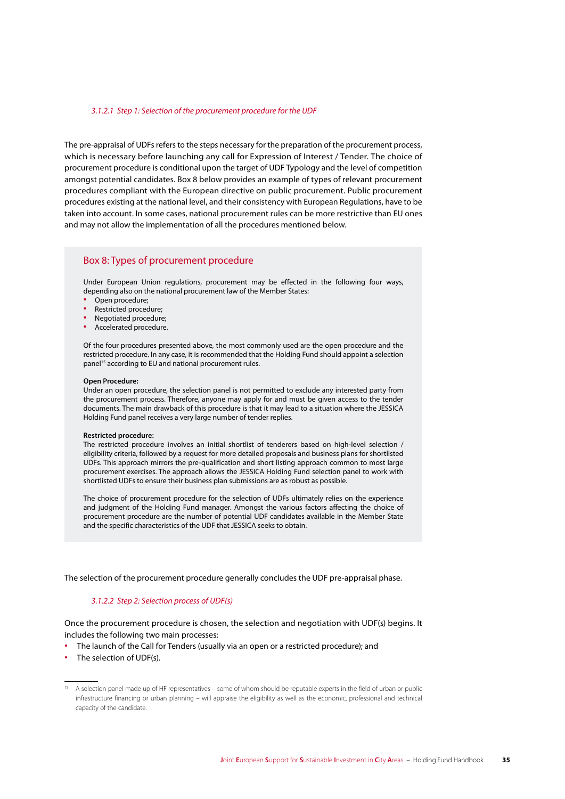#### *3.1.2.1 Step 1: Selection of the procurement procedure for the UDF*

The pre-appraisal of UDFs refers to the steps necessary for the preparation of the procurement process, which is necessary before launching any call for Expression of Interest / Tender. The choice of procurement procedure is conditional upon the target of UDF Typology and the level of competition amongst potential candidates. Box 8 below provides an example of types of relevant procurement procedures compliant with the European directive on public procurement. Public procurement procedures existing at the national level, and their consistency with European Regulations, have to be taken into account. In some cases, national procurement rules can be more restrictive than EU ones and may not allow the implementation of all the procedures mentioned below.

#### Box 8: Types of procurement procedure

Under European Union regulations, procurement may be effected in the following four ways, depending also on the national procurement law of the Member States:

- **∙** Open procedure;
- **∙** Restricted procedure;
- **∙** Negotiated procedure;
- **∙** Accelerated procedure.

Of the four procedures presented above, the most commonly used are the open procedure and the restricted procedure. In any case, it is recommended that the Holding Fund should appoint a selection panel<sup>15</sup> according to EU and national procurement rules.

#### **Open Procedure:**

Under an open procedure, the selection panel is not permitted to exclude any interested party from the procurement process. Therefore, anyone may apply for and must be given access to the tender documents. The main drawback of this procedure is that it may lead to a situation where the JESSICA Holding Fund panel receives a very large number of tender replies.

#### **Restricted procedure:**

The restricted procedure involves an initial shortlist of tenderers based on high-level selection / eligibility criteria, followed by a request for more detailed proposals and business plans for shortlisted UDFs. This approach mirrors the pre-qualification and short listing approach common to most large procurement exercises. The approach allows the JESSICA Holding Fund selection panel to work with shortlisted UDFs to ensure their business plan submissions are as robust as possible.

The choice of procurement procedure for the selection of UDFs ultimately relies on the experience and judgment of the Holding Fund manager. Amongst the various factors affecting the choice of procurement procedure are the number of potential UDF candidates available in the Member State and the specific characteristics of the UDF that JESSICA seeks to obtain.

The selection of the procurement procedure generally concludes the UDF pre-appraisal phase.

#### *3.1.2.2 Step 2: Selection process of UDF(s)*

Once the procurement procedure is chosen, the selection and negotiation with UDF(s) begins. It includes the following two main processes:

- **∙** The launch of the Call for Tenders (usually via an open or a restricted procedure); and
- **∙** The selection of UDF(s).

<sup>15</sup> A selection panel made up of HF representatives – some of whom should be reputable experts in the field of urban or public infrastructure financing or urban planning – will appraise the eligibility as well as the economic, professional and technical capacity of the candidate.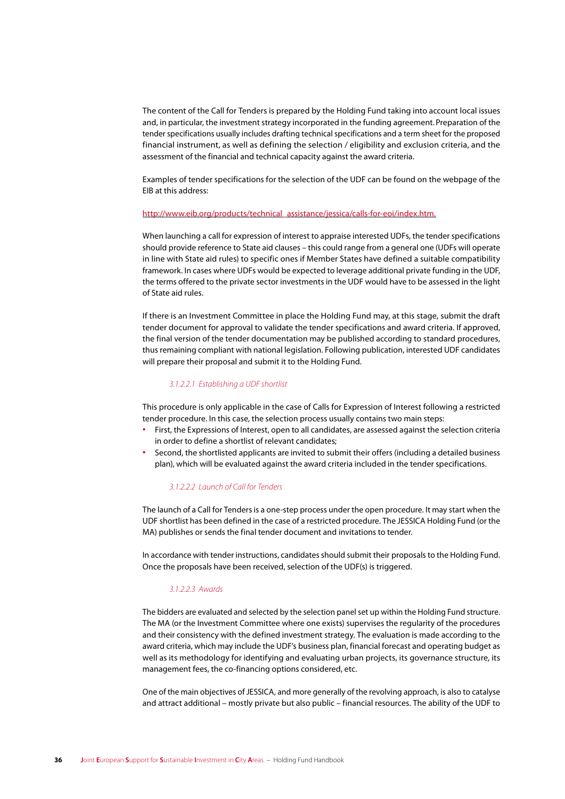The content of the Call for Tenders is prepared by the Holding Fund taking into account local issues and, in particular, the investment strategy incorporated in the funding agreement. Preparation of the tender specifications usually includes drafting technical specifications and a term sheet for the proposed financial instrument, as well as defining the selection / eligibility and exclusion criteria, and the assessment of the financial and technical capacity against the award criteria.

Examples of tender specifications for the selection of the UDF can be found on the webpage of the EIB at this address:

#### http://www.eib.org/products/technical\_assistance/jessica/calls-for-eoi/index.htm.

When launching a call for expression of interest to appraise interested UDFs, the tender specifications should provide reference to State aid clauses – this could range from a general one (UDFs will operate in line with State aid rules) to specific ones if Member States have defined a suitable compatibility framework. In cases where UDFs would be expected to leverage additional private funding in the UDF, the terms offered to the private sector investments in the UDF would have to be assessed in the light of State aid rules.

If there is an Investment Committee in place the Holding Fund may, at this stage, submit the draft tender document for approval to validate the tender specifications and award criteria. If approved, the final version of the tender documentation may be published according to standard procedures, thus remaining compliant with national legislation. Following publication, interested UDF candidates will prepare their proposal and submit it to the Holding Fund.

#### *3.1.2.2.1 Establishing a UDF shortlist*

This procedure is only applicable in the case of Calls for Expression of Interest following a restricted tender procedure. In this case, the selection process usually contains two main steps:

- **∙** First, the Expressions of Interest, open to all candidates, are assessed against the selection criteria in order to define a shortlist of relevant candidates;
- **∙** Second, the shortlisted applicants are invited to submit their offers (including a detailed business plan), which will be evaluated against the award criteria included in the tender specifications.

#### *3.1.2.2.2 Launch of Call for Tenders*

The launch of a Call for Tenders is a one-step process under the open procedure. It may start when the UDF shortlist has been defined in the case of a restricted procedure. The JESSICA Holding Fund (or the MA) publishes or sends the final tender document and invitations to tender.

In accordance with tender instructions, candidates should submit their proposals to the Holding Fund. Once the proposals have been received, selection of the UDF(s) is triggered.

#### *3.1.2.2.3 Awards*

The bidders are evaluated and selected by the selection panel set up within the Holding Fund structure. The MA (or the Investment Committee where one exists) supervises the regularity of the procedures and their consistency with the defined investment strategy. The evaluation is made according to the award criteria, which may include the UDF's business plan, financial forecast and operating budget as well as its methodology for identifying and evaluating urban projects, its governance structure, its management fees, the co-financing options considered, etc.

One of the main objectives of JESSICA, and more generally of the revolving approach, is also to catalyse and attract additional – mostly private but also public – financial resources. The ability of the UDF to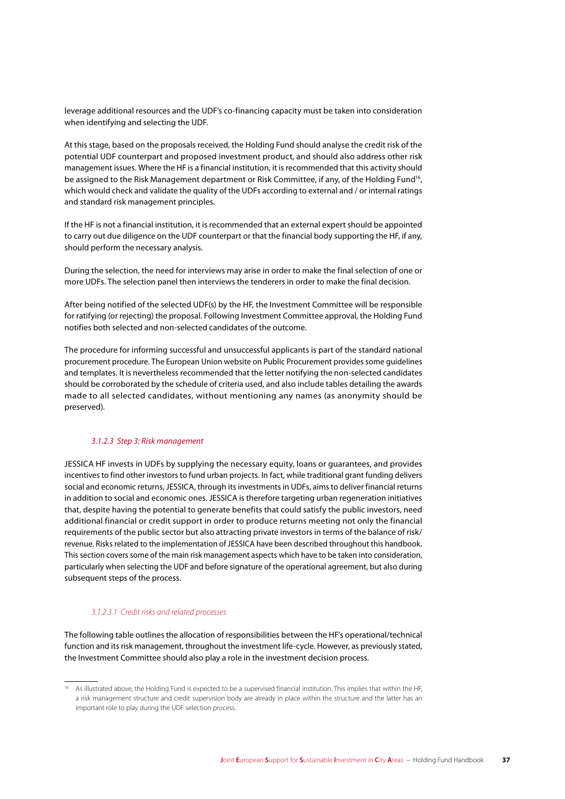leverage additional resources and the UDF's co-financing capacity must be taken into consideration when identifying and selecting the UDF.

At this stage, based on the proposals received, the Holding Fund should analyse the credit risk of the potential UDF counterpart and proposed investment product, and should also address other risk management issues. Where the HF is a financial institution, it is recommended that this activity should be assigned to the Risk Management department or Risk Committee, if any, of the Holding Fund<sup>16</sup>, which would check and validate the quality of the UDFs according to external and / or internal ratings and standard risk management principles.

If the HF is not a financial institution, it is recommended that an external expert should be appointed to carry out due diligence on the UDF counterpart or that the financial body supporting the HF, if any, should perform the necessary analysis.

During the selection, the need for interviews may arise in order to make the final selection of one or more UDFs. The selection panel then interviews the tenderers in order to make the final decision.

After being notified of the selected UDF(s) by the HF, the Investment Committee will be responsible for ratifying (or rejecting) the proposal. Following Investment Committee approval, the Holding Fund notifies both selected and non-selected candidates of the outcome.

The procedure for informing successful and unsuccessful applicants is part of the standard national procurement procedure. The European Union website on Public Procurement provides some guidelines and templates. It is nevertheless recommended that the letter notifying the non-selected candidates should be corroborated by the schedule of criteria used, and also include tables detailing the awards made to all selected candidates, without mentioning any names (as anonymity should be preserved).

#### *3.1.2.3 Step 3: Risk management*

JESSICA HF invests in UDFs by supplying the necessary equity, loans or guarantees, and provides incentives to find other investors to fund urban projects. In fact, while traditional grant funding delivers social and economic returns, JESSICA, through its investments in UDFs, aims to deliver financial returns in addition to social and economic ones. JESSICA is therefore targeting urban regeneration initiatives that, despite having the potential to generate benefits that could satisfy the public investors, need additional financial or credit support in order to produce returns meeting not only the financial requirements of the public sector but also attracting private investors in terms of the balance of risk/ revenue. Risks related to the implementation of JESSICA have been described throughout this handbook. This section covers some of the main risk management aspects which have to be taken into consideration, particularly when selecting the UDF and before signature of the operational agreement, but also during subsequent steps of the process.

#### *3.1.2.3.1 Credit risks and related processes*

The following table outlines the allocation of responsibilities between the HF's operational/technical function and its risk management, throughout the investment life-cycle. However, as previously stated, the Investment Committee should also play a role in the investment decision process.

<sup>16</sup> As illustrated above, the Holding Fund is expected to be a supervised financial institution. This implies that within the HF, a risk management structure and credit supervision body are already in place within the structure and the latter has an important role to play during the UDF selection process.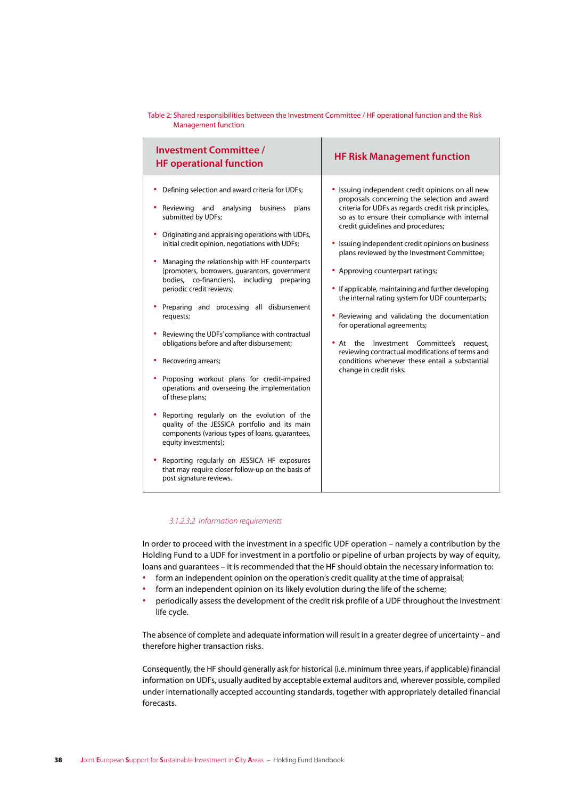| Table 2: Shared responsibilities between the Investment Committee / HF operational function and the Risk |  |
|----------------------------------------------------------------------------------------------------------|--|
| Management function                                                                                      |  |

| <b>Investment Committee /</b><br><b>HF operational function</b>                                                                                                                                                                                                                                                                                                                                                                                                                                                                                                                                                                                                                                                                                                                                                                                                                                                                                                                                                                        | <b>HF Risk Management function</b>                                                                                                                                                                                                                                                                                                                                                                                                                                                                                                                                                                                                                                                                                                                                           |
|----------------------------------------------------------------------------------------------------------------------------------------------------------------------------------------------------------------------------------------------------------------------------------------------------------------------------------------------------------------------------------------------------------------------------------------------------------------------------------------------------------------------------------------------------------------------------------------------------------------------------------------------------------------------------------------------------------------------------------------------------------------------------------------------------------------------------------------------------------------------------------------------------------------------------------------------------------------------------------------------------------------------------------------|------------------------------------------------------------------------------------------------------------------------------------------------------------------------------------------------------------------------------------------------------------------------------------------------------------------------------------------------------------------------------------------------------------------------------------------------------------------------------------------------------------------------------------------------------------------------------------------------------------------------------------------------------------------------------------------------------------------------------------------------------------------------------|
| Defining selection and award criteria for UDFs;<br>Reviewing and<br>analysing<br>business<br>plans<br>submitted by UDFs;<br>Originating and appraising operations with UDFs,<br>initial credit opinion, negotiations with UDFs;<br>Managing the relationship with HF counterparts<br>(promoters, borrowers, quarantors, government<br>bodies, co-financiers),<br>including<br>preparing<br>periodic credit reviews;<br>Preparing and processing all disbursement<br>requests;<br>Reviewing the UDFs' compliance with contractual<br>obligations before and after disbursement;<br>Recovering arrears;<br>Proposing workout plans for credit-impaired<br>٠<br>operations and overseeing the implementation<br>of these plans;<br>Reporting regularly on the evolution of the<br>quality of the JESSICA portfolio and its main<br>components (various types of loans, quarantees,<br>equity investments);<br>Reporting regularly on JESSICA HF exposures<br>that may require closer follow-up on the basis of<br>post signature reviews. | • Issuing independent credit opinions on all new<br>proposals concerning the selection and award<br>criteria for UDFs as regards credit risk principles,<br>so as to ensure their compliance with internal<br>credit quidelines and procedures;<br>• Issuing independent credit opinions on business<br>plans reviewed by the Investment Committee;<br>• Approving counterpart ratings;<br>• If applicable, maintaining and further developing<br>the internal rating system for UDF counterparts;<br>• Reviewing and validating the documentation<br>for operational agreements;<br>$\bullet$ At the<br>Investment Committee's<br>request,<br>reviewing contractual modifications of terms and<br>conditions whenever these entail a substantial<br>change in credit risks. |
|                                                                                                                                                                                                                                                                                                                                                                                                                                                                                                                                                                                                                                                                                                                                                                                                                                                                                                                                                                                                                                        |                                                                                                                                                                                                                                                                                                                                                                                                                                                                                                                                                                                                                                                                                                                                                                              |

#### *3.1.2.3.2 Information requirements*

In order to proceed with the investment in a specific UDF operation – namely a contribution by the Holding Fund to a UDF for investment in a portfolio or pipeline of urban projects by way of equity, loans and guarantees – it is recommended that the HF should obtain the necessary information to:

- **∙** form an independent opinion on the operation's credit quality at the time of appraisal;
- **∙** form an independent opinion on its likely evolution during the life of the scheme;
- **∙** periodically assess the development of the credit risk profile of a UDF throughout the investment life cycle.

The absence of complete and adequate information will result in a greater degree of uncertainty – and therefore higher transaction risks.

Consequently, the HF should generally ask for historical (i.e. minimum three years, if applicable) financial information on UDFs, usually audited by acceptable external auditors and, wherever possible, compiled under internationally accepted accounting standards, together with appropriately detailed financial forecasts.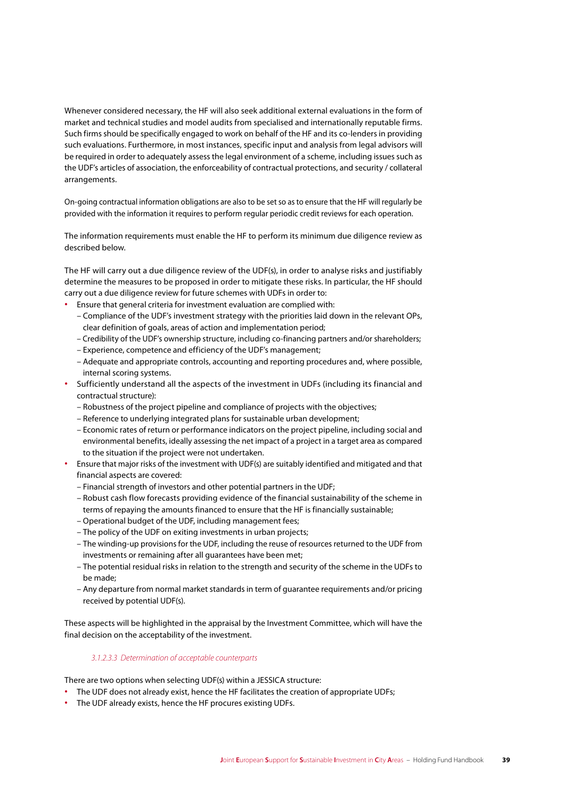Whenever considered necessary, the HF will also seek additional external evaluations in the form of market and technical studies and model audits from specialised and internationally reputable firms. Such firms should be specifically engaged to work on behalf of the HF and its co-lenders in providing such evaluations. Furthermore, in most instances, specific input and analysis from legal advisors will be required in order to adequately assess the legal environment of a scheme, including issues such as the UDF's articles of association, the enforceability of contractual protections, and security / collateral arrangements.

On-going contractual information obligations are also to be set so as to ensure that the HF will regularly be provided with the information it requires to perform regular periodic credit reviews for each operation.

The information requirements must enable the HF to perform its minimum due diligence review as described below.

The HF will carry out a due diligence review of the UDF(s), in order to analyse risks and justifiably determine the measures to be proposed in order to mitigate these risks. In particular, the HF should carry out a due diligence review for future schemes with UDFs in order to:

- **∙** Ensure that general criteria for investment evaluation are complied with:
	- Compliance of the UDF's investment strategy with the priorities laid down in the relevant OPs, clear definition of goals, areas of action and implementation period;
	- Credibility of the UDF's ownership structure, including co-financing partners and/or shareholders;
	- Experience, competence and efficiency of the UDF's management;
	- Adequate and appropriate controls, accounting and reporting procedures and, where possible, internal scoring systems.
- **∙** Sufficiently understand all the aspects of the investment in UDFs (including its financial and contractual structure):
	- Robustness of the project pipeline and compliance of projects with the objectives;
	- Reference to underlying integrated plans for sustainable urban development;
	- Economic rates of return or performance indicators on the project pipeline, including social and environmental benefits, ideally assessing the net impact of a project in a target area as compared to the situation if the project were not undertaken.
- **∙** Ensure that major risks of the investment with UDF(s) are suitably identified and mitigated and that financial aspects are covered:
	- Financial strength of investors and other potential partners in the UDF;
	- Robust cash flow forecasts providing evidence of the financial sustainability of the scheme in terms of repaying the amounts financed to ensure that the HF is financially sustainable;
	- Operational budget of the UDF, including management fees;
	- The policy of the UDF on exiting investments in urban projects;
	- The winding-up provisions for the UDF, including the reuse of resources returned to the UDF from investments or remaining after all guarantees have been met;
	- The potential residual risks in relation to the strength and security of the scheme in the UDFs to be made;
	- Any departure from normal market standards in term of guarantee requirements and/or pricing received by potential UDF(s).

These aspects will be highlighted in the appraisal by the Investment Committee, which will have the final decision on the acceptability of the investment.

#### *3.1.2.3.3 Determination of acceptable counterparts*

There are two options when selecting UDF(s) within a JESSICA structure:

- **∙** The UDF does not already exist, hence the HF facilitates the creation of appropriate UDFs;
- **∙** The UDF already exists, hence the HF procures existing UDFs.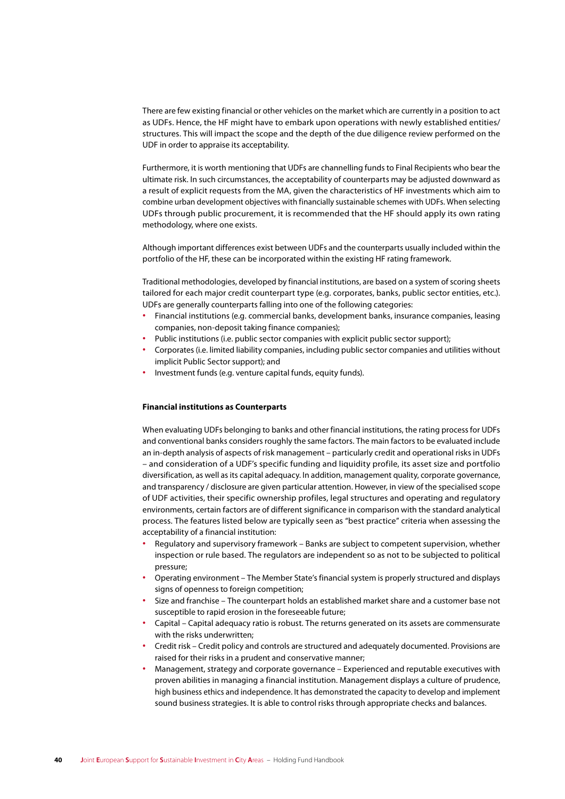There are few existing financial or other vehicles on the market which are currently in a position to act as UDFs. Hence, the HF might have to embark upon operations with newly established entities/ structures. This will impact the scope and the depth of the due diligence review performed on the UDF in order to appraise its acceptability.

Furthermore, it is worth mentioning that UDFs are channelling funds to Final Recipients who bear the ultimate risk. In such circumstances, the acceptability of counterparts may be adjusted downward as a result of explicit requests from the MA, given the characteristics of HF investments which aim to combine urban development objectives with financially sustainable schemes with UDFs. When selecting UDFs through public procurement, it is recommended that the HF should apply its own rating methodology, where one exists.

Although important differences exist between UDFs and the counterparts usually included within the portfolio of the HF, these can be incorporated within the existing HF rating framework.

Traditional methodologies, developed by financial institutions, are based on a system of scoring sheets tailored for each major credit counterpart type (e.g. corporates, banks, public sector entities, etc.). UDFs are generally counterparts falling into one of the following categories:

- **∙** Financial institutions (e.g. commercial banks, development banks, insurance companies, leasing companies, non-deposit taking finance companies);
- **∙** Public institutions (i.e. public sector companies with explicit public sector support);
- **∙** Corporates (i.e. limited liability companies, including public sector companies and utilities without implicit Public Sector support); and
- **∙** Investment funds (e.g. venture capital funds, equity funds).

#### **Financial institutions as Counterparts**

When evaluating UDFs belonging to banks and other financial institutions, the rating process for UDFs and conventional banks considers roughly the same factors. The main factors to be evaluated include an in-depth analysis of aspects of risk management – particularly credit and operational risks in UDFs – and consideration of a UDF's specific funding and liquidity profile, its asset size and portfolio diversification, as well as its capital adequacy. In addition, management quality, corporate governance, and transparency / disclosure are given particular attention. However, in view of the specialised scope of UDF activities, their specific ownership profiles, legal structures and operating and regulatory environments, certain factors are of different significance in comparison with the standard analytical process. The features listed below are typically seen as "best practice" criteria when assessing the acceptability of a financial institution:

- **∙** Regulatory and supervisory framework Banks are subject to competent supervision, whether inspection or rule based. The regulators are independent so as not to be subjected to political pressure;
- **∙** Operating environment The Member State's financial system is properly structured and displays signs of openness to foreign competition:
- **∙** Size and franchise The counterpart holds an established market share and a customer base not susceptible to rapid erosion in the foreseeable future;
- **∙** Capital Capital adequacy ratio is robust. The returns generated on its assets are commensurate with the risks underwritten;
- **∙** Credit risk Credit policy and controls are structured and adequately documented. Provisions are raised for their risks in a prudent and conservative manner;
- **∙** Management, strategy and corporate governance Experienced and reputable executives with proven abilities in managing a financial institution. Management displays a culture of prudence, high business ethics and independence. It has demonstrated the capacity to develop and implement sound business strategies. It is able to control risks through appropriate checks and balances.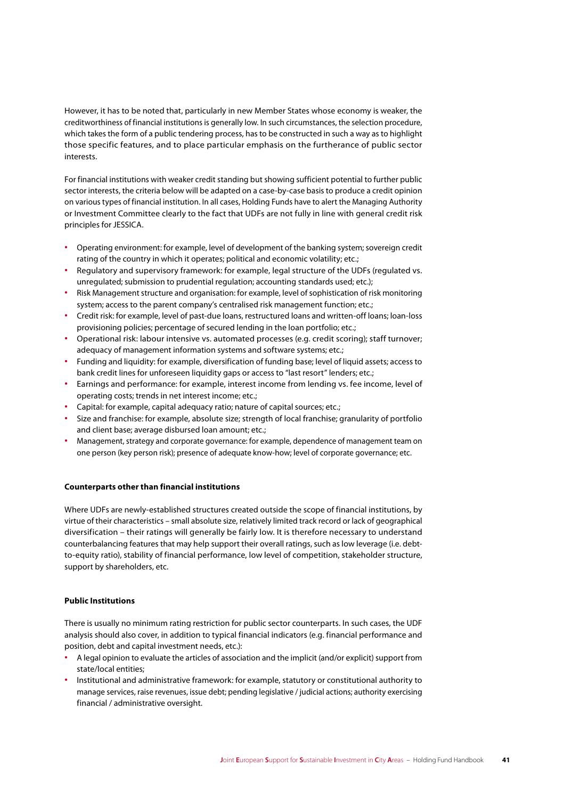However, it has to be noted that, particularly in new Member States whose economy is weaker, the creditworthiness of financial institutions is generally low. In such circumstances, the selection procedure, which takes the form of a public tendering process, has to be constructed in such a way as to highlight those specific features, and to place particular emphasis on the furtherance of public sector interests.

For financial institutions with weaker credit standing but showing sufficient potential to further public sector interests, the criteria below will be adapted on a case-by-case basis to produce a credit opinion on various types of financial institution. In all cases, Holding Funds have to alert the Managing Authority or Investment Committee clearly to the fact that UDFs are not fully in line with general credit risk principles for JESSICA.

- **∙** Operating environment: for example, level of development of the banking system; sovereign credit rating of the country in which it operates; political and economic volatility; etc.;
- **∙** Regulatory and supervisory framework: for example, legal structure of the UDFs (regulated vs. unregulated; submission to prudential regulation; accounting standards used; etc.);
- **∙** Risk Management structure and organisation: for example, level of sophistication of risk monitoring system; access to the parent company's centralised risk management function; etc.;
- **∙** Credit risk: for example, level of past-due loans, restructured loans and written-off loans; loan-loss provisioning policies; percentage of secured lending in the loan portfolio; etc.;
- **∙** Operational risk: labour intensive vs. automated processes (e.g. credit scoring); staff turnover; adequacy of management information systems and software systems; etc.;
- **∙** Funding and liquidity: for example, diversification of funding base; level of liquid assets; access to bank credit lines for unforeseen liquidity gaps or access to "last resort" lenders; etc.;
- **∙** Earnings and performance: for example, interest income from lending vs. fee income, level of operating costs; trends in net interest income; etc.;
- **∙** Capital: for example, capital adequacy ratio; nature of capital sources; etc.;
- **∙** Size and franchise: for example, absolute size; strength of local franchise; granularity of portfolio and client base; average disbursed loan amount; etc.;
- **∙** Management, strategy and corporate governance: for example, dependence of management team on one person (key person risk); presence of adequate know-how; level of corporate governance; etc.

#### **Counterparts other than financial institutions**

Where UDFs are newly-established structures created outside the scope of financial institutions, by virtue of their characteristics – small absolute size, relatively limited track record or lack of geographical diversification – their ratings will generally be fairly low. It is therefore necessary to understand counterbalancing features that may help support their overall ratings, such as low leverage (i.e. debtto-equity ratio), stability of financial performance, low level of competition, stakeholder structure, support by shareholders, etc.

#### **Public Institutions**

There is usually no minimum rating restriction for public sector counterparts. In such cases, the UDF analysis should also cover, in addition to typical financial indicators (e.g. financial performance and position, debt and capital investment needs, etc.):

- **∙** A legal opinion to evaluate the articles of association and the implicit (and/or explicit) support from state/local entities;
- **∙** Institutional and administrative framework: for example, statutory or constitutional authority to manage services, raise revenues, issue debt; pending legislative / judicial actions; authority exercising financial / administrative oversight.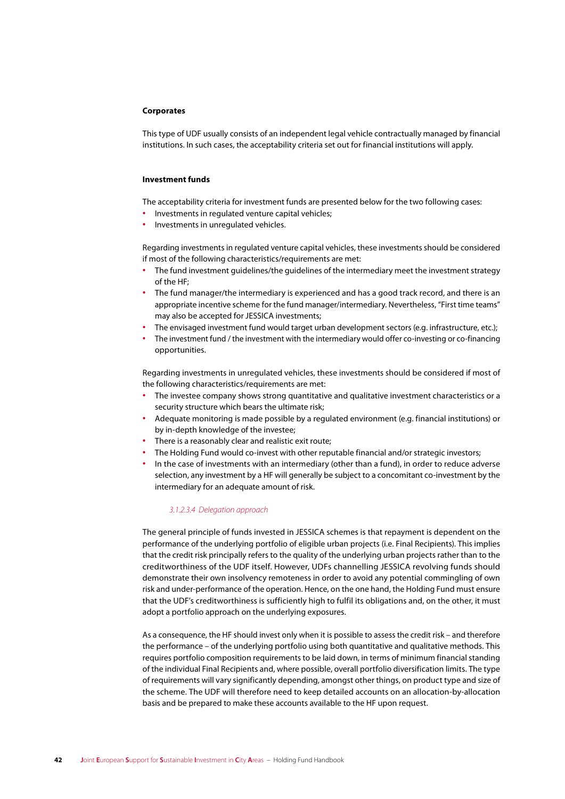#### **Corporates**

This type of UDF usually consists of an independent legal vehicle contractually managed by financial institutions. In such cases, the acceptability criteria set out for financial institutions will apply.

#### **Investment funds**

The acceptability criteria for investment funds are presented below for the two following cases:

- **∙** Investments in regulated venture capital vehicles;
- **∙** Investments in unregulated vehicles.

Regarding investments in regulated venture capital vehicles, these investments should be considered if most of the following characteristics/requirements are met:

- The fund investment guidelines/the guidelines of the intermediary meet the investment strategy of the HF;
- **∙** The fund manager/the intermediary is experienced and has a good track record, and there is an appropriate incentive scheme for the fund manager/intermediary. Nevertheless, "First time teams" may also be accepted for JESSICA investments;
- **∙** The envisaged investment fund would target urban development sectors (e.g. infrastructure, etc.);
- **∙** The investment fund / the investment with the intermediary would offer co-investing or co-financing opportunities.

Regarding investments in unregulated vehicles, these investments should be considered if most of the following characteristics/requirements are met:

- The investee company shows strong quantitative and qualitative investment characteristics or a security structure which bears the ultimate risk;
- **∙** Adequate monitoring is made possible by a regulated environment (e.g. financial institutions) or by in-depth knowledge of the investee;
- **∙** There is a reasonably clear and realistic exit route;
- **∙** The Holding Fund would co-invest with other reputable financial and/or strategic investors;
- **∙** In the case of investments with an intermediary (other than a fund), in order to reduce adverse selection, any investment by a HF will generally be subject to a concomitant co-investment by the intermediary for an adequate amount of risk.

#### *3.1.2.3.4 Delegation approach*

The general principle of funds invested in JESSICA schemes is that repayment is dependent on the performance of the underlying portfolio of eligible urban projects (i.e. Final Recipients). This implies that the credit risk principally refers to the quality of the underlying urban projects rather than to the creditworthiness of the UDF itself. However, UDFs channelling JESSICA revolving funds should demonstrate their own insolvency remoteness in order to avoid any potential commingling of own risk and under-performance of the operation. Hence, on the one hand, the Holding Fund must ensure that the UDF's creditworthiness is sufficiently high to fulfil its obligations and, on the other, it must adopt a portfolio approach on the underlying exposures.

As a consequence, the HF should invest only when it is possible to assess the credit risk – and therefore the performance – of the underlying portfolio using both quantitative and qualitative methods. This requires portfolio composition requirements to be laid down, in terms of minimum financial standing of the individual Final Recipients and, where possible, overall portfolio diversification limits. The type of requirements will vary significantly depending, amongst other things, on product type and size of the scheme. The UDF will therefore need to keep detailed accounts on an allocation-by-allocation basis and be prepared to make these accounts available to the HF upon request.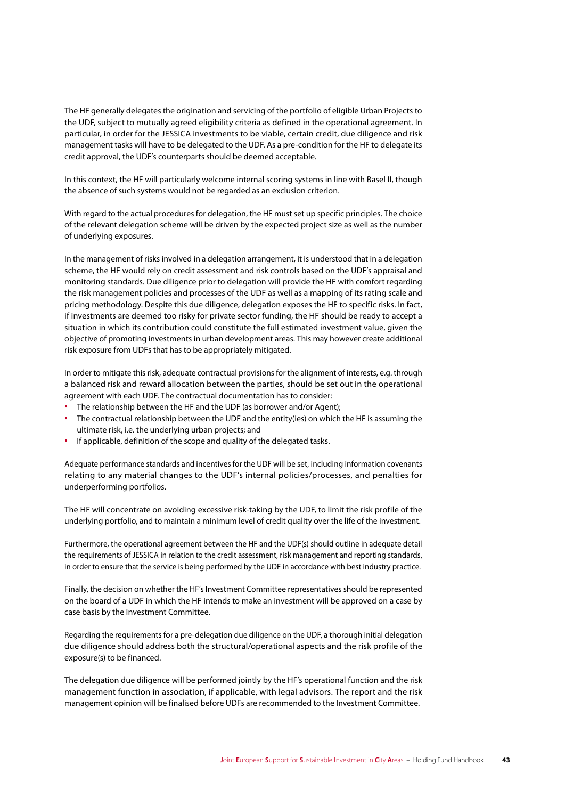The HF generally delegates the origination and servicing of the portfolio of eligible Urban Projects to the UDF, subject to mutually agreed eligibility criteria as defined in the operational agreement. In particular, in order for the JESSICA investments to be viable, certain credit, due diligence and risk management tasks will have to be delegated to the UDF. As a pre-condition for the HF to delegate its credit approval, the UDF's counterparts should be deemed acceptable.

In this context, the HF will particularly welcome internal scoring systems in line with Basel II, though the absence of such systems would not be regarded as an exclusion criterion.

With regard to the actual procedures for delegation, the HF must set up specific principles. The choice of the relevant delegation scheme will be driven by the expected project size as well as the number of underlying exposures.

In the management of risks involved in a delegation arrangement, it is understood that in a delegation scheme, the HF would rely on credit assessment and risk controls based on the UDF's appraisal and monitoring standards. Due diligence prior to delegation will provide the HF with comfort regarding the risk management policies and processes of the UDF as well as a mapping of its rating scale and pricing methodology. Despite this due diligence, delegation exposes the HF to specific risks. In fact, if investments are deemed too risky for private sector funding, the HF should be ready to accept a situation in which its contribution could constitute the full estimated investment value, given the objective of promoting investments in urban development areas. This may however create additional risk exposure from UDFs that has to be appropriately mitigated.

In order to mitigate this risk, adequate contractual provisions for the alignment of interests, e.g. through a balanced risk and reward allocation between the parties, should be set out in the operational agreement with each UDF. The contractual documentation has to consider:

- **∙** The relationship between the HF and the UDF (as borrower and/or Agent);
- **∙** The contractual relationship between the UDF and the entity(ies) on which the HF is assuming the ultimate risk, i.e. the underlying urban projects; and
- **∙** If applicable, definition of the scope and quality of the delegated tasks.

Adequate performance standards and incentives for the UDF will be set, including information covenants relating to any material changes to the UDF's internal policies/processes, and penalties for underperforming portfolios.

The HF will concentrate on avoiding excessive risk-taking by the UDF, to limit the risk profile of the underlying portfolio, and to maintain a minimum level of credit quality over the life of the investment.

Furthermore, the operational agreement between the HF and the UDF(s) should outline in adequate detail the requirements of JESSICA in relation to the credit assessment, risk management and reporting standards, in order to ensure that the service is being performed by the UDF in accordance with best industry practice.

Finally, the decision on whether the HF's Investment Committee representatives should be represented on the board of a UDF in which the HF intends to make an investment will be approved on a case by case basis by the Investment Committee.

Regarding the requirements for a pre-delegation due diligence on the UDF, a thorough initial delegation due diligence should address both the structural/operational aspects and the risk profile of the exposure(s) to be financed.

The delegation due diligence will be performed jointly by the HF's operational function and the risk management function in association, if applicable, with legal advisors. The report and the risk management opinion will be finalised before UDFs are recommended to the Investment Committee.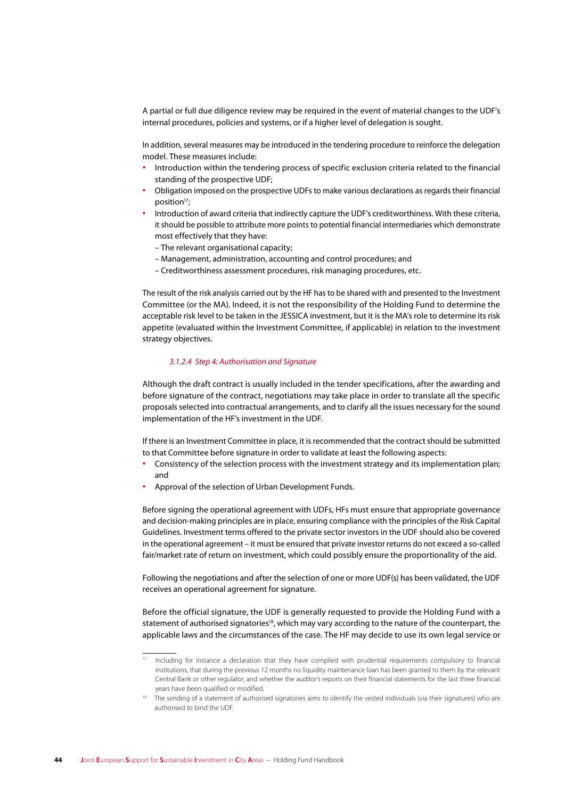A partial or full due diligence review may be required in the event of material changes to the UDF's internal procedures, policies and systems, or if a higher level of delegation is sought.

In addition, several measures may be introduced in the tendering procedure to reinforce the delegation model. These measures include:

- **∙** Introduction within the tendering process of specific exclusion criteria related to the financial standing of the prospective UDF;
- **∙** Obligation imposed on the prospective UDFs to make various declarations as regards their financial position<sup>17</sup>;
- **∙** Introduction of award criteria that indirectly capture the UDF's creditworthiness. With these criteria, it should be possible to attribute more points to potential financial intermediaries which demonstrate most effectively that they have:
	- The relevant organisational capacity;
	- Management, administration, accounting and control procedures; and
	- Creditworthiness assessment procedures, risk managing procedures, etc.

The result of the risk analysis carried out by the HF has to be shared with and presented to the Investment Committee (or the MA). Indeed, it is not the responsibility of the Holding Fund to determine the acceptable risk level to be taken in the JESSICA investment, but it is the MA's role to determine its risk appetite (evaluated within the Investment Committee, if applicable) in relation to the investment strategy objectives.

#### *3.1.2.4 Step 4: Authorisation and Signature*

Although the draft contract is usually included in the tender specifications, after the awarding and before signature of the contract, negotiations may take place in order to translate all the specific proposals selected into contractual arrangements, and to clarify all the issues necessary for the sound implementation of the HF's investment in the UDF.

If there is an Investment Committee in place, it is recommended that the contract should be submitted to that Committee before signature in order to validate at least the following aspects:

- **∙** Consistency of the selection process with the investment strategy and its implementation plan; and
- **∙** Approval of the selection of Urban Development Funds.

Before signing the operational agreement with UDFs, HFs must ensure that appropriate governance and decision-making principles are in place, ensuring compliance with the principles of the Risk Capital Guidelines. Investment terms offered to the private sector investors in the UDF should also be covered in the operational agreement – it must be ensured that private investor returns do not exceed a so-called fair/market rate of return on investment, which could possibly ensure the proportionality of the aid.

Following the negotiations and after the selection of one or more UDF(s) has been validated, the UDF receives an operational agreement for signature.

Before the official signature, the UDF is generally requested to provide the Holding Fund with a statement of authorised signatories<sup>18</sup>, which may vary according to the nature of the counterpart, the applicable laws and the circumstances of the case. The HF may decide to use its own legal service or

<sup>17</sup> Including for instance a declaration that they have complied with prudential requirements compulsory to financial institutions, that during the previous 12 months no liquidity maintenance loan has been granted to them by the relevant Central Bank or other regulator, and whether the auditor's reports on their financial statements for the last three financial years have been qualified or modified.

The sending of a statement of authorised signatories aims to identify the vested individuals (via their signatures) who are authorised to bind the UDF.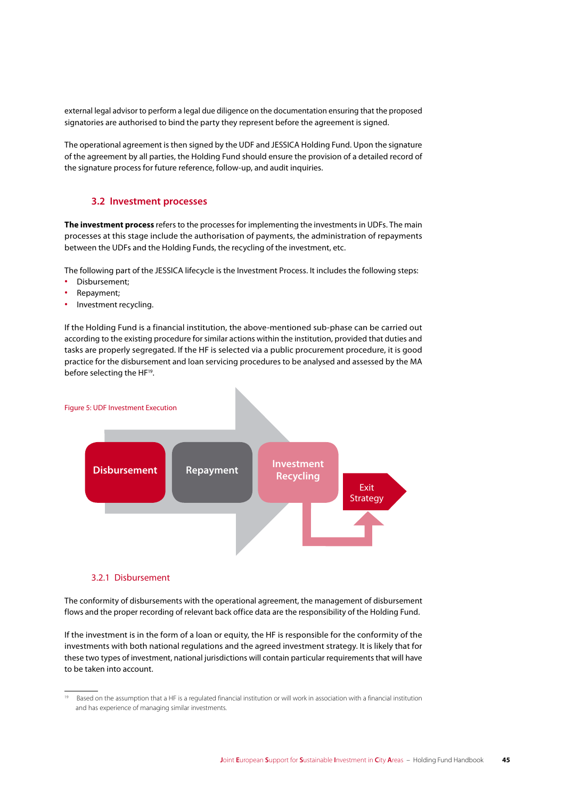external legal advisor to perform a legal due diligence on the documentation ensuring that the proposed signatories are authorised to bind the party they represent before the agreement is signed.

The operational agreement is then signed by the UDF and JESSICA Holding Fund. Upon the signature of the agreement by all parties, the Holding Fund should ensure the provision of a detailed record of the signature process for future reference, follow-up, and audit inquiries.

#### **3.2 Investment processes**

**The investment process** refers to the processes for implementing the investments in UDFs. The main processes at this stage include the authorisation of payments, the administration of repayments between the UDFs and the Holding Funds, the recycling of the investment, etc.

The following part of the JESSICA lifecycle is the Investment Process. It includes the following steps:

- **∙** Disbursement;
- **∙** Repayment;
- **∙** Investment recycling.

If the Holding Fund is a financial institution, the above-mentioned sub-phase can be carried out according to the existing procedure for similar actions within the institution, provided that duties and tasks are properly segregated. If the HF is selected via a public procurement procedure, it is good practice for the disbursement and loan servicing procedures to be analysed and assessed by the MA before selecting the HF<sup>19</sup>.



#### 3.2.1 Disbursement

The conformity of disbursements with the operational agreement, the management of disbursement flows and the proper recording of relevant back office data are the responsibility of the Holding Fund.

If the investment is in the form of a loan or equity, the HF is responsible for the conformity of the investments with both national regulations and the agreed investment strategy. It is likely that for these two types of investment, national jurisdictions will contain particular requirements that will have to be taken into account.

<sup>&</sup>lt;sup>19</sup> Based on the assumption that a HF is a regulated financial institution or will work in association with a financial institution and has experience of managing similar investments.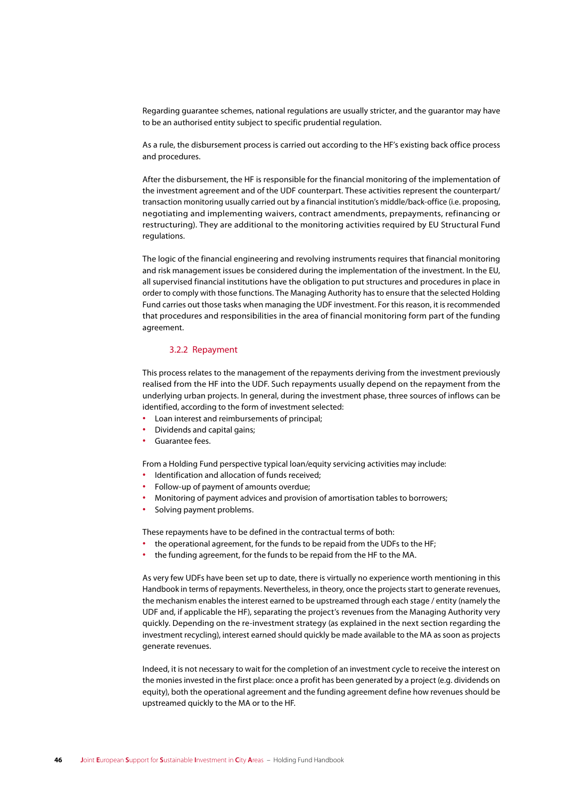Regarding guarantee schemes, national regulations are usually stricter, and the guarantor may have to be an authorised entity subject to specific prudential regulation.

As a rule, the disbursement process is carried out according to the HF's existing back office process and procedures.

After the disbursement, the HF is responsible for the financial monitoring of the implementation of the investment agreement and of the UDF counterpart. These activities represent the counterpart/ transaction monitoring usually carried out by a financial institution's middle/back-office (i.e. proposing, negotiating and implementing waivers, contract amendments, prepayments, refinancing or restructuring). They are additional to the monitoring activities required by EU Structural Fund regulations.

The logic of the financial engineering and revolving instruments requires that financial monitoring and risk management issues be considered during the implementation of the investment. In the EU, all supervised financial institutions have the obligation to put structures and procedures in place in order to comply with those functions. The Managing Authority has to ensure that the selected Holding Fund carries out those tasks when managing the UDF investment. For this reason, it is recommended that procedures and responsibilities in the area of financial monitoring form part of the funding agreement.

#### 3.2.2 Repayment

This process relates to the management of the repayments deriving from the investment previously realised from the HF into the UDF. Such repayments usually depend on the repayment from the underlying urban projects. In general, during the investment phase, three sources of inflows can be identified, according to the form of investment selected:

- **∙** Loan interest and reimbursements of principal;
- **∙** Dividends and capital gains;
- **∙** Guarantee fees.

From a Holding Fund perspective typical loan/equity servicing activities may include:

- **∙** Identification and allocation of funds received;
- **∙** Follow-up of payment of amounts overdue;
- **∙** Monitoring of payment advices and provision of amortisation tables to borrowers;
- **∙** Solving payment problems.

These repayments have to be defined in the contractual terms of both:

- **∙** the operational agreement, for the funds to be repaid from the UDFs to the HF;
- **∙** the funding agreement, for the funds to be repaid from the HF to the MA.

As very few UDFs have been set up to date, there is virtually no experience worth mentioning in this Handbook in terms of repayments. Nevertheless, in theory, once the projects start to generate revenues, the mechanism enables the interest earned to be upstreamed through each stage / entity (namely the UDF and, if applicable the HF), separating the project's revenues from the Managing Authority very quickly. Depending on the re-investment strategy (as explained in the next section regarding the investment recycling), interest earned should quickly be made available to the MA as soon as projects generate revenues.

Indeed, it is not necessary to wait for the completion of an investment cycle to receive the interest on the monies invested in the first place: once a profit has been generated by a project (e.g. dividends on equity), both the operational agreement and the funding agreement define how revenues should be upstreamed quickly to the MA or to the HF.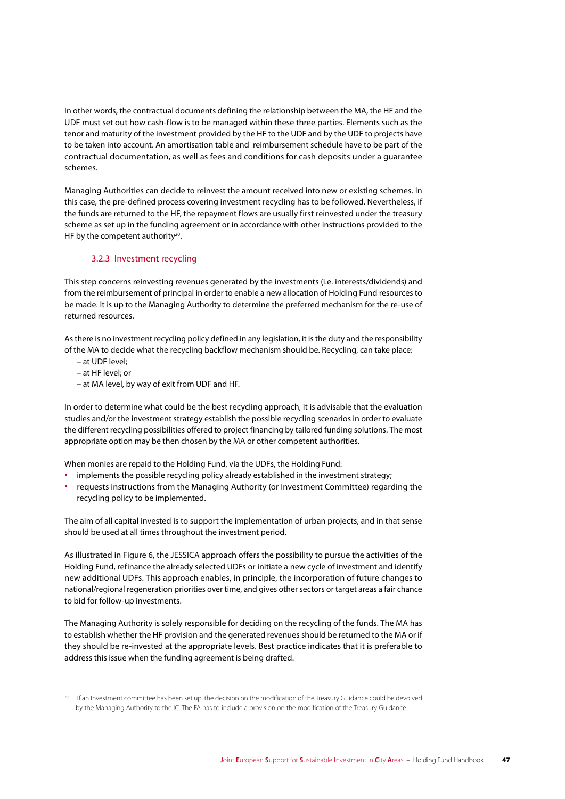In other words, the contractual documents defining the relationship between the MA, the HF and the UDF must set out how cash-flow is to be managed within these three parties. Elements such as the tenor and maturity of the investment provided by the HF to the UDF and by the UDF to projects have to be taken into account. An amortisation table and reimbursement schedule have to be part of the contractual documentation, as well as fees and conditions for cash deposits under a guarantee schemes.

Managing Authorities can decide to reinvest the amount received into new or existing schemes. In this case, the pre-defined process covering investment recycling has to be followed. Nevertheless, if the funds are returned to the HF, the repayment flows are usually first reinvested under the treasury scheme as set up in the funding agreement or in accordance with other instructions provided to the HF by the competent authority $20$ .

#### 3.2.3 Investment recycling

This step concerns reinvesting revenues generated by the investments (i.e. interests/dividends) and from the reimbursement of principal in order to enable a new allocation of Holding Fund resources to be made. It is up to the Managing Authority to determine the preferred mechanism for the re-use of returned resources.

As there is no investment recycling policy defined in any legislation, it is the duty and the responsibility of the MA to decide what the recycling backflow mechanism should be. Recycling, can take place:

- at UDF level;
- at HF level; or
- at MA level, by way of exit from UDF and HF.

In order to determine what could be the best recycling approach, it is advisable that the evaluation studies and/or the investment strategy establish the possible recycling scenarios in order to evaluate the different recycling possibilities offered to project financing by tailored funding solutions. The most appropriate option may be then chosen by the MA or other competent authorities.

When monies are repaid to the Holding Fund, via the UDFs, the Holding Fund:

- implements the possible recycling policy already established in the investment strategy;
- **∙** requests instructions from the Managing Authority (or Investment Committee) regarding the recycling policy to be implemented.

The aim of all capital invested is to support the implementation of urban projects, and in that sense should be used at all times throughout the investment period.

As illustrated in Figure 6, the JESSICA approach offers the possibility to pursue the activities of the Holding Fund, refinance the already selected UDFs or initiate a new cycle of investment and identify new additional UDFs. This approach enables, in principle, the incorporation of future changes to national/regional regeneration priorities over time, and gives other sectors or target areas a fair chance to bid for follow-up investments.

The Managing Authority is solely responsible for deciding on the recycling of the funds. The MA has to establish whether the HF provision and the generated revenues should be returned to the MA or if they should be re-invested at the appropriate levels. Best practice indicates that it is preferable to address this issue when the funding agreement is being drafted.

<sup>20</sup> If an Investment committee has been set up, the decision on the modification of the Treasury Guidance could be devolved by the Managing Authority to the IC. The FA has to include a provision on the modification of the Treasury Guidance.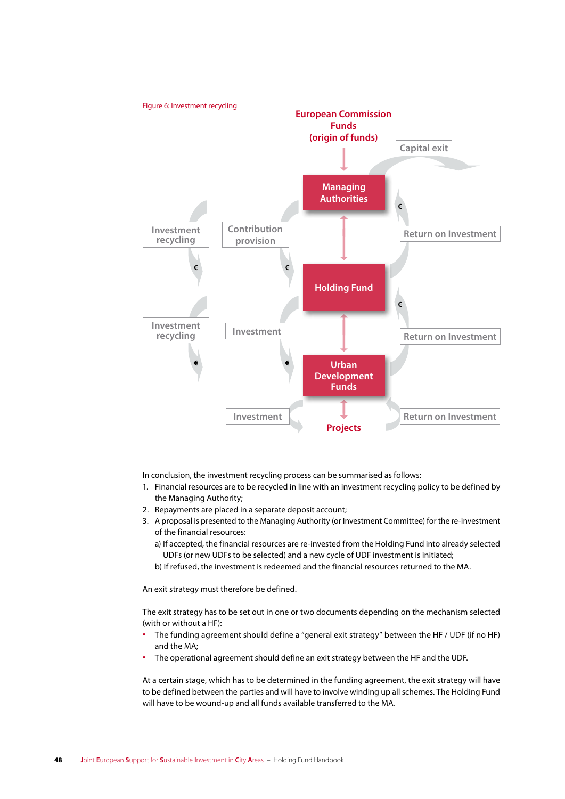

In conclusion, the investment recycling process can be summarised as follows:

- 1. Financial resources are to be recycled in line with an investment recycling policy to be defined by the Managing Authority;
- 2. Repayments are placed in a separate deposit account;
- 3. A proposal is presented to the Managing Authority (or Investment Committee) for the re-investment of the financial resources:
	- a) If accepted, the financial resources are re-invested from the Holding Fund into already selected UDFs (or new UDFs to be selected) and a new cycle of UDF investment is initiated;
	- b) If refused, the investment is redeemed and the financial resources returned to the MA.

An exit strategy must therefore be defined.

The exit strategy has to be set out in one or two documents depending on the mechanism selected (with or without a HF):

- **∙** The funding agreement should define a "general exit strategy" between the HF / UDF (if no HF) and the MA;
- **∙** The operational agreement should define an exit strategy between the HF and the UDF.

At a certain stage, which has to be determined in the funding agreement, the exit strategy will have to be defined between the parties and will have to involve winding up all schemes. The Holding Fund will have to be wound-up and all funds available transferred to the MA.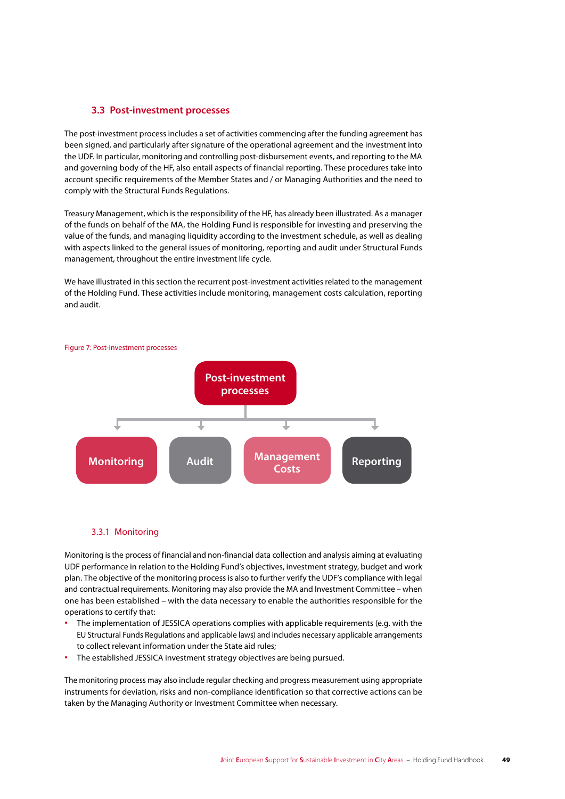#### **3.3 Post-investment processes**

The post-investment process includes a set of activities commencing after the funding agreement has been signed, and particularly after signature of the operational agreement and the investment into the UDF. In particular, monitoring and controlling post-disbursement events, and reporting to the MA and governing body of the HF, also entail aspects of financial reporting. These procedures take into account specific requirements of the Member States and / or Managing Authorities and the need to comply with the Structural Funds Regulations.

Treasury Management, which is the responsibility of the HF, has already been illustrated. As a manager of the funds on behalf of the MA, the Holding Fund is responsible for investing and preserving the value of the funds, and managing liquidity according to the investment schedule, as well as dealing with aspects linked to the general issues of monitoring, reporting and audit under Structural Funds management, throughout the entire investment life cycle.

We have illustrated in this section the recurrent post-investment activities related to the management of the Holding Fund. These activities include monitoring, management costs calculation, reporting and audit.



#### 3.3.1 Monitoring

Monitoring is the process of financial and non-financial data collection and analysis aiming at evaluating UDF performance in relation to the Holding Fund's objectives, investment strategy, budget and work plan. The objective of the monitoring process is also to further verify the UDF's compliance with legal and contractual requirements. Monitoring may also provide the MA and Investment Committee – when one has been established – with the data necessary to enable the authorities responsible for the operations to certify that:

- **∙** The implementation of JESSICA operations complies with applicable requirements (e.g. with the EU Structural Funds Regulations and applicable laws) and includes necessary applicable arrangements to collect relevant information under the State aid rules;
- **∙** The established JESSICA investment strategy objectives are being pursued.

The monitoring process may also include regular checking and progress measurement using appropriate instruments for deviation, risks and non-compliance identification so that corrective actions can be taken by the Managing Authority or Investment Committee when necessary.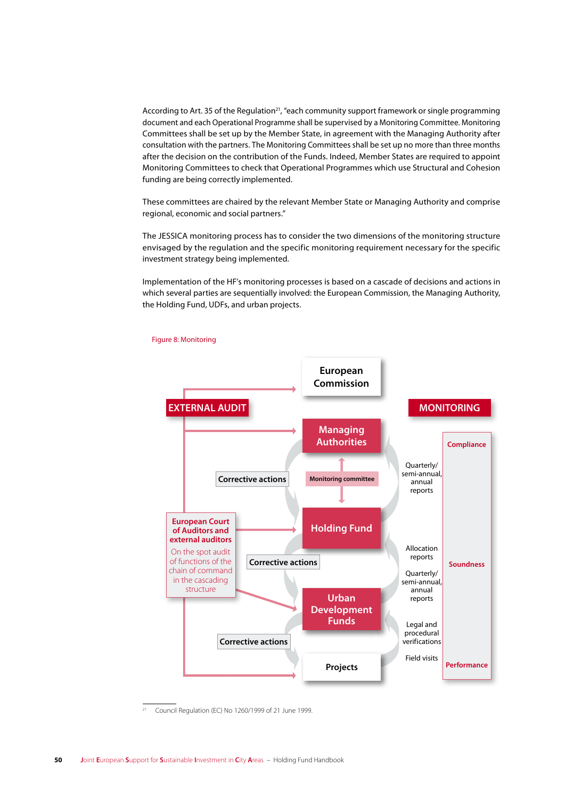According to Art. 35 of the Regulation<sup>21</sup>, "each community support framework or single programming document and each Operational Programme shall be supervised by a Monitoring Committee. Monitoring Committees shall be set up by the Member State, in agreement with the Managing Authority after consultation with the partners. The Monitoring Committees shall be set up no more than three months after the decision on the contribution of the Funds. Indeed, Member States are required to appoint Monitoring Committees to check that Operational Programmes which use Structural and Cohesion funding are being correctly implemented.

These committees are chaired by the relevant Member State or Managing Authority and comprise regional, economic and social partners."

The JESSICA monitoring process has to consider the two dimensions of the monitoring structure envisaged by the regulation and the specific monitoring requirement necessary for the specific investment strategy being implemented.

Implementation of the HF's monitoring processes is based on a cascade of decisions and actions in which several parties are sequentially involved: the European Commission, the Managing Authority, the Holding Fund, UDFs, and urban projects.



Figure 8: Monitoring

21 Council Regulation (EC) No 1260/1999 of 21 June 1999.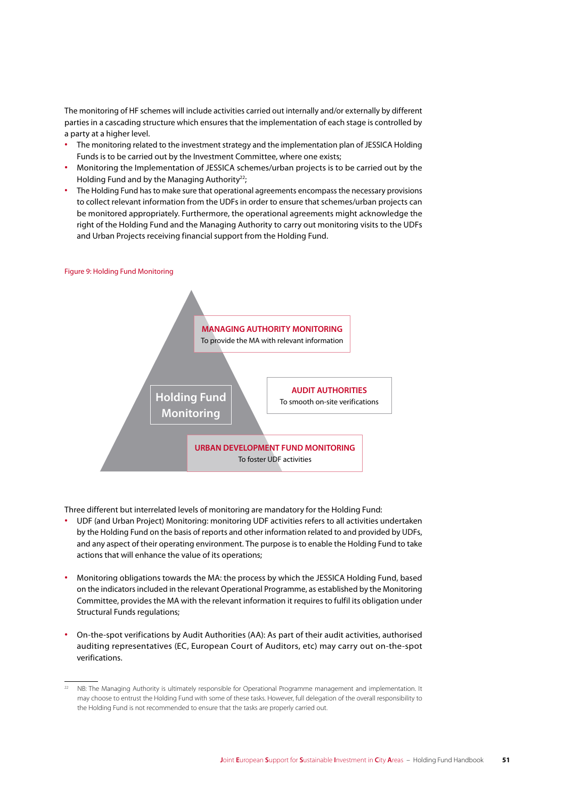The monitoring of HF schemes will include activities carried out internally and/or externally by different parties in a cascading structure which ensures that the implementation of each stage is controlled by a party at a higher level.

- **∙** The monitoring related to the investment strategy and the implementation plan of JESSICA Holding Funds is to be carried out by the Investment Committee, where one exists;
- **∙** Monitoring the Implementation of JESSICA schemes/urban projects is to be carried out by the Holding Fund and by the Managing Authority<sup>22</sup>;
- **∙** The Holding Fund has to make sure that operational agreements encompass the necessary provisions to collect relevant information from the UDFs in order to ensure that schemes/urban projects can be monitored appropriately. Furthermore, the operational agreements might acknowledge the right of the Holding Fund and the Managing Authority to carry out monitoring visits to the UDFs and Urban Projects receiving financial support from the Holding Fund.

#### Figure 9: Holding Fund Monitoring



Three different but interrelated levels of monitoring are mandatory for the Holding Fund:

- **∙** UDF (and Urban Project) Monitoring: monitoring UDF activities refers to all activities undertaken by the Holding Fund on the basis of reports and other information related to and provided by UDFs, and any aspect of their operating environment. The purpose is to enable the Holding Fund to take actions that will enhance the value of its operations;
- **∙** Monitoring obligations towards the MA: the process by which the JESSICA Holding Fund, based on the indicators included in the relevant Operational Programme, as established by the Monitoring Committee, provides the MA with the relevant information it requires to fulfil its obligation under Structural Funds regulations;
- **∙** On-the-spot verifications by Audit Authorities (AA): As part of their audit activities, authorised auditing representatives (EC, European Court of Auditors, etc) may carry out on-the-spot verifications.

<sup>22</sup> NB: The Managing Authority is ultimately responsible for Operational Programme management and implementation. It may choose to entrust the Holding Fund with some of these tasks. However, full delegation of the overall responsibility to the Holding Fund is not recommended to ensure that the tasks are properly carried out.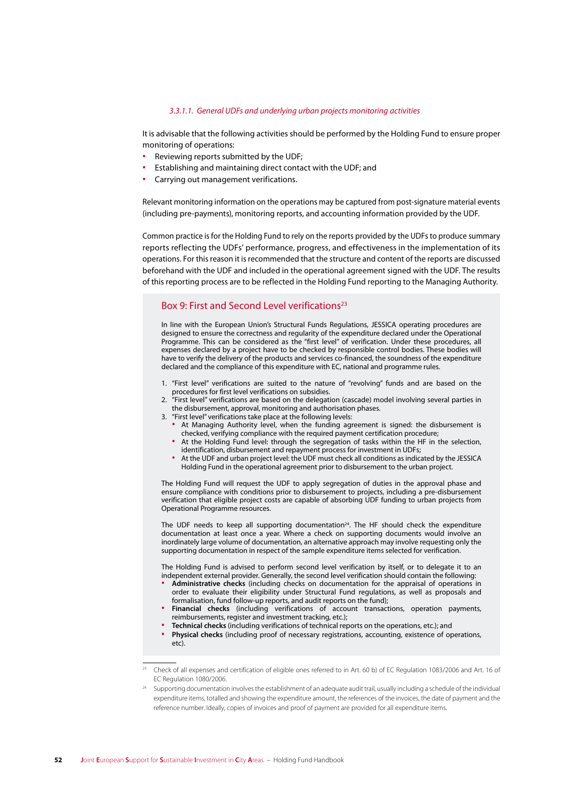#### *3.3.1.1. General UDFs and underlying urban projects monitoring activities*

It is advisable that the following activities should be performed by the Holding Fund to ensure proper monitoring of operations:

- **∙** Reviewing reports submitted by the UDF;
- **∙** Establishing and maintaining direct contact with the UDF; and
- **∙** Carrying out management verifications.

Relevant monitoring information on the operations may be captured from post-signature material events (including pre-payments), monitoring reports, and accounting information provided by the UDF.

Common practice is for the Holding Fund to rely on the reports provided by the UDFs to produce summary reports reflecting the UDFs' performance, progress, and effectiveness in the implementation of its operations. For this reason it is recommended that the structure and content of the reports are discussed beforehand with the UDF and included in the operational agreement signed with the UDF. The results of this reporting process are to be reflected in the Holding Fund reporting to the Managing Authority.

#### Box 9: First and Second Level verifications<sup>23</sup>

In line with the European Union's Structural Funds Regulations, JESSICA operating procedures are designed to ensure the correctness and regularity of the expenditure declared under the Operational Programme. This can be considered as the "first level" of verification. Under these procedures, all expenses declared by a project have to be checked by responsible control bodies. These bodies will have to verify the delivery of the products and services co-financed, the soundness of the expenditure declared and the compliance of this expenditure with EC, national and programme rules.

- 1. "First level" verifications are suited to the nature of "revolving" funds and are based on the procedures for first level verifications on subsidies.
- 2. "First level" verifications are based on the delegation (cascade) model involving several parties in the disbursement, approval, monitoring and authorisation phases.
- 3. "First level" verifications take place at the following levels:
	- **∙** At Managing Authority level, when the funding agreement is signed: the disbursement is checked, verifying compliance with the required payment certification procedure;
	- **∙** At the Holding Fund level: through the segregation of tasks within the HF in the selection, identification, disbursement and repayment process for investment in UDFs;
	- **∙** At the UDF and urban project level: the UDF must check all conditions as indicated by the JESSICA Holding Fund in the operational agreement prior to disbursement to the urban project.

The Holding Fund will request the UDF to apply segregation of duties in the approval phase and ensure compliance with conditions prior to disbursement to projects, including a pre-disbursement verification that eligible project costs are capable of absorbing UDF funding to urban projects from Operational Programme resources.

The UDF needs to keep all supporting documentation<sup>24</sup>. The HF should check the expenditure documentation at least once a year. Where a check on supporting documents would involve an inordinately large volume of documentation, an alternative approach may involve requesting only the supporting documentation in respect of the sample expenditure items selected for verification.

The Holding Fund is advised to perform second level verification by itself, or to delegate it to an independent external provider. Generally, the second level verification should contain the following:

- **∙ Administrative checks** (including checks on documentation for the appraisal of operations in order to evaluate their eligibility under Structural Fund regulations, as well as proposals and formalisation, fund follow-up reports, and audit reports on the fund);
- **∙ Financial checks** (including verifications of account transactions, operation payments, reimbursements, register and investment tracking, etc.);
- **∙ Technical checks** (including verifications of technical reports on the operations, etc.); and
- **∙ Physical checks** (including proof of necessary registrations, accounting, existence of operations, etc).

<sup>&</sup>lt;sup>23</sup> Check of all expenses and certification of eligible ones referred to in Art. 60 b) of EC Regulation 1083/2006 and Art. 16 of EC Regulation 1080/2006.

<sup>&</sup>lt;sup>24</sup> Supporting documentation involves the establishment of an adequate audit trail, usually including a schedule of the individual expenditure items, totalled and showing the expenditure amount, the references of the invoices, the date of payment and the reference number. Ideally, copies of invoices and proof of payment are provided for all expenditure items.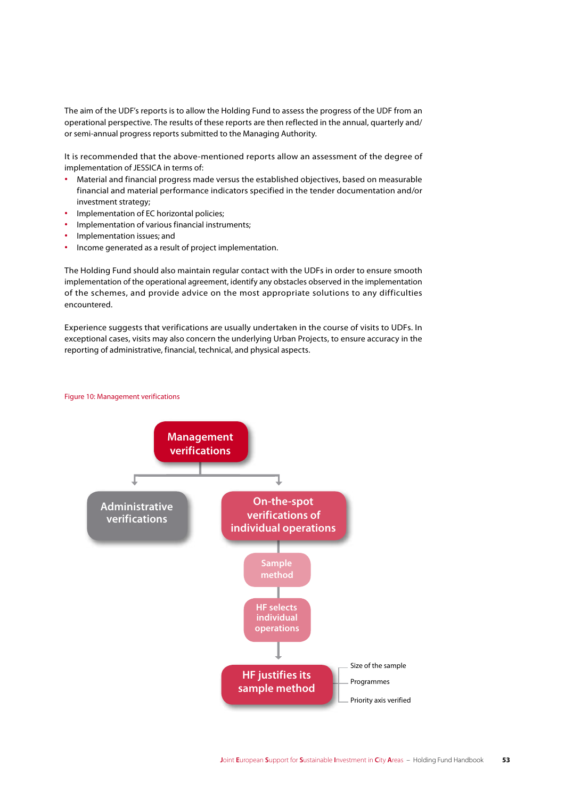The aim of the UDF's reports is to allow the Holding Fund to assess the progress of the UDF from an operational perspective. The results of these reports are then reflected in the annual, quarterly and/ or semi-annual progress reports submitted to the Managing Authority.

It is recommended that the above-mentioned reports allow an assessment of the degree of implementation of JESSICA in terms of:

- **∙** Material and financial progress made versus the established objectives, based on measurable financial and material performance indicators specified in the tender documentation and/or investment strategy;
- **∙** Implementation of EC horizontal policies;
- **∙** Implementation of various financial instruments;
- **∙** Implementation issues; and
- **∙** Income generated as a result of project implementation.

The Holding Fund should also maintain regular contact with the UDFs in order to ensure smooth implementation of the operational agreement, identify any obstacles observed in the implementation of the schemes, and provide advice on the most appropriate solutions to any difficulties encountered.

Experience suggests that verifications are usually undertaken in the course of visits to UDFs. In exceptional cases, visits may also concern the underlying Urban Projects, to ensure accuracy in the reporting of administrative, financial, technical, and physical aspects.

#### Figure 10: Management verifications

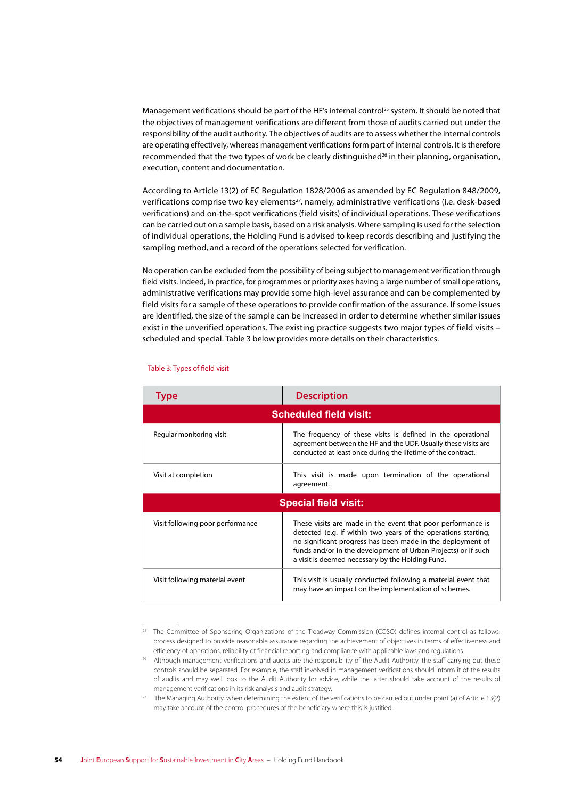Management verifications should be part of the HF's internal control<sup>25</sup> system. It should be noted that the objectives of management verifications are different from those of audits carried out under the responsibility of the audit authority. The objectives of audits are to assess whether the internal controls are operating effectively, whereas management verifications form part of internal controls. It is therefore recommended that the two types of work be clearly distinguished<sup>26</sup> in their planning, organisation, execution, content and documentation.

According to Article 13(2) of EC Regulation 1828/2006 as amended by EC Regulation 848/2009, verifications comprise two key elements<sup>27</sup>, namely, administrative verifications (i.e. desk-based verifications) and on-the-spot verifications (field visits) of individual operations. These verifications can be carried out on a sample basis, based on a risk analysis. Where sampling is used for the selection of individual operations, the Holding Fund is advised to keep records describing and justifying the sampling method, and a record of the operations selected for verification.

No operation can be excluded from the possibility of being subject to management verification through field visits. Indeed, in practice, for programmes or priority axes having a large number of small operations, administrative verifications may provide some high-level assurance and can be complemented by field visits for a sample of these operations to provide confirmation of the assurance. If some issues are identified, the size of the sample can be increased in order to determine whether similar issues exist in the unverified operations. The existing practice suggests two major types of field visits – scheduled and special. Table 3 below provides more details on their characteristics.

| Type                             | <b>Description</b>                                                                                                                                                                                                                                                                                               |  |  |  |
|----------------------------------|------------------------------------------------------------------------------------------------------------------------------------------------------------------------------------------------------------------------------------------------------------------------------------------------------------------|--|--|--|
| <b>Scheduled field visit:</b>    |                                                                                                                                                                                                                                                                                                                  |  |  |  |
| Regular monitoring visit         | The frequency of these visits is defined in the operational<br>agreement between the HF and the UDF. Usually these visits are<br>conducted at least once during the lifetime of the contract.                                                                                                                    |  |  |  |
| Visit at completion              | This visit is made upon termination of the operational<br>agreement.                                                                                                                                                                                                                                             |  |  |  |
| <b>Special field visit:</b>      |                                                                                                                                                                                                                                                                                                                  |  |  |  |
| Visit following poor performance | These visits are made in the event that poor performance is<br>detected (e.g. if within two years of the operations starting,<br>no significant progress has been made in the deployment of<br>funds and/or in the development of Urban Projects) or if such<br>a visit is deemed necessary by the Holding Fund. |  |  |  |
| Visit following material event   | This visit is usually conducted following a material event that<br>may have an impact on the implementation of schemes.                                                                                                                                                                                          |  |  |  |

#### Table 3: Types of field visit

<sup>&</sup>lt;sup>25</sup> The Committee of Sponsoring Organizations of the Treadway Commission (COSO) defines internal control as follows: process designed to provide reasonable assurance regarding the achievement of objectives in terms of effectiveness and efficiency of operations, reliability of financial reporting and compliance with applicable laws and regulations.

<sup>&</sup>lt;sup>26</sup> Although management verifications and audits are the responsibility of the Audit Authority, the staff carrying out these controls should be separated. For example, the staff involved in management verifications should inform it of the results of audits and may well look to the Audit Authority for advice, while the latter should take account of the results of management verifications in its risk analysis and audit strategy.

<sup>27</sup> The Managing Authority, when determining the extent of the verifications to be carried out under point (a) of Article 13(2) may take account of the control procedures of the beneficiary where this is justified.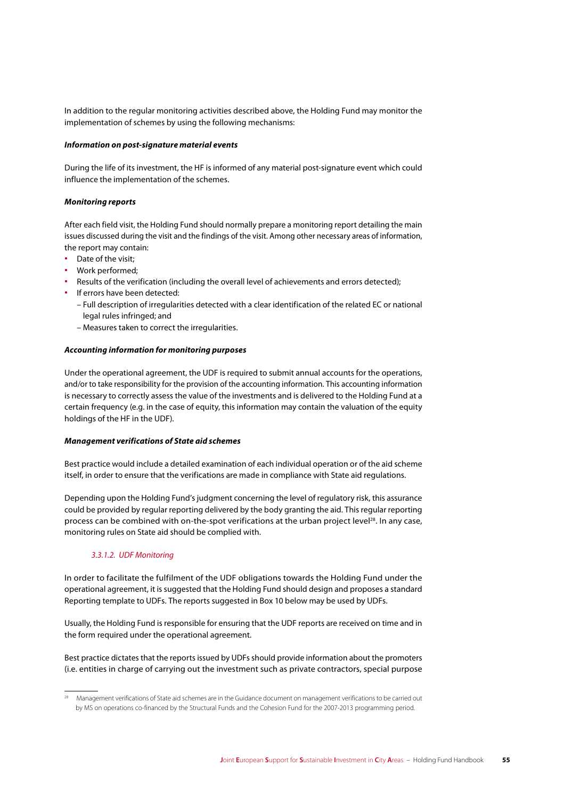In addition to the regular monitoring activities described above, the Holding Fund may monitor the implementation of schemes by using the following mechanisms:

#### *Information on post-signature material events*

During the life of its investment, the HF is informed of any material post-signature event which could influence the implementation of the schemes.

#### *Monitoring reports*

After each field visit, the Holding Fund should normally prepare a monitoring report detailing the main issues discussed during the visit and the findings of the visit. Among other necessary areas of information, the report may contain:

- **∙** Date of the visit;
- **∙** Work performed;
- Results of the verification (including the overall level of achievements and errors detected);
- **∙** If errors have been detected:
	- Full description of irregularities detected with a clear identification of the related EC or national legal rules infringed; and
	- Measures taken to correct the irregularities.

#### *Accounting information for monitoring purposes*

Under the operational agreement, the UDF is required to submit annual accounts for the operations, and/or to take responsibility for the provision of the accounting information. This accounting information is necessary to correctly assess the value of the investments and is delivered to the Holding Fund at a certain frequency (e.g. in the case of equity, this information may contain the valuation of the equity holdings of the HF in the UDF).

#### *Management verifications of State aid schemes*

Best practice would include a detailed examination of each individual operation or of the aid scheme itself, in order to ensure that the verifications are made in compliance with State aid regulations.

Depending upon the Holding Fund's judgment concerning the level of regulatory risk, this assurance could be provided by regular reporting delivered by the body granting the aid. This regular reporting process can be combined with on-the-spot verifications at the urban project level $^{28}$ . In any case, monitoring rules on State aid should be complied with.

#### *3.3.1.2. UDF Monitoring*

In order to facilitate the fulfilment of the UDF obligations towards the Holding Fund under the operational agreement, it is suggested that the Holding Fund should design and proposes a standard Reporting template to UDFs. The reports suggested in Box 10 below may be used by UDFs.

Usually, the Holding Fund is responsible for ensuring that the UDF reports are received on time and in the form required under the operational agreement.

Best practice dictates that the reports issued by UDFs should provide information about the promoters (i.e. entities in charge of carrying out the investment such as private contractors, special purpose

<sup>28</sup> Management verifications of State aid schemes are in the Guidance document on management verifications to be carried out by MS on operations co-financed by the Structural Funds and the Cohesion Fund for the 2007-2013 programming period.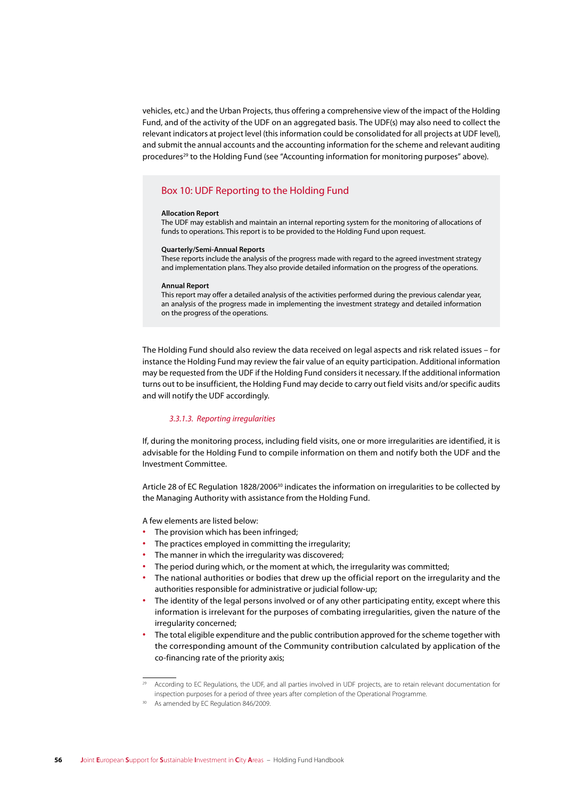vehicles, etc.) and the Urban Projects, thus offering a comprehensive view of the impact of the Holding Fund, and of the activity of the UDF on an aggregated basis. The UDF(s) may also need to collect the relevant indicators at project level (this information could be consolidated for all projects at UDF level), and submit the annual accounts and the accounting information for the scheme and relevant auditing procedures<sup>29</sup> to the Holding Fund (see "Accounting information for monitoring purposes" above).

#### Box 10: UDF Reporting to the Holding Fund

#### **Allocation Report**

The UDF may establish and maintain an internal reporting system for the monitoring of allocations of funds to operations. This report is to be provided to the Holding Fund upon request.

#### **Quarterly/Semi-Annual Reports**

These reports include the analysis of the progress made with regard to the agreed investment strategy and implementation plans. They also provide detailed information on the progress of the operations.

#### **Annual Report**

This report may offer a detailed analysis of the activities performed during the previous calendar year, an analysis of the progress made in implementing the investment strategy and detailed information on the progress of the operations.

The Holding Fund should also review the data received on legal aspects and risk related issues – for instance the Holding Fund may review the fair value of an equity participation. Additional information may be requested from the UDF if the Holding Fund considers it necessary. If the additional information turns out to be insufficient, the Holding Fund may decide to carry out field visits and/or specific audits and will notify the UDF accordingly.

#### *3.3.1.3. Reporting irregularities*

If, during the monitoring process, including field visits, one or more irregularities are identified, it is advisable for the Holding Fund to compile information on them and notify both the UDF and the Investment Committee.

Article 28 of EC Regulation 1828/2006<sup>30</sup> indicates the information on irregularities to be collected by the Managing Authority with assistance from the Holding Fund.

A few elements are listed below:

- **∙** The provision which has been infringed;
- **∙** The practices employed in committing the irregularity;
- **∙** The manner in which the irregularity was discovered;
- **∙** The period during which, or the moment at which, the irregularity was committed;
- **∙** The national authorities or bodies that drew up the official report on the irregularity and the authorities responsible for administrative or judicial follow-up;
- **∙** The identity of the legal persons involved or of any other participating entity, except where this information is irrelevant for the purposes of combating irregularities, given the nature of the irregularity concerned:
- **∙** The total eligible expenditure and the public contribution approved for the scheme together with the corresponding amount of the Community contribution calculated by application of the co-financing rate of the priority axis;

<sup>&</sup>lt;sup>29</sup> According to EC Regulations, the UDF, and all parties involved in UDF projects, are to retain relevant documentation for inspection purposes for a period of three years after completion of the Operational Programme.

<sup>&</sup>lt;sup>30</sup> As amended by EC Regulation 846/2009.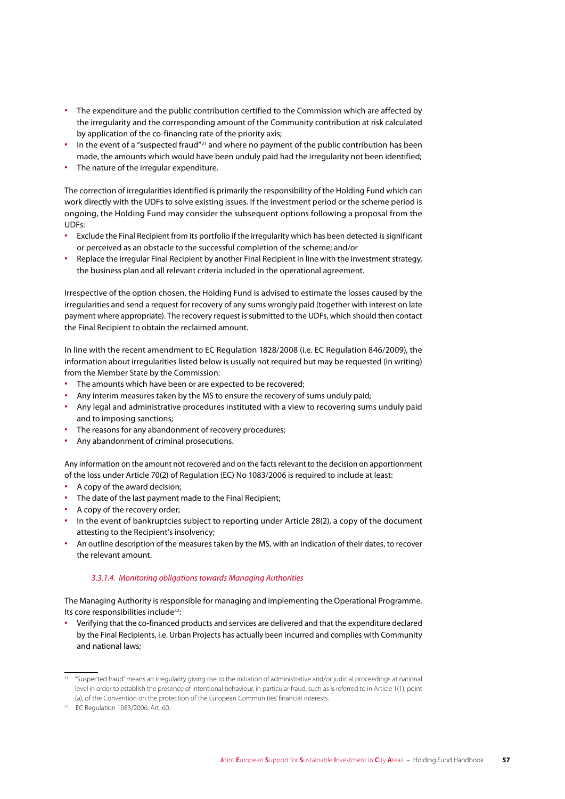- **∙** The expenditure and the public contribution certified to the Commission which are affected by the irregularity and the corresponding amount of the Community contribution at risk calculated by application of the co-financing rate of the priority axis;
- **∙** In the event of a "suspected fraud"31 and where no payment of the public contribution has been made, the amounts which would have been unduly paid had the irregularity not been identified;
- **∙** The nature of the irregular expenditure.

The correction of irregularities identified is primarily the responsibility of the Holding Fund which can work directly with the UDFs to solve existing issues. If the investment period or the scheme period is ongoing, the Holding Fund may consider the subsequent options following a proposal from the UDFs:

- **∙** Exclude the Final Recipient from its portfolio if the irregularity which has been detected is significant or perceived as an obstacle to the successful completion of the scheme; and/or
- **∙** Replace the irregular Final Recipient by another Final Recipient in line with the investment strategy, the business plan and all relevant criteria included in the operational agreement.

Irrespective of the option chosen, the Holding Fund is advised to estimate the losses caused by the irregularities and send a request for recovery of any sums wrongly paid (together with interest on late payment where appropriate). The recovery request is submitted to the UDFs, which should then contact the Final Recipient to obtain the reclaimed amount.

In line with the recent amendment to EC Regulation 1828/2008 (i.e. EC Regulation 846/2009), the information about irregularities listed below is usually not required but may be requested (in writing) from the Member State by the Commission:

- **∙** The amounts which have been or are expected to be recovered;
- **∙** Any interim measures taken by the MS to ensure the recovery of sums unduly paid;
- **∙** Any legal and administrative procedures instituted with a view to recovering sums unduly paid and to imposing sanctions;
- **∙** The reasons for any abandonment of recovery procedures;
- **∙** Any abandonment of criminal prosecutions.

Any information on the amount not recovered and on the facts relevant to the decision on apportionment of the loss under Article 70(2) of Regulation (EC) No 1083/2006 is required to include at least:

- **∙** A copy of the award decision;
- **∙** The date of the last payment made to the Final Recipient;
- **∙** A copy of the recovery order;
- **∙** In the event of bankruptcies subject to reporting under Article 28(2), a copy of the document attesting to the Recipient's insolvency;
- **∙** An outline description of the measures taken by the MS, with an indication of their dates, to recover the relevant amount.

#### *3.3.1.4. Monitoring obligations towards Managing Authorities*

The Managing Authority is responsible for managing and implementing the Operational Programme. Its core responsibilities include<sup>32</sup>:

**∙** Verifying that the co-financed products and services are delivered and that the expenditure declared by the Final Recipients, i.e. Urban Projects has actually been incurred and complies with Community and national laws;

<sup>&</sup>lt;sup>31</sup> "Suspected fraud" means an irregularity giving rise to the initiation of administrative and/or judicial proceedings at national level in order to establish the presence of intentional behaviour, in particular fraud, such as is referred to in Article 1(1), point (a), of the Convention on the protection of the European Communities' financial interests.

<sup>32</sup> EC Regulation 1083/2006, Art. 60.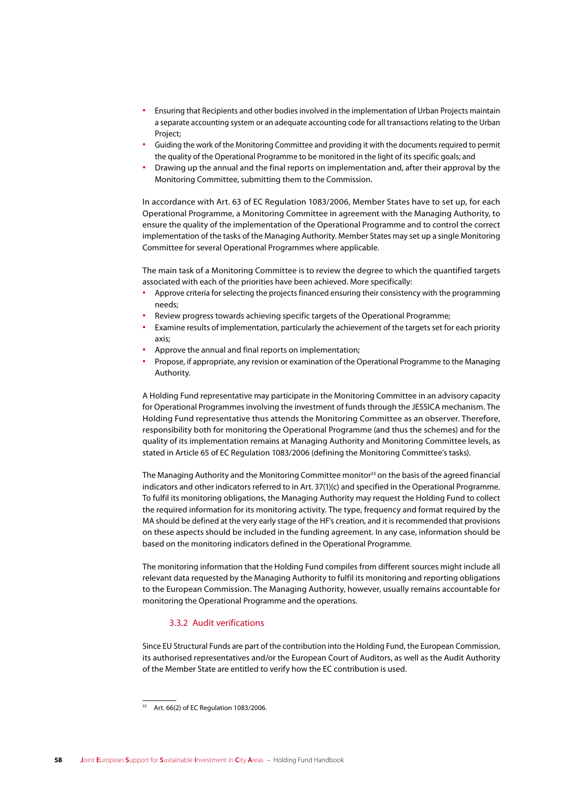- **∙** Ensuring that Recipients and other bodies involved in the implementation of Urban Projects maintain a separate accounting system or an adequate accounting code for all transactions relating to the Urban Project;
- **∙** Guiding the work of the Monitoring Committee and providing it with the documents required to permit the quality of the Operational Programme to be monitored in the light of its specific goals; and
- **∙** Drawing up the annual and the final reports on implementation and, after their approval by the Monitoring Committee, submitting them to the Commission.

In accordance with Art. 63 of EC Regulation 1083/2006, Member States have to set up, for each Operational Programme, a Monitoring Committee in agreement with the Managing Authority, to ensure the quality of the implementation of the Operational Programme and to control the correct implementation of the tasks of the Managing Authority. Member States may set up a single Monitoring Committee for several Operational Programmes where applicable.

The main task of a Monitoring Committee is to review the degree to which the quantified targets associated with each of the priorities have been achieved. More specifically:

- **∙** Approve criteria for selecting the projects financed ensuring their consistency with the programming needs;
- **∙** Review progress towards achieving specific targets of the Operational Programme;
- **∙** Examine results of implementation, particularly the achievement of the targets set for each priority axis;
- **∙** Approve the annual and final reports on implementation;
- **∙** Propose, if appropriate, any revision or examination of the Operational Programme to the Managing Authority.

A Holding Fund representative may participate in the Monitoring Committee in an advisory capacity for Operational Programmes involving the investment of funds through the JESSICA mechanism. The Holding Fund representative thus attends the Monitoring Committee as an observer. Therefore, responsibility both for monitoring the Operational Programme (and thus the schemes) and for the quality of its implementation remains at Managing Authority and Monitoring Committee levels, as stated in Article 65 of EC Regulation 1083/2006 (defining the Monitoring Committee's tasks).

The Managing Authority and the Monitoring Committee monitor<sup>33</sup> on the basis of the agreed financial indicators and other indicators referred to in Art. 37(1)(c) and specified in the Operational Programme. To fulfil its monitoring obligations, the Managing Authority may request the Holding Fund to collect the required information for its monitoring activity. The type, frequency and format required by the MA should be defined at the very early stage of the HF's creation, and it is recommended that provisions on these aspects should be included in the funding agreement. In any case, information should be based on the monitoring indicators defined in the Operational Programme.

The monitoring information that the Holding Fund compiles from different sources might include all relevant data requested by the Managing Authority to fulfil its monitoring and reporting obligations to the European Commission. The Managing Authority, however, usually remains accountable for monitoring the Operational Programme and the operations.

#### 3.3.2 Audit verifications

Since EU Structural Funds are part of the contribution into the Holding Fund, the European Commission, its authorised representatives and/or the European Court of Auditors, as well as the Audit Authority of the Member State are entitled to verify how the EC contribution is used.

<sup>33</sup> Art. 66(2) of EC Regulation 1083/2006.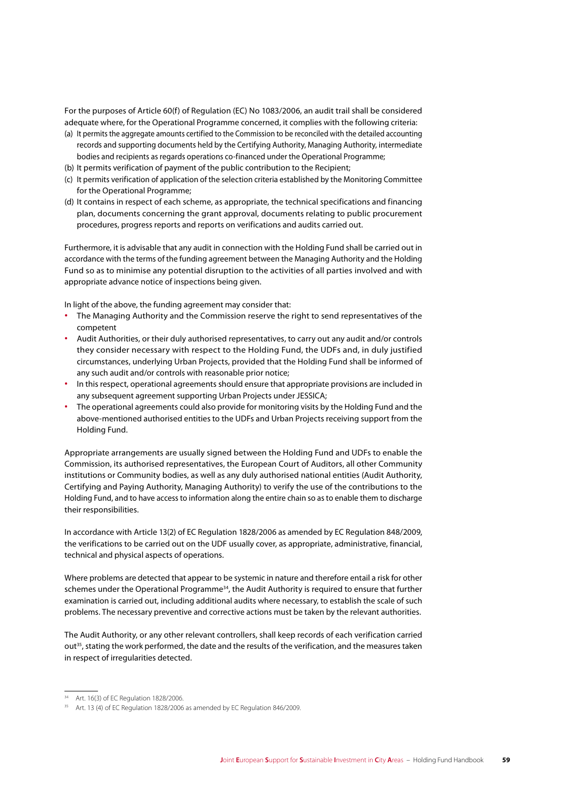For the purposes of Article 60(f) of Regulation (EC) No 1083/2006, an audit trail shall be considered adequate where, for the Operational Programme concerned, it complies with the following criteria:

- (a) It permits the aggregate amounts certified to the Commission to be reconciled with the detailed accounting records and supporting documents held by the Certifying Authority, Managing Authority, intermediate bodies and recipients as regards operations co-financed under the Operational Programme;
- (b) It permits verification of payment of the public contribution to the Recipient;
- (c) It permits verification of application of the selection criteria established by the Monitoring Committee for the Operational Programme;
- (d) It contains in respect of each scheme, as appropriate, the technical specifications and financing plan, documents concerning the grant approval, documents relating to public procurement procedures, progress reports and reports on verifications and audits carried out.

Furthermore, it is advisable that any audit in connection with the Holding Fund shall be carried out in accordance with the terms of the funding agreement between the Managing Authority and the Holding Fund so as to minimise any potential disruption to the activities of all parties involved and with appropriate advance notice of inspections being given.

In light of the above, the funding agreement may consider that:

- **∙** The Managing Authority and the Commission reserve the right to send representatives of the competent
- **∙** Audit Authorities, or their duly authorised representatives, to carry out any audit and/or controls they consider necessary with respect to the Holding Fund, the UDFs and, in duly justified circumstances, underlying Urban Projects, provided that the Holding Fund shall be informed of any such audit and/or controls with reasonable prior notice;
- **∙** In this respect, operational agreements should ensure that appropriate provisions are included in any subsequent agreement supporting Urban Projects under JESSICA;
- **∙** The operational agreements could also provide for monitoring visits by the Holding Fund and the above-mentioned authorised entities to the UDFs and Urban Projects receiving support from the Holding Fund.

Appropriate arrangements are usually signed between the Holding Fund and UDFs to enable the Commission, its authorised representatives, the European Court of Auditors, all other Community institutions or Community bodies, as well as any duly authorised national entities (Audit Authority, Certifying and Paying Authority, Managing Authority) to verify the use of the contributions to the Holding Fund, and to have access to information along the entire chain so as to enable them to discharge their responsibilities.

In accordance with Article 13(2) of EC Regulation 1828/2006 as amended by EC Regulation 848/2009, the verifications to be carried out on the UDF usually cover, as appropriate, administrative, financial, technical and physical aspects of operations.

Where problems are detected that appear to be systemic in nature and therefore entail a risk for other schemes under the Operational Programme<sup>34</sup>, the Audit Authority is required to ensure that further examination is carried out, including additional audits where necessary, to establish the scale of such problems. The necessary preventive and corrective actions must be taken by the relevant authorities.

The Audit Authority, or any other relevant controllers, shall keep records of each verification carried out<sup>35</sup>, stating the work performed, the date and the results of the verification, and the measures taken in respect of irregularities detected.

<sup>34</sup> Art. 16(3) of EC Regulation 1828/2006.

<sup>&</sup>lt;sup>35</sup> Art. 13 (4) of EC Regulation 1828/2006 as amended by EC Regulation 846/2009.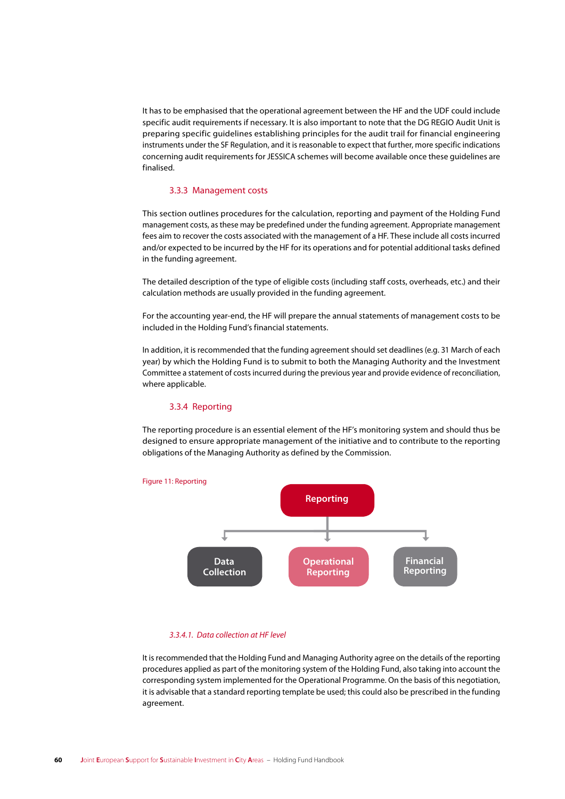It has to be emphasised that the operational agreement between the HF and the UDF could include specific audit requirements if necessary. It is also important to note that the DG REGIO Audit Unit is preparing specific guidelines establishing principles for the audit trail for financial engineering instruments under the SF Regulation, and it is reasonable to expect that further, more specific indications concerning audit requirements for JESSICA schemes will become available once these guidelines are finalised.

#### 3.3.3 Management costs

This section outlines procedures for the calculation, reporting and payment of the Holding Fund management costs, as these may be predefined under the funding agreement. Appropriate management fees aim to recover the costs associated with the management of a HF. These include all costs incurred and/or expected to be incurred by the HF for its operations and for potential additional tasks defined in the funding agreement.

The detailed description of the type of eligible costs (including staff costs, overheads, etc.) and their calculation methods are usually provided in the funding agreement.

For the accounting year-end, the HF will prepare the annual statements of management costs to be included in the Holding Fund's financial statements.

In addition, it is recommended that the funding agreement should set deadlines (e.g. 31 March of each year) by which the Holding Fund is to submit to both the Managing Authority and the Investment Committee a statement of costs incurred during the previous year and provide evidence of reconciliation, where applicable.

#### 3.3.4 Reporting

The reporting procedure is an essential element of the HF's monitoring system and should thus be designed to ensure appropriate management of the initiative and to contribute to the reporting obligations of the Managing Authority as defined by the Commission.



#### *3.3.4.1. Data collection at HF level*

It is recommended that the Holding Fund and Managing Authority agree on the details of the reporting procedures applied as part of the monitoring system of the Holding Fund, also taking into account the corresponding system implemented for the Operational Programme. On the basis of this negotiation, it is advisable that a standard reporting template be used; this could also be prescribed in the funding agreement.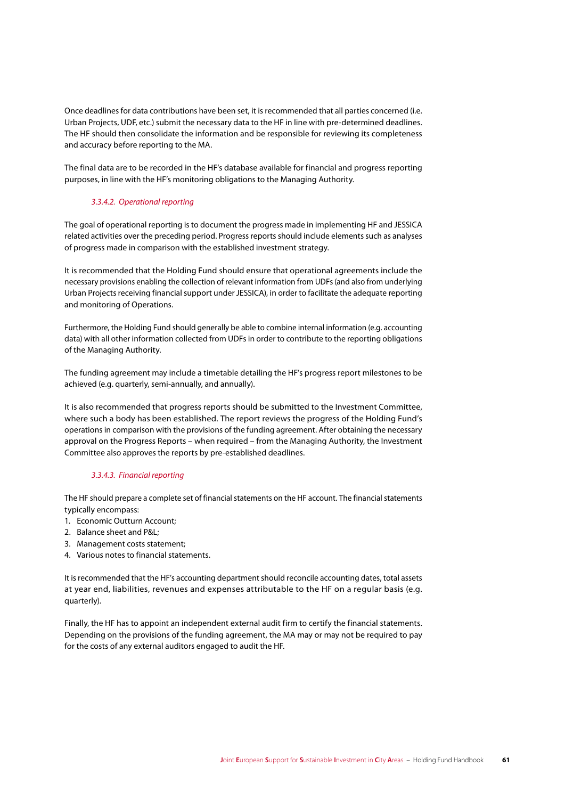Once deadlines for data contributions have been set, it is recommended that all parties concerned (i.e. Urban Projects, UDF, etc.) submit the necessary data to the HF in line with pre-determined deadlines. The HF should then consolidate the information and be responsible for reviewing its completeness and accuracy before reporting to the MA.

The final data are to be recorded in the HF's database available for financial and progress reporting purposes, in line with the HF's monitoring obligations to the Managing Authority.

#### *3.3.4.2. Operational reporting*

The goal of operational reporting is to document the progress made in implementing HF and JESSICA related activities over the preceding period. Progress reports should include elements such as analyses of progress made in comparison with the established investment strategy.

It is recommended that the Holding Fund should ensure that operational agreements include the necessary provisions enabling the collection of relevant information from UDFs (and also from underlying Urban Projects receiving financial support under JESSICA), in order to facilitate the adequate reporting and monitoring of Operations.

Furthermore, the Holding Fund should generally be able to combine internal information (e.g. accounting data) with all other information collected from UDFs in order to contribute to the reporting obligations of the Managing Authority.

The funding agreement may include a timetable detailing the HF's progress report milestones to be achieved (e.g. quarterly, semi-annually, and annually).

It is also recommended that progress reports should be submitted to the Investment Committee, where such a body has been established. The report reviews the progress of the Holding Fund's operations in comparison with the provisions of the funding agreement. After obtaining the necessary approval on the Progress Reports – when required – from the Managing Authority, the Investment Committee also approves the reports by pre-established deadlines.

#### *3.3.4.3. Financial reporting*

The HF should prepare a complete set of financial statements on the HF account. The financial statements typically encompass:

- 1. Economic Outturn Account;
- 2. Balance sheet and P&L;
- 3. Management costs statement;
- 4. Various notes to financial statements.

It is recommended that the HF's accounting department should reconcile accounting dates, total assets at year end, liabilities, revenues and expenses attributable to the HF on a regular basis (e.g. quarterly).

Finally, the HF has to appoint an independent external audit firm to certify the financial statements. Depending on the provisions of the funding agreement, the MA may or may not be required to pay for the costs of any external auditors engaged to audit the HF.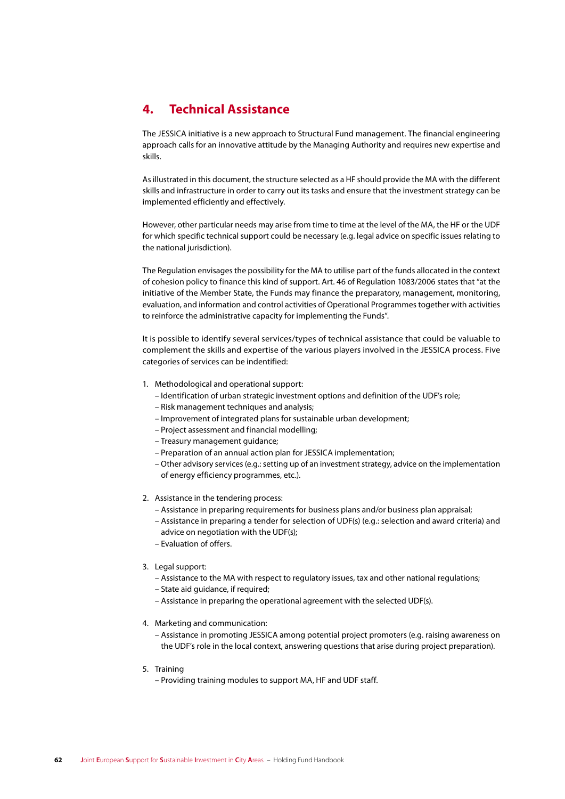### **4. Technical Assistance**

The JESSICA initiative is a new approach to Structural Fund management. The financial engineering approach calls for an innovative attitude by the Managing Authority and requires new expertise and skills.

As illustrated in this document, the structure selected as a HF should provide the MA with the different skills and infrastructure in order to carry out its tasks and ensure that the investment strategy can be implemented efficiently and effectively.

However, other particular needs may arise from time to time at the level of the MA, the HF or the UDF for which specific technical support could be necessary (e.g. legal advice on specific issues relating to the national jurisdiction).

The Regulation envisages the possibility for the MA to utilise part of the funds allocated in the context of cohesion policy to finance this kind of support. Art. 46 of Regulation 1083/2006 states that "at the initiative of the Member State, the Funds may finance the preparatory, management, monitoring, evaluation, and information and control activities of Operational Programmes together with activities to reinforce the administrative capacity for implementing the Funds".

It is possible to identify several services/types of technical assistance that could be valuable to complement the skills and expertise of the various players involved in the JESSICA process. Five categories of services can be indentified:

- 1. Methodological and operational support:
	- Identification of urban strategic investment options and definition of the UDF's role;
	- Risk management techniques and analysis;
	- Improvement of integrated plans for sustainable urban development;
	- Project assessment and financial modelling;
	- Treasury management guidance;
	- Preparation of an annual action plan for JESSICA implementation;
	- Other advisory services (e.g.: setting up of an investment strategy, advice on the implementation of energy efficiency programmes, etc.).
- 2. Assistance in the tendering process:
	- Assistance in preparing requirements for business plans and/or business plan appraisal;
	- Assistance in preparing a tender for selection of UDF(s) (e.g.: selection and award criteria) and
	- advice on negotiation with the UDF(s);
	- Evaluation of offers.
- 3. Legal support:
	- Assistance to the MA with respect to regulatory issues, tax and other national regulations;
	- State aid guidance, if required;
	- Assistance in preparing the operational agreement with the selected UDF(s).
- 4. Marketing and communication:
	- Assistance in promoting JESSICA among potential project promoters (e.g. raising awareness on the UDF's role in the local context, answering questions that arise during project preparation).
- 5. Training
	- Providing training modules to support MA, HF and UDF staff.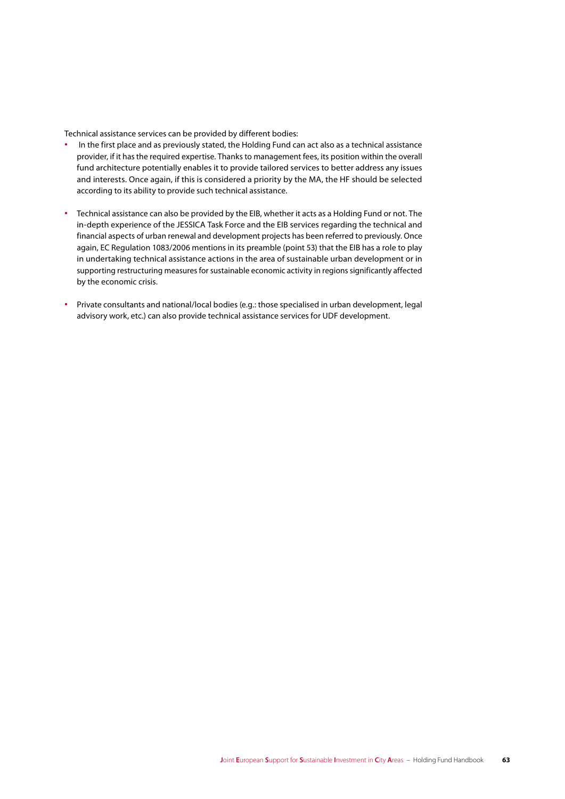Technical assistance services can be provided by different bodies:

- **∙** In the first place and as previously stated, the Holding Fund can act also as a technical assistance provider, if it has the required expertise. Thanks to management fees, its position within the overall fund architecture potentially enables it to provide tailored services to better address any issues and interests. Once again, if this is considered a priority by the MA, the HF should be selected according to its ability to provide such technical assistance.
- **∙** Technical assistance can also be provided by the EIB, whether it acts as a Holding Fund or not. The in-depth experience of the JESSICA Task Force and the EIB services regarding the technical and financial aspects of urban renewal and development projects has been referred to previously. Once again, EC Regulation 1083/2006 mentions in its preamble (point 53) that the EIB has a role to play in undertaking technical assistance actions in the area of sustainable urban development or in supporting restructuring measures for sustainable economic activity in regions significantly affected by the economic crisis.
- **∙** Private consultants and national/local bodies (e.g.: those specialised in urban development, legal advisory work, etc.) can also provide technical assistance services for UDF development.